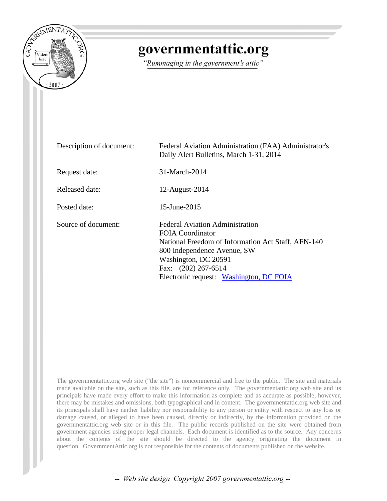

# governmentattic.org

"Rummaging in the government's attic"

| Description of document: | Federal Aviation Administration (FAA) Administrator's<br>Daily Alert Bulletins, March 1-31, 2014                                                                                                                                                   |
|--------------------------|----------------------------------------------------------------------------------------------------------------------------------------------------------------------------------------------------------------------------------------------------|
| Request date:            | 31-March-2014                                                                                                                                                                                                                                      |
| Released date:           | 12-August-2014                                                                                                                                                                                                                                     |
| Posted date:             | 15-June-2015                                                                                                                                                                                                                                       |
| Source of document:      | <b>Federal Aviation Administration</b><br><b>FOIA</b> Coordinator<br>National Freedom of Information Act Staff, AFN-140<br>800 Independence Avenue, SW<br>Washington, DC 20591<br>Fax: $(202)$ 267-6514<br>Electronic request: Washington, DC FOIA |

The governmentattic.org web site ("the site") is noncommercial and free to the public. The site and materials made available on the site, such as this file, are for reference only. The governmentattic.org web site and its principals have made every effort to make this information as complete and as accurate as possible, however, there may be mistakes and omissions, both typographical and in content. The governmentattic.org web site and its principals shall have neither liability nor responsibility to any person or entity with respect to any loss or damage caused, or alleged to have been caused, directly or indirectly, by the information provided on the governmentattic.org web site or in this file. The public records published on the site were obtained from government agencies using proper legal channels. Each document is identified as to the source. Any concerns about the contents of the site should be directed to the agency originating the document in question. GovernmentAttic.org is not responsible for the contents of documents published on the website.

-- Web site design Copyright 2007 governmentattic.org --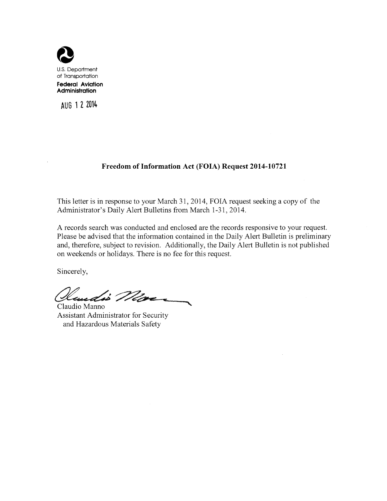

**AUG 1 Z 2014** 

## **Freedom of Information Act (FOIA) Request 2014-10721**

This letter is in response to your March 31, 2014, FOIA request seeking a copy of the Administrator's Daily Alert Bulletins from March 1-31, 2014.

A records search was conducted and enclosed are the records responsive to your request. Please be advised that the information contained in the Daily Alert Bulletin is preliminary and, therefore, subject to revision. Additionally, the Daily Alert Bulletin is not published on weekends or holidays. There is no fee for this request.

Sincerely,

Handis Ma

Assistant Administrator for Security and Hazardous Materials Safety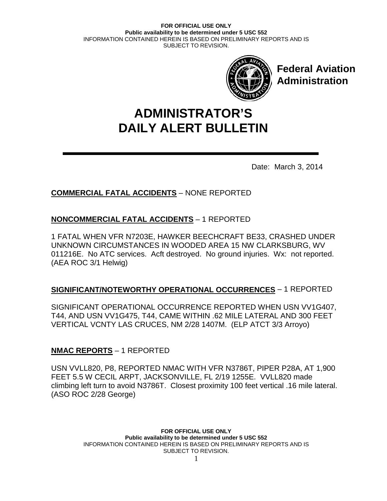

**Federal Aviation Administration**

# **DAILY ALERT BULLETIN ADMINISTRATOR'S**

Date: March 3, 2014

# **COMMERCIAL FATAL ACCIDENTS** – NONE REPORTED

# **NONCOMMERCIAL FATAL ACCIDENTS** – 1 REPORTED

1 FATAL WHEN VFR N7203E, HAWKER BEECHCRAFT BE33, CRASHED UNDER UNKNOWN CIRCUMSTANCES IN WOODED AREA 15 NW CLARKSBURG, WV 011216E. No ATC services. Acft destroyed. No ground injuries. Wx: not reported. (AEA ROC 3/1 Helwig)

## **SIGNIFICANT/NOTEWORTHY OPERATIONAL OCCURRENCES** – 1 REPORTED

SIGNIFICANT OPERATIONAL OCCURRENCE REPORTED WHEN USN VV1G407, T44, AND USN VV1G475, T44, CAME WITHIN .62 MILE LATERAL AND 300 FEET VERTICAL VCNTY LAS CRUCES, NM 2/28 1407M. (ELP ATCT 3/3 Arroyo)

## **NMAC REPORTS** – 1 REPORTED

USN VVLL820, P8, REPORTED NMAC WITH VFR N3786T, PIPER P28A, AT 1,900 FEET 5.5 W CECIL ARPT, JACKSONVILLE, FL 2/19 1255E. VVLL820 made climbing left turn to avoid N3786T. Closest proximity 100 feet vertical .16 mile lateral. (ASO ROC 2/28 George)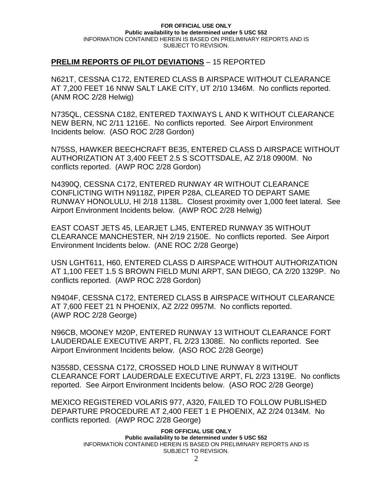## **PRELIM REPORTS OF PILOT DEVIATIONS** – 15 REPORTED

N621T, CESSNA C172, ENTERED CLASS B AIRSPACE WITHOUT CLEARANCE AT 7,200 FEET 16 NNW SALT LAKE CITY, UT 2/10 1346M. No conflicts reported. (ANM ROC 2/28 Helwig)

N735QL, CESSNA C182, ENTERED TAXIWAYS L AND K WITHOUT CLEARANCE NEW BERN, NC 2/11 1216E. No conflicts reported. See Airport Environment Incidents below. (ASO ROC 2/28 Gordon)

N75SS, HAWKER BEECHCRAFT BE35, ENTERED CLASS D AIRSPACE WITHOUT AUTHORIZATION AT 3,400 FEET 2.5 S SCOTTSDALE, AZ 2/18 0900M. No conflicts reported. (AWP ROC 2/28 Gordon)

N4390Q, CESSNA C172, ENTERED RUNWAY 4R WITHOUT CLEARANCE CONFLICTING WITH N9118Z, PIPER P28A, CLEARED TO DEPART SAME RUNWAY HONOLULU, HI 2/18 1138L. Closest proximity over 1,000 feet lateral. See Airport Environment Incidents below. (AWP ROC 2/28 Helwig)

EAST COAST JETS 45, LEARJET LJ45, ENTERED RUNWAY 35 WITHOUT CLEARANCE MANCHESTER, NH 2/19 2150E. No conflicts reported. See Airport Environment Incidents below. (ANE ROC 2/28 George)

USN LGHT611, H60, ENTERED CLASS D AIRSPACE WITHOUT AUTHORIZATION AT 1,100 FEET 1.5 S BROWN FIELD MUNI ARPT, SAN DIEGO, CA 2/20 1329P. No conflicts reported. (AWP ROC 2/28 Gordon)

N9404F, CESSNA C172, ENTERED CLASS B AIRSPACE WITHOUT CLEARANCE AT 7,600 FEET 21 N PHOENIX, AZ 2/22 0957M. No conflicts reported. (AWP ROC 2/28 George)

N96CB, MOONEY M20P, ENTERED RUNWAY 13 WITHOUT CLEARANCE FORT LAUDERDALE EXECUTIVE ARPT, FL 2/23 1308E. No conflicts reported. See Airport Environment Incidents below. (ASO ROC 2/28 George)

N3558D, CESSNA C172, CROSSED HOLD LINE RUNWAY 8 WITHOUT CLEARANCE FORT LAUDERDALE EXECUTIVE ARPT, FL 2/23 1319E. No conflicts reported. See Airport Environment Incidents below. (ASO ROC 2/28 George)

MEXICO REGISTERED VOLARIS 977, A320, FAILED TO FOLLOW PUBLISHED DEPARTURE PROCEDURE AT 2,400 FEET 1 E PHOENIX, AZ 2/24 0134M. No conflicts reported. (AWP ROC 2/28 George)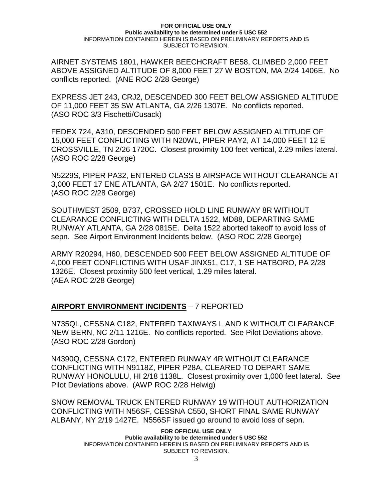AIRNET SYSTEMS 1801, HAWKER BEECHCRAFT BE58, CLIMBED 2,000 FEET ABOVE ASSIGNED ALTITUDE OF 8,000 FEET 27 W BOSTON, MA 2/24 1406E. No conflicts reported. (ANE ROC 2/28 George)

EXPRESS JET 243, CRJ2, DESCENDED 300 FEET BELOW ASSIGNED ALTITUDE OF 11,000 FEET 35 SW ATLANTA, GA 2/26 1307E. No conflicts reported. (ASO ROC 3/3 Fischetti/Cusack)

FEDEX 724, A310, DESCENDED 500 FEET BELOW ASSIGNED ALTITUDE OF 15,000 FEET CONFLICTING WITH N20WL, PIPER PAY2, AT 14,000 FEET 12 E CROSSVILLE, TN 2/26 1720C. Closest proximity 100 feet vertical, 2.29 miles lateral. (ASO ROC 2/28 George)

N5229S, PIPER PA32, ENTERED CLASS B AIRSPACE WITHOUT CLEARANCE AT 3,000 FEET 17 ENE ATLANTA, GA 2/27 1501E. No conflicts reported. (ASO ROC 2/28 George)

SOUTHWEST 2509, B737, CROSSED HOLD LINE RUNWAY 8R WITHOUT CLEARANCE CONFLICTING WITH DELTA 1522, MD88, DEPARTING SAME RUNWAY ATLANTA, GA 2/28 0815E. Delta 1522 aborted takeoff to avoid loss of sepn. See Airport Environment Incidents below. (ASO ROC 2/28 George)

ARMY R20294, H60, DESCENDED 500 FEET BELOW ASSIGNED ALTITUDE OF 4,000 FEET CONFLICTING WITH USAF JINX51, C17, 1 SE HATBORO, PA 2/28 1326E. Closest proximity 500 feet vertical, 1.29 miles lateral. (AEA ROC 2/28 George)

## **AIRPORT ENVIRONMENT INCIDENTS** – 7 REPORTED

N735QL, CESSNA C182, ENTERED TAXIWAYS L AND K WITHOUT CLEARANCE NEW BERN, NC 2/11 1216E. No conflicts reported. See Pilot Deviations above. (ASO ROC 2/28 Gordon)

N4390Q, CESSNA C172, ENTERED RUNWAY 4R WITHOUT CLEARANCE CONFLICTING WITH N9118Z, PIPER P28A, CLEARED TO DEPART SAME RUNWAY HONOLULU, HI 2/18 1138L. Closest proximity over 1,000 feet lateral. See Pilot Deviations above. (AWP ROC 2/28 Helwig)

SNOW REMOVAL TRUCK ENTERED RUNWAY 19 WITHOUT AUTHORIZATION CONFLICTING WITH N56SF, CESSNA C550, SHORT FINAL SAME RUNWAY ALBANY, NY 2/19 1427E. N556SF issued go around to avoid loss of sepn.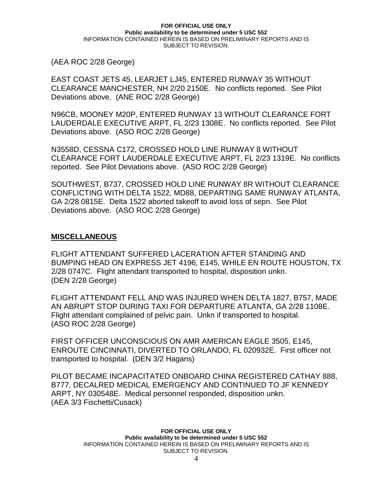(AEA ROC 2/28 George)

EAST COAST JETS 45, LEARJET LJ45, ENTERED RUNWAY 35 WITHOUT CLEARANCE MANCHESTER, NH 2/20 2150E. No conflicts reported. See Pilot Deviations above. (ANE ROC 2/28 George)

N96CB, MOONEY M20P, ENTERED RUNWAY 13 WITHOUT CLEARANCE FORT LAUDERDALE EXECUTIVE ARPT, FL 2/23 1308E. No conflicts reported. See Pilot Deviations above. (ASO ROC 2/28 George)

N3558D, CESSNA C172, CROSSED HOLD LINE RUNWAY 8 WITHOUT CLEARANCE FORT LAUDERDALE EXECUTIVE ARPT, FL 2/23 1319E. No conflicts reported. See Pilot Deviations above. (ASO ROC 2/28 George)

SOUTHWEST, B737, CROSSED HOLD LINE RUNWAY 8R WITHOUT CLEARANCE CONFLICTING WITH DELTA 1522, MD88, DEPARTING SAME RUNWAY ATLANTA, GA 2/28 0815E. Delta 1522 aborted takeoff to avoid loss of sepn. See Pilot Deviations above. (ASO ROC 2/28 George)

## **MISCELLANEOUS**

FLIGHT ATTENDANT SUFFERED LACERATION AFTER STANDING AND BUMPING HEAD ON EXPRESS JET 4196, E145, WHILE EN ROUTE HOUSTON, TX 2/28 0747C. Flight attendant transported to hospital, disposition unkn. (DEN 2/28 George)

FLIGHT ATTENDANT FELL AND WAS INJURED WHEN DELTA 1827, B757, MADE AN ABRUPT STOP DURING TAXI FOR DEPARTURE ATLANTA, GA 2/28 1108E. Flight attendant complained of pelvic pain. Unkn if transported to hospital. (ASO ROC 2/28 George)

FIRST OFFICER UNCONSCIOUS ON AMR AMERICAN EAGLE 3505, E145, ENROUTE CINCINNATI, DIVERTED TO ORLANDO, FL 020932E. First officer not transported to hospital. (DEN 3/2 Hagans)

PILOT BECAME INCAPACITATED ONBOARD CHINA REGISTERED CATHAY 888, B777, DECALRED MEDICAL EMERGENCY AND CONTINUED TO JF KENNEDY ARPT, NY 030548E. Medical personnel responded, disposition unkn. (AEA 3/3 Fischetti/Cusack)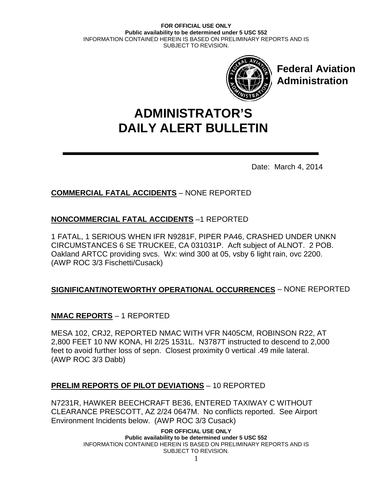

**Federal Aviation Administration**

# **DAILY ALERT BULLETIN ADMINISTRATOR'S**

Date: March 4, 2014

# **COMMERCIAL FATAL ACCIDENTS** – NONE REPORTED

# **NONCOMMERCIAL FATAL ACCIDENTS** –1 REPORTED

1 FATAL, 1 SERIOUS WHEN IFR N9281F, PIPER PA46, CRASHED UNDER UNKN CIRCUMSTANCES 6 SE TRUCKEE, CA 031031P. Acft subject of ALNOT. 2 POB. Oakland ARTCC providing svcs. Wx: wind 300 at 05, vsby 6 light rain, ovc 2200. (AWP ROC 3/3 Fischetti/Cusack)

## **SIGNIFICANT/NOTEWORTHY OPERATIONAL OCCURRENCES** – NONE REPORTED

# **NMAC REPORTS** – 1 REPORTED

MESA 102, CRJ2, REPORTED NMAC WITH VFR N405CM, ROBINSON R22, AT 2,800 FEET 10 NW KONA, HI 2/25 1531L. N3787T instructed to descend to 2,000 feet to avoid further loss of sepn. Closest proximity 0 vertical .49 mile lateral. (AWP ROC 3/3 Dabb)

## **PRELIM REPORTS OF PILOT DEVIATIONS** – 10 REPORTED

N7231R, HAWKER BEECHCRAFT BE36, ENTERED TAXIWAY C WITHOUT CLEARANCE PRESCOTT, AZ 2/24 0647M. No conflicts reported. See Airport Environment Incidents below. (AWP ROC 3/3 Cusack)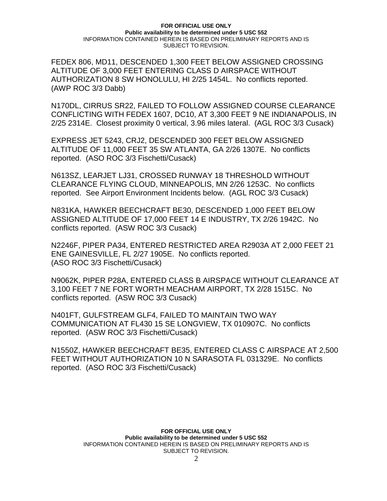FEDEX 806, MD11, DESCENDED 1,300 FEET BELOW ASSIGNED CROSSING ALTITUDE OF 3,000 FEET ENTERING CLASS D AIRSPACE WITHOUT AUTHORIZATION 8 SW HONOLULU, HI 2/25 1454L. No conflicts reported. (AWP ROC 3/3 Dabb)

N170DL, CIRRUS SR22, FAILED TO FOLLOW ASSIGNED COURSE CLEARANCE CONFLICTING WITH FEDEX 1607, DC10, AT 3,300 FEET 9 NE INDIANAPOLIS, IN 2/25 2314E. Closest proximity 0 vertical, 3.96 miles lateral. (AGL ROC 3/3 Cusack)

EXPRESS JET 5243, CRJ2, DESCENDED 300 FEET BELOW ASSIGNED ALTITUDE OF 11,000 FEET 35 SW ATLANTA, GA 2/26 1307E. No conflicts reported. (ASO ROC 3/3 Fischetti/Cusack)

N613SZ, LEARJET LJ31, CROSSED RUNWAY 18 THRESHOLD WITHOUT CLEARANCE FLYING CLOUD, MINNEAPOLIS, MN 2/26 1253C. No conflicts reported. See Airport Environment Incidents below. (AGL ROC 3/3 Cusack)

N831KA, HAWKER BEECHCRAFT BE30, DESCENDED 1,000 FEET BELOW ASSIGNED ALTITUDE OF 17,000 FEET 14 E INDUSTRY, TX 2/26 1942C. No conflicts reported. (ASW ROC 3/3 Cusack)

N2246F, PIPER PA34, ENTERED RESTRICTED AREA R2903A AT 2,000 FEET 21 ENE GAINESVILLE, FL 2/27 1905E. No conflicts reported. (ASO ROC 3/3 Fischetti/Cusack)

N9062K, PIPER P28A, ENTERED CLASS B AIRSPACE WITHOUT CLEARANCE AT 3,100 FEET 7 NE FORT WORTH MEACHAM AIRPORT, TX 2/28 1515C. No conflicts reported. (ASW ROC 3/3 Cusack)

N401FT, GULFSTREAM GLF4, FAILED TO MAINTAIN TWO WAY COMMUNICATION AT FL430 15 SE LONGVIEW, TX 010907C. No conflicts reported. (ASW ROC 3/3 Fischetti/Cusack)

N1550Z, HAWKER BEECHCRAFT BE35, ENTERED CLASS C AIRSPACE AT 2,500 FEET WITHOUT AUTHORIZATION 10 N SARASOTA FL 031329E. No conflicts reported. (ASO ROC 3/3 Fischetti/Cusack)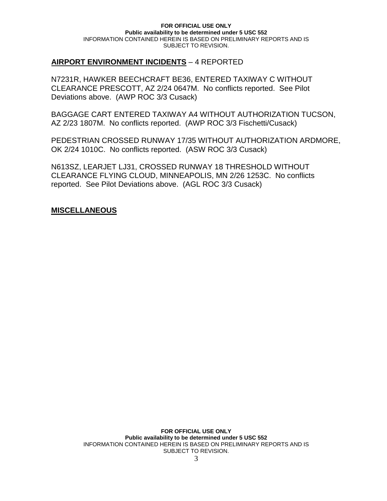## **AIRPORT ENVIRONMENT INCIDENTS** – 4 REPORTED

N7231R, HAWKER BEECHCRAFT BE36, ENTERED TAXIWAY C WITHOUT CLEARANCE PRESCOTT, AZ 2/24 0647M. No conflicts reported. See Pilot Deviations above. (AWP ROC 3/3 Cusack)

BAGGAGE CART ENTERED TAXIWAY A4 WITHOUT AUTHORIZATION TUCSON, AZ 2/23 1807M. No conflicts reported. (AWP ROC 3/3 Fischetti/Cusack)

PEDESTRIAN CROSSED RUNWAY 17/35 WITHOUT AUTHORIZATION ARDMORE, OK 2/24 1010C. No conflicts reported. (ASW ROC 3/3 Cusack)

N613SZ, LEARJET LJ31, CROSSED RUNWAY 18 THRESHOLD WITHOUT CLEARANCE FLYING CLOUD, MINNEAPOLIS, MN 2/26 1253C. No conflicts reported. See Pilot Deviations above. (AGL ROC 3/3 Cusack)

## **MISCELLANEOUS**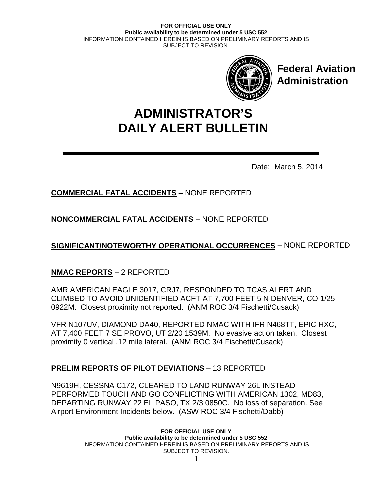

**Federal Aviation Administration**

# **DAILY ALERT BULLETIN ADMINISTRATOR'S**

Date: March 5, 2014

# **COMMERCIAL FATAL ACCIDENTS** – NONE REPORTED

**NONCOMMERCIAL FATAL ACCIDENTS** – NONE REPORTED

**SIGNIFICANT/NOTEWORTHY OPERATIONAL OCCURRENCES** – NONE REPORTED

## **NMAC REPORTS** – 2 REPORTED

AMR AMERICAN EAGLE 3017, CRJ7, RESPONDED TO TCAS ALERT AND CLIMBED TO AVOID UNIDENTIFIED ACFT AT 7,700 FEET 5 N DENVER, CO 1/25 0922M. Closest proximity not reported. (ANM ROC 3/4 Fischetti/Cusack)

VFR N107UV, DIAMOND DA40, REPORTED NMAC WITH IFR N468TT, EPIC HXC, AT 7,400 FEET 7 SE PROVO, UT 2/20 1539M. No evasive action taken. Closest proximity 0 vertical .12 mile lateral. (ANM ROC 3/4 Fischetti/Cusack)

# **PRELIM REPORTS OF PILOT DEVIATIONS** – 13 REPORTED

N9619H, CESSNA C172, CLEARED TO LAND RUNWAY 26L INSTEAD PERFORMED TOUCH AND GO CONFLICTING WITH AMERICAN 1302, MD83, DEPARTING RUNWAY 22 EL PASO, TX 2/3 0850C. No loss of separation. See Airport Environment Incidents below. (ASW ROC 3/4 Fischetti/Dabb)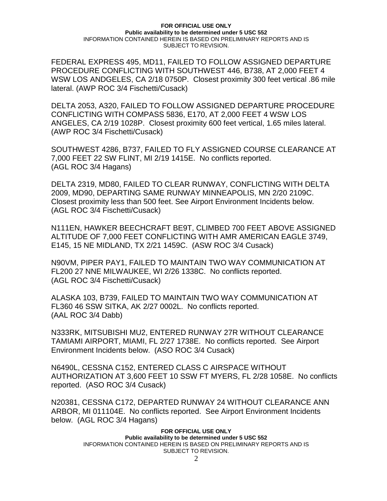FEDERAL EXPRESS 495, MD11, FAILED TO FOLLOW ASSIGNED DEPARTURE PROCEDURE CONFLICTING WITH SOUTHWEST 446, B738, AT 2,000 FEET 4 WSW LOS ANDGELES, CA 2/18 0750P. Closest proximity 300 feet vertical .86 mile lateral. (AWP ROC 3/4 Fischetti/Cusack)

DELTA 2053, A320, FAILED TO FOLLOW ASSIGNED DEPARTURE PROCEDURE CONFLICTING WITH COMPASS 5836, E170, AT 2,000 FEET 4 WSW LOS ANGELES, CA 2/19 1028P. Closest proximity 600 feet vertical, 1.65 miles lateral. (AWP ROC 3/4 Fischetti/Cusack)

SOUTHWEST 4286, B737, FAILED TO FLY ASSIGNED COURSE CLEARANCE AT 7,000 FEET 22 SW FLINT, MI 2/19 1415E. No conflicts reported. (AGL ROC 3/4 Hagans)

DELTA 2319, MD80, FAILED TO CLEAR RUNWAY, CONFLICTING WITH DELTA 2009, MD90, DEPARTING SAME RUNWAY MINNEAPOLIS, MN 2/20 2109C. Closest proximity less than 500 feet. See Airport Environment Incidents below. (AGL ROC 3/4 Fischetti/Cusack)

N111EN, HAWKER BEECHCRAFT BE9T, CLIMBED 700 FEET ABOVE ASSIGNED ALTITUDE OF 7,000 FEET CONFLICTING WITH AMR AMERICAN EAGLE 3749, E145, 15 NE MIDLAND, TX 2/21 1459C. (ASW ROC 3/4 Cusack)

N90VM, PIPER PAY1, FAILED TO MAINTAIN TWO WAY COMMUNICATION AT FL200 27 NNE MILWAUKEE, WI 2/26 1338C. No conflicts reported. (AGL ROC 3/4 Fischetti/Cusack)

ALASKA 103, B739, FAILED TO MAINTAIN TWO WAY COMMUNICATION AT FL360 46 SSW SITKA, AK 2/27 0002L. No conflicts reported. (AAL ROC 3/4 Dabb)

N333RK, MITSUBISHI MU2, ENTERED RUNWAY 27R WITHOUT CLEARANCE TAMIAMI AIRPORT, MIAMI, FL 2/27 1738E. No conflicts reported. See Airport Environment Incidents below. (ASO ROC 3/4 Cusack)

N6490L, CESSNA C152, ENTERED CLASS C AIRSPACE WITHOUT AUTHORIZATION AT 3,600 FEET 10 SSW FT MYERS, FL 2/28 1058E. No conflicts reported. (ASO ROC 3/4 Cusack)

N20381, CESSNA C172, DEPARTED RUNWAY 24 WITHOUT CLEARANCE ANN ARBOR, MI 011104E. No conflicts reported. See Airport Environment Incidents below. (AGL ROC 3/4 Hagans)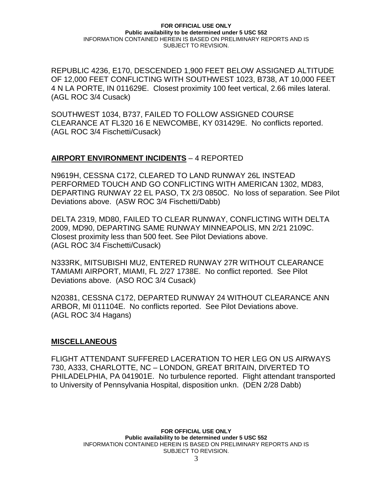REPUBLIC 4236, E170, DESCENDED 1,900 FEET BELOW ASSIGNED ALTITUDE OF 12,000 FEET CONFLICTING WITH SOUTHWEST 1023, B738, AT 10,000 FEET 4 N LA PORTE, IN 011629E. Closest proximity 100 feet vertical, 2.66 miles lateral. (AGL ROC 3/4 Cusack)

SOUTHWEST 1034, B737, FAILED TO FOLLOW ASSIGNED COURSE CLEARANCE AT FL320 16 E NEWCOMBE, KY 031429E. No conflicts reported. (AGL ROC 3/4 Fischetti/Cusack)

## **AIRPORT ENVIRONMENT INCIDENTS** – 4 REPORTED

N9619H, CESSNA C172, CLEARED TO LAND RUNWAY 26L INSTEAD PERFORMED TOUCH AND GO CONFLICTING WITH AMERICAN 1302, MD83, DEPARTING RUNWAY 22 EL PASO, TX 2/3 0850C. No loss of separation. See Pilot Deviations above. (ASW ROC 3/4 Fischetti/Dabb)

DELTA 2319, MD80, FAILED TO CLEAR RUNWAY, CONFLICTING WITH DELTA 2009, MD90, DEPARTING SAME RUNWAY MINNEAPOLIS, MN 2/21 2109C. Closest proximity less than 500 feet. See Pilot Deviations above. (AGL ROC 3/4 Fischetti/Cusack)

N333RK, MITSUBISHI MU2, ENTERED RUNWAY 27R WITHOUT CLEARANCE TAMIAMI AIRPORT, MIAMI, FL 2/27 1738E. No conflict reported. See Pilot Deviations above. (ASO ROC 3/4 Cusack)

N20381, CESSNA C172, DEPARTED RUNWAY 24 WITHOUT CLEARANCE ANN ARBOR, MI 011104E. No conflicts reported. See Pilot Deviations above. (AGL ROC 3/4 Hagans)

### **MISCELLANEOUS**

FLIGHT ATTENDANT SUFFERED LACERATION TO HER LEG ON US AIRWAYS 730, A333, CHARLOTTE, NC – LONDON, GREAT BRITAIN, DIVERTED TO PHILADELPHIA, PA 041901E. No turbulence reported. Flight attendant transported to University of Pennsylvania Hospital, disposition unkn. (DEN 2/28 Dabb)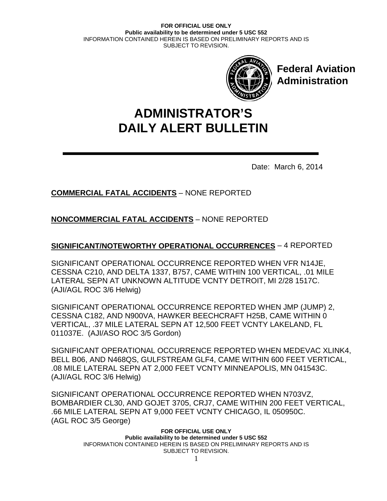

**Federal Aviation Administration**

# **DAILY ALERT BULLETIN ADMINISTRATOR'S**

Date: March 6, 2014

# **COMMERCIAL FATAL ACCIDENTS** – NONE REPORTED

**NONCOMMERCIAL FATAL ACCIDENTS** – NONE REPORTED

## **SIGNIFICANT/NOTEWORTHY OPERATIONAL OCCURRENCES** – 4 REPORTED

SIGNIFICANT OPERATIONAL OCCURRENCE REPORTED WHEN VFR N14JE, CESSNA C210, AND DELTA 1337, B757, CAME WITHIN 100 VERTICAL, .01 MILE LATERAL SEPN AT UNKNOWN ALTITUDE VCNTY DETROIT, MI 2/28 1517C. (AJI/AGL ROC 3/6 Helwig)

SIGNIFICANT OPERATIONAL OCCURRENCE REPORTED WHEN JMP (JUMP) 2, CESSNA C182, AND N900VA, HAWKER BEECHCRAFT H25B, CAME WITHIN 0 VERTICAL, .37 MILE LATERAL SEPN AT 12,500 FEET VCNTY LAKELAND, FL 011037E. (AJI/ASO ROC 3/5 Gordon)

SIGNIFICANT OPERATIONAL OCCURRENCE REPORTED WHEN MEDEVAC XLINK4, BELL B06, AND N468QS, GULFSTREAM GLF4, CAME WITHIN 600 FEET VERTICAL, .08 MILE LATERAL SEPN AT 2,000 FEET VCNTY MINNEAPOLIS, MN 041543C. (AJI/AGL ROC 3/6 Helwig)

SIGNIFICANT OPERATIONAL OCCURRENCE REPORTED WHEN N703VZ, BOMBARDIER CL30, AND GOJET 3705, CRJ7, CAME WITHIN 200 FEET VERTICAL, .66 MILE LATERAL SEPN AT 9,000 FEET VCNTY CHICAGO, IL 050950C. (AGL ROC 3/5 George)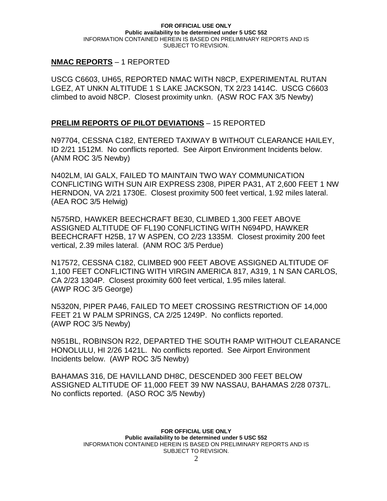## **NMAC REPORTS** – 1 REPORTED

USCG C6603, UH65, REPORTED NMAC WITH N8CP, EXPERIMENTAL RUTAN LGEZ, AT UNKN ALTITUDE 1 S LAKE JACKSON, TX 2/23 1414C. USCG C6603 climbed to avoid N8CP. Closest proximity unkn. (ASW ROC FAX 3/5 Newby)

## **PRELIM REPORTS OF PILOT DEVIATIONS** – 15 REPORTED

N97704, CESSNA C182, ENTERED TAXIWAY B WITHOUT CLEARANCE HAILEY, ID 2/21 1512M. No conflicts reported. See Airport Environment Incidents below. (ANM ROC 3/5 Newby)

N402LM, IAI GALX, FAILED TO MAINTAIN TWO WAY COMMUNICATION CONFLICTING WITH SUN AIR EXPRESS 2308, PIPER PA31, AT 2,600 FEET 1 NW HERNDON, VA 2/21 1730E. Closest proximity 500 feet vertical, 1.92 miles lateral. (AEA ROC 3/5 Helwig)

N575RD, HAWKER BEECHCRAFT BE30, CLIMBED 1,300 FEET ABOVE ASSIGNED ALTITUDE OF FL190 CONFLICTING WITH N694PD, HAWKER BEECHCRAFT H25B, 17 W ASPEN, CO 2/23 1335M. Closest proximity 200 feet vertical, 2.39 miles lateral. (ANM ROC 3/5 Perdue)

N17572, CESSNA C182, CLIMBED 900 FEET ABOVE ASSIGNED ALTITUDE OF 1,100 FEET CONFLICTING WITH VIRGIN AMERICA 817, A319, 1 N SAN CARLOS, CA 2/23 1304P. Closest proximity 600 feet vertical, 1.95 miles lateral. (AWP ROC 3/5 George)

N5320N, PIPER PA46, FAILED TO MEET CROSSING RESTRICTION OF 14,000 FEET 21 W PALM SPRINGS, CA 2/25 1249P. No conflicts reported. (AWP ROC 3/5 Newby)

N951BL, ROBINSON R22, DEPARTED THE SOUTH RAMP WITHOUT CLEARANCE HONOLULU, HI 2/26 1421L. No conflicts reported. See Airport Environment Incidents below. (AWP ROC 3/5 Newby)

BAHAMAS 316, DE HAVILLAND DH8C, DESCENDED 300 FEET BELOW ASSIGNED ALTITUDE OF 11,000 FEET 39 NW NASSAU, BAHAMAS 2/28 0737L. No conflicts reported. (ASO ROC 3/5 Newby)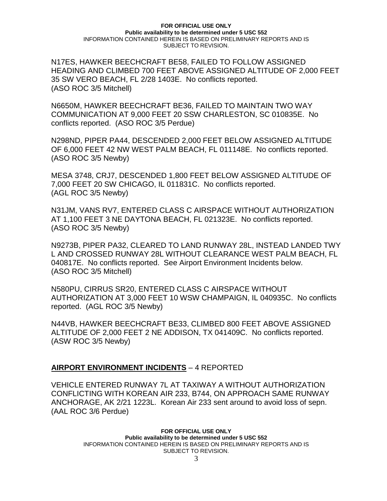N17ES, HAWKER BEECHCRAFT BE58, FAILED TO FOLLOW ASSIGNED HEADING AND CLIMBED 700 FEET ABOVE ASSIGNED ALTITUDE OF 2,000 FEET 35 SW VERO BEACH, FL 2/28 1403E. No conflicts reported. (ASO ROC 3/5 Mitchell)

N6650M, HAWKER BEECHCRAFT BE36, FAILED TO MAINTAIN TWO WAY COMMUNICATION AT 9,000 FEET 20 SSW CHARLESTON, SC 010835E. No conflicts reported. (ASO ROC 3/5 Perdue)

N298ND, PIPER PA44, DESCENDED 2,000 FEET BELOW ASSIGNED ALTITUDE OF 6,000 FEET 42 NW WEST PALM BEACH, FL 011148E. No conflicts reported. (ASO ROC 3/5 Newby)

MESA 3748, CRJ7, DESCENDED 1,800 FEET BELOW ASSIGNED ALTITUDE OF 7,000 FEET 20 SW CHICAGO, IL 011831C. No conflicts reported. (AGL ROC 3/5 Newby)

N31JM, VANS RV7, ENTERED CLASS C AIRSPACE WITHOUT AUTHORIZATION AT 1,100 FEET 3 NE DAYTONA BEACH, FL 021323E. No conflicts reported. (ASO ROC 3/5 Newby)

N9273B, PIPER PA32, CLEARED TO LAND RUNWAY 28L, INSTEAD LANDED TWY L AND CROSSED RUNWAY 28L WITHOUT CLEARANCE WEST PALM BEACH, FL 040817E. No conflicts reported. See Airport Environment Incidents below. (ASO ROC 3/5 Mitchell)

N580PU, CIRRUS SR20, ENTERED CLASS C AIRSPACE WITHOUT AUTHORIZATION AT 3,000 FEET 10 WSW CHAMPAIGN, IL 040935C. No conflicts reported. (AGL ROC 3/5 Newby)

N44VB, HAWKER BEECHCRAFT BE33, CLIMBED 800 FEET ABOVE ASSIGNED ALTITUDE OF 2,000 FEET 2 NE ADDISON, TX 041409C. No conflicts reported. (ASW ROC 3/5 Newby)

### **AIRPORT ENVIRONMENT INCIDENTS** – 4 REPORTED

VEHICLE ENTERED RUNWAY 7L AT TAXIWAY A WITHOUT AUTHORIZATION CONFLICTING WITH KOREAN AIR 233, B744, ON APPROACH SAME RUNWAY ANCHORAGE, AK 2/21 1223L. Korean Air 233 sent around to avoid loss of sepn. (AAL ROC 3/6 Perdue)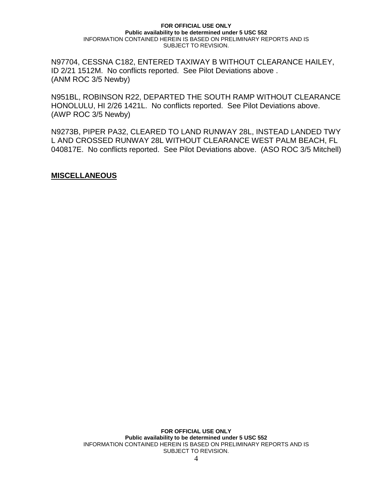N97704, CESSNA C182, ENTERED TAXIWAY B WITHOUT CLEARANCE HAILEY, ID 2/21 1512M. No conflicts reported. See Pilot Deviations above . (ANM ROC 3/5 Newby)

N951BL, ROBINSON R22, DEPARTED THE SOUTH RAMP WITHOUT CLEARANCE HONOLULU, HI 2/26 1421L. No conflicts reported. See Pilot Deviations above. (AWP ROC 3/5 Newby)

N9273B, PIPER PA32, CLEARED TO LAND RUNWAY 28L, INSTEAD LANDED TWY L AND CROSSED RUNWAY 28L WITHOUT CLEARANCE WEST PALM BEACH, FL 040817E. No conflicts reported. See Pilot Deviations above. (ASO ROC 3/5 Mitchell)

**MISCELLANEOUS**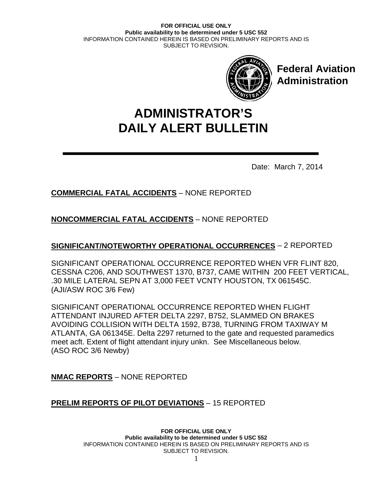

**Federal Aviation Administration**

# **DAILY ALERT BULLETIN ADMINISTRATOR'S**

Date: March 7, 2014

# **COMMERCIAL FATAL ACCIDENTS** – NONE REPORTED

## **NONCOMMERCIAL FATAL ACCIDENTS** – NONE REPORTED

## **SIGNIFICANT/NOTEWORTHY OPERATIONAL OCCURRENCES** – 2 REPORTED

SIGNIFICANT OPERATIONAL OCCURRENCE REPORTED WHEN VFR FLINT 820, CESSNA C206, AND SOUTHWEST 1370, B737, CAME WITHIN 200 FEET VERTICAL, .30 MILE LATERAL SEPN AT 3,000 FEET VCNTY HOUSTON, TX 061545C. (AJI/ASW ROC 3/6 Few)

SIGNIFICANT OPERATIONAL OCCURRENCE REPORTED WHEN FLIGHT ATTENDANT INJURED AFTER DELTA 2297, B752, SLAMMED ON BRAKES AVOIDING COLLISION WITH DELTA 1592, B738, TURNING FROM TAXIWAY M ATLANTA, GA 061345E. Delta 2297 returned to the gate and requested paramedics meet acft. Extent of flight attendant injury unkn. See Miscellaneous below. (ASO ROC 3/6 Newby)

**NMAC REPORTS** – NONE REPORTED

## **PRELIM REPORTS OF PILOT DEVIATIONS** – 15 REPORTED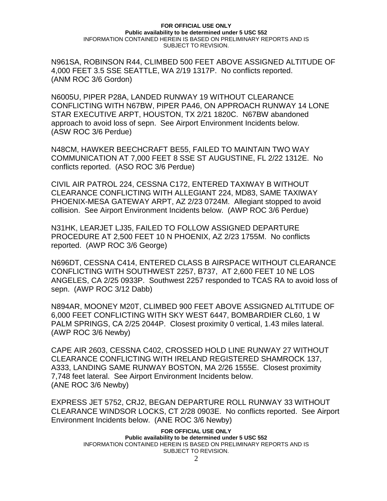N961SA, ROBINSON R44, CLIMBED 500 FEET ABOVE ASSIGNED ALTITUDE OF 4,000 FEET 3.5 SSE SEATTLE, WA 2/19 1317P. No conflicts reported. (ANM ROC 3/6 Gordon)

N6005U, PIPER P28A, LANDED RUNWAY 19 WITHOUT CLEARANCE CONFLICTING WITH N67BW, PIPER PA46, ON APPROACH RUNWAY 14 LONE STAR EXECUTIVE ARPT, HOUSTON, TX 2/21 1820C. N67BW abandoned approach to avoid loss of sepn. See Airport Environment Incidents below. (ASW ROC 3/6 Perdue)

N48CM, HAWKER BEECHCRAFT BE55, FAILED TO MAINTAIN TWO WAY COMMUNICATION AT 7,000 FEET 8 SSE ST AUGUSTINE, FL 2/22 1312E. No conflicts reported. (ASO ROC 3/6 Perdue)

CIVIL AIR PATROL 224, CESSNA C172, ENTERED TAXIWAY B WITHOUT CLEARANCE CONFLICTING WITH ALLEGIANT 224, MD83, SAME TAXIWAY PHOENIX-MESA GATEWAY ARPT, AZ 2/23 0724M. Allegiant stopped to avoid collision. See Airport Environment Incidents below. (AWP ROC 3/6 Perdue)

N31HK, LEARJET LJ35, FAILED TO FOLLOW ASSIGNED DEPARTURE PROCEDURE AT 2,500 FEET 10 N PHOENIX, AZ 2/23 1755M. No conflicts reported. (AWP ROC 3/6 George)

N696DT, CESSNA C414, ENTERED CLASS B AIRSPACE WITHOUT CLEARANCE CONFLICTING WITH SOUTHWEST 2257, B737, AT 2,600 FEET 10 NE LOS ANGELES, CA 2/25 0933P. Southwest 2257 responded to TCAS RA to avoid loss of sepn. (AWP ROC 3/12 Dabb)

N894AR, MOONEY M20T, CLIMBED 900 FEET ABOVE ASSIGNED ALTITUDE OF 6,000 FEET CONFLICTING WITH SKY WEST 6447, BOMBARDIER CL60, 1 W PALM SPRINGS, CA 2/25 2044P. Closest proximity 0 vertical, 1.43 miles lateral. (AWP ROC 3/6 Newby)

CAPE AIR 2603, CESSNA C402, CROSSED HOLD LINE RUNWAY 27 WITHOUT CLEARANCE CONFLICTING WITH IRELAND REGISTERED SHAMROCK 137, A333, LANDING SAME RUNWAY BOSTON, MA 2/26 1555E. Closest proximity 7,748 feet lateral. See Airport Environment Incidents below. (ANE ROC 3/6 Newby)

EXPRESS JET 5752, CRJ2, BEGAN DEPARTURE ROLL RUNWAY 33 WITHOUT CLEARANCE WINDSOR LOCKS, CT 2/28 0903E. No conflicts reported. See Airport Environment Incidents below. (ANE ROC 3/6 Newby)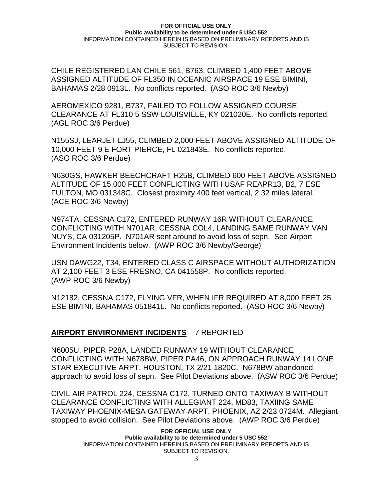CHILE REGISTERED LAN CHILE 561, B763, CLIMBED 1,400 FEET ABOVE ASSIGNED ALTITUDE OF FL350 IN OCEANIC AIRSPACE 19 ESE BIMINI, BAHAMAS 2/28 0913L. No conflicts reported. (ASO ROC 3/6 Newby)

AEROMEXICO 9281, B737, FAILED TO FOLLOW ASSIGNED COURSE CLEARANCE AT FL310 5 SSW LOUISVILLE, KY 021020E. No conflicts reported. (AGL ROC 3/6 Perdue)

N155SJ, LEARJET LJ55, CLIMBED 2,000 FEET ABOVE ASSIGNED ALTITUDE OF 10,000 FEET 9 E FORT PIERCE, FL 021843E. No conflicts reported. (ASO ROC 3/6 Perdue)

N630GS, HAWKER BEECHCRAFT H25B, CLIMBED 600 FEET ABOVE ASSIGNED ALTITUDE OF 15,000 FEET CONFLICTING WITH USAF REAPR13, B2, 7 ESE FULTON, MO 031348C. Closest proximity 400 feet vertical, 2.32 miles lateral. (ACE ROC 3/6 Newby)

N974TA, CESSNA C172, ENTERED RUNWAY 16R WITHOUT CLEARANCE CONFLICTING WITH N701AR, CESSNA COL4, LANDING SAME RUNWAY VAN NUYS, CA 031205P. N701AR sent around to avoid loss of sepn. See Airport Environment Incidents below. (AWP ROC 3/6 Newby/George)

USN DAWG22, T34, ENTERED CLASS C AIRSPACE WITHOUT AUTHORIZATION AT 2,100 FEET 3 ESE FRESNO, CA 041558P. No conflicts reported. (AWP ROC 3/6 Newby)

N12182, CESSNA C172, FLYING VFR, WHEN IFR REQUIRED AT 8,000 FEET 25 ESE BIMINI, BAHAMAS 051841L. No conflicts reported. (ASO ROC 3/6 Newby)

### **AIRPORT ENVIRONMENT INCIDENTS** – 7 REPORTED

N6005U, PIPER P28A, LANDED RUNWAY 19 WITHOUT CLEARANCE CONFLICTING WITH N678BW, PIPER PA46, ON APPROACH RUNWAY 14 LONE STAR EXECUTIVE ARPT, HOUSTON, TX 2/21 1820C. N678BW abandoned approach to avoid loss of sepn. See Pilot Deviations above. (ASW ROC 3/6 Perdue)

CIVIL AIR PATROL 224, CESSNA C172, TURNED ONTO TAXIWAY B WITHOUT CLEARANCE CONFLICTING WITH ALLEGIANT 224, MD83, TAXIING SAME TAXIWAY PHOENIX-MESA GATEWAY ARPT, PHOENIX, AZ 2/23 0724M. Allegiant stopped to avoid collision. See Pilot Deviations above. (AWP ROC 3/6 Perdue)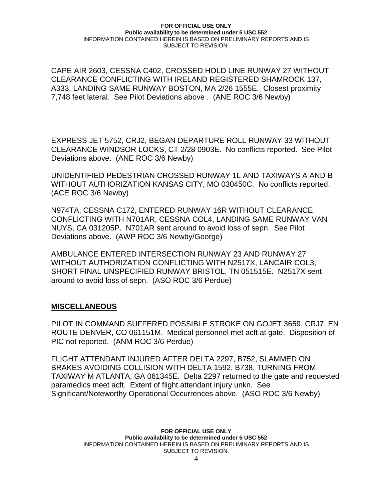CAPE AIR 2603, CESSNA C402, CROSSED HOLD LINE RUNWAY 27 WITHOUT CLEARANCE CONFLICTING WITH IRELAND REGISTERED SHAMROCK 137, A333, LANDING SAME RUNWAY BOSTON, MA 2/26 1555E. Closest proximity 7,748 feet lateral. See Pilot Deviations above . (ANE ROC 3/6 Newby)

EXPRESS JET 5752, CRJ2, BEGAN DEPARTURE ROLL RUNWAY 33 WITHOUT CLEARANCE WINDSOR LOCKS, CT 2/28 0903E. No conflicts reported. See Pilot Deviations above. (ANE ROC 3/6 Newby)

UNIDENTIFIED PEDESTRIAN CROSSED RUNWAY 1L AND TAXIWAYS A AND B WITHOUT AUTHORIZATION KANSAS CITY, MO 030450C. No conflicts reported. (ACE ROC 3/6 Newby)

N974TA, CESSNA C172, ENTERED RUNWAY 16R WITHOUT CLEARANCE CONFLICTING WITH N701AR, CESSNA COL4, LANDING SAME RUNWAY VAN NUYS, CA 031205P. N701AR sent around to avoid loss of sepn. See Pilot Deviations above. (AWP ROC 3/6 Newby/George)

AMBULANCE ENTERED INTERSECTION RUNWAY 23 AND RUNWAY 27 WITHOUT AUTHORIZATION CONFLICTING WITH N2517X, LANCAIR COL3, SHORT FINAL UNSPECIFIED RUNWAY BRISTOL, TN 051515E. N2517X sent around to avoid loss of sepn. (ASO ROC 3/6 Perdue)

### **MISCELLANEOUS**

PILOT IN COMMAND SUFFERED POSSIBLE STROKE ON GOJET 3659, CRJ7, EN ROUTE DENVER, CO 061151M. Medical personnel met acft at gate. Disposition of PIC not reported. (ANM ROC 3/6 Perdue)

FLIGHT ATTENDANT INJURED AFTER DELTA 2297, B752, SLAMMED ON BRAKES AVOIDING COLLISION WITH DELTA 1592, B738, TURNING FROM TAXIWAY M ATLANTA, GA 061345E. Delta 2297 returned to the gate and requested paramedics meet acft. Extent of flight attendant injury unkn. See Significant/Noteworthy Operational Occurrences above. (ASO ROC 3/6 Newby)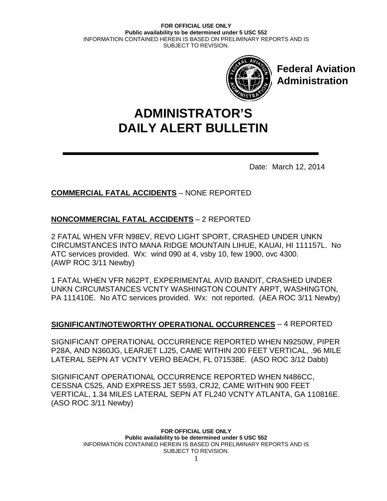

**Federal Aviation Administration**

# **DAILY ALERT BULLETIN ADMINISTRATOR'S**

Date: March 12, 2014

# **COMMERCIAL FATAL ACCIDENTS** – NONE REPORTED

## **NONCOMMERCIAL FATAL ACCIDENTS** – 2 REPORTED

2 FATAL WHEN VFR N98EV, REVO LIGHT SPORT, CRASHED UNDER UNKN CIRCUMSTANCES INTO MANA RIDGE MOUNTAIN LIHUE, KAUAI, HI 111157L. No ATC services provided. Wx: wind 090 at 4, vsby 10, few 1900, ovc 4300. (AWP ROC 3/11 Newby)

1 FATAL WHEN VFR N62PT, EXPERIMENTAL AVID BANDIT, CRASHED UNDER UNKN CIRCUMSTANCES VCNTY WASHINGTON COUNTY ARPT, WASHINGTON, PA 111410E. No ATC services provided. Wx: not reported. (AEA ROC 3/11 Newby)

## **SIGNIFICANT/NOTEWORTHY OPERATIONAL OCCURRENCES** – 4 REPORTED

SIGNIFICANT OPERATIONAL OCCURRENCE REPORTED WHEN N9250W, PIPER P28A, AND N360JG, LEARJET LJ25, CAME WITHIN 200 FEET VERTICAL, .96 MILE LATERAL SEPN AT VCNTY VERO BEACH, FL 071538E. (ASO ROC 3/12 Dabb)

SIGNIFICANT OPERATIONAL OCCURRENCE REPORTED WHEN N486CC, CESSNA C525, AND EXPRESS JET 5593, CRJ2, CAME WITHIN 900 FEET VERTICAL, 1.34 MILES LATERAL SEPN AT FL240 VCNTY ATLANTA, GA 110816E. (ASO ROC 3/11 Newby)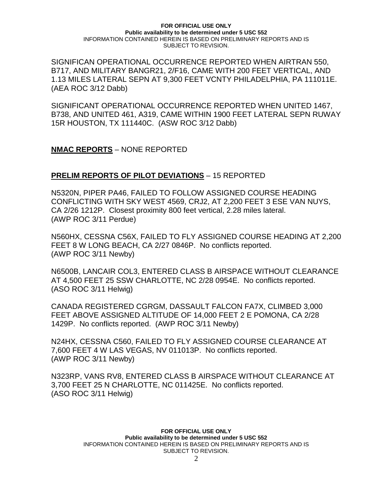SIGNIFICAN OPERATIONAL OCCURRENCE REPORTED WHEN AIRTRAN 550, B717, AND MILITARY BANGR21, 2/F16, CAME WITH 200 FEET VERTICAL, AND 1.13 MILES LATERAL SEPN AT 9,300 FEET VCNTY PHILADELPHIA, PA 111011E. (AEA ROC 3/12 Dabb)

SIGNIFICANT OPERATIONAL OCCURRENCE REPORTED WHEN UNITED 1467, B738, AND UNITED 461, A319, CAME WITHIN 1900 FEET LATERAL SEPN RUWAY 15R HOUSTON, TX 111440C. (ASW ROC 3/12 Dabb)

**NMAC REPORTS** – NONE REPORTED

## **PRELIM REPORTS OF PILOT DEVIATIONS** – 15 REPORTED

N5320N, PIPER PA46, FAILED TO FOLLOW ASSIGNED COURSE HEADING CONFLICTING WITH SKY WEST 4569, CRJ2, AT 2,200 FEET 3 ESE VAN NUYS, CA 2/26 1212P. Closest proximity 800 feet vertical, 2.28 miles lateral. (AWP ROC 3/11 Perdue)

N560HX, CESSNA C56X, FAILED TO FLY ASSIGNED COURSE HEADING AT 2,200 FEET 8 W LONG BEACH, CA 2/27 0846P. No conflicts reported. (AWP ROC 3/11 Newby)

N6500B, LANCAIR COL3, ENTERED CLASS B AIRSPACE WITHOUT CLEARANCE AT 4,500 FEET 25 SSW CHARLOTTE, NC 2/28 0954E. No conflicts reported. (ASO ROC 3/11 Helwig)

CANADA REGISTERED CGRGM, DASSAULT FALCON FA7X, CLIMBED 3,000 FEET ABOVE ASSIGNED ALTITUDE OF 14,000 FEET 2 E POMONA, CA 2/28 1429P. No conflicts reported. (AWP ROC 3/11 Newby)

N24HX, CESSNA C560, FAILED TO FLY ASSIGNED COURSE CLEARANCE AT 7,600 FEET 4 W LAS VEGAS, NV 011013P. No conflicts reported. (AWP ROC 3/11 Newby)

N323RP, VANS RV8, ENTERED CLASS B AIRSPACE WITHOUT CLEARANCE AT 3,700 FEET 25 N CHARLOTTE, NC 011425E. No conflicts reported. (ASO ROC 3/11 Helwig)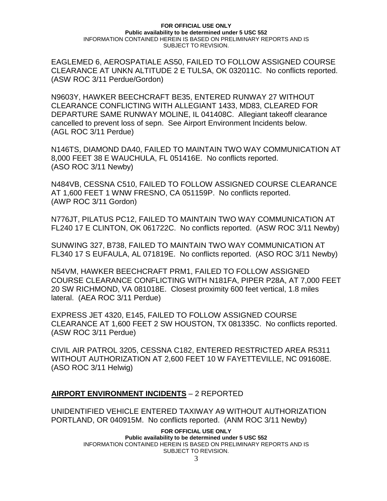EAGLEMED 6, AEROSPATIALE AS50, FAILED TO FOLLOW ASSIGNED COURSE CLEARANCE AT UNKN ALTITUDE 2 E TULSA, OK 032011C. No conflicts reported. (ASW ROC 3/11 Perdue/Gordon)

N9603Y, HAWKER BEECHCRAFT BE35, ENTERED RUNWAY 27 WITHOUT CLEARANCE CONFLICTING WITH ALLEGIANT 1433, MD83, CLEARED FOR DEPARTURE SAME RUNWAY MOLINE, IL 041408C. Allegiant takeoff clearance cancelled to prevent loss of sepn. See Airport Environment Incidents below. (AGL ROC 3/11 Perdue)

N146TS, DIAMOND DA40, FAILED TO MAINTAIN TWO WAY COMMUNICATION AT 8,000 FEET 38 E WAUCHULA, FL 051416E. No conflicts reported. (ASO ROC 3/11 Newby)

N484VB, CESSNA C510, FAILED TO FOLLOW ASSIGNED COURSE CLEARANCE AT 1,600 FEET 1 WNW FRESNO, CA 051159P. No conflicts reported. (AWP ROC 3/11 Gordon)

N776JT, PILATUS PC12, FAILED TO MAINTAIN TWO WAY COMMUNICATION AT FL240 17 E CLINTON, OK 061722C. No conflicts reported. (ASW ROC 3/11 Newby)

SUNWING 327, B738, FAILED TO MAINTAIN TWO WAY COMMUNICATION AT FL340 17 S EUFAULA, AL 071819E. No conflicts reported. (ASO ROC 3/11 Newby)

N54VM, HAWKER BEECHCRAFT PRM1, FAILED TO FOLLOW ASSIGNED COURSE CLEARANCE CONFLICTING WITH N181FA, PIPER P28A, AT 7,000 FEET 20 SW RICHMOND, VA 081018E. Closest proximity 600 feet vertical, 1.8 miles lateral. (AEA ROC 3/11 Perdue)

EXPRESS JET 4320, E145, FAILED TO FOLLOW ASSIGNED COURSE CLEARANCE AT 1,600 FEET 2 SW HOUSTON, TX 081335C. No conflicts reported. (ASW ROC 3/11 Perdue)

CIVIL AIR PATROL 3205, CESSNA C182, ENTERED RESTRICTED AREA R5311 WITHOUT AUTHORIZATION AT 2,600 FEET 10 W FAYETTEVILLE, NC 091608E. (ASO ROC 3/11 Helwig)

## **AIRPORT ENVIRONMENT INCIDENTS** – 2 REPORTED

UNIDENTIFIED VEHICLE ENTERED TAXIWAY A9 WITHOUT AUTHORIZATION PORTLAND, OR 040915M. No conflicts reported. (ANM ROC 3/11 Newby)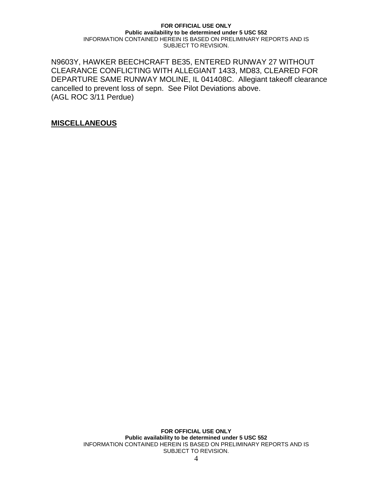N9603Y, HAWKER BEECHCRAFT BE35, ENTERED RUNWAY 27 WITHOUT CLEARANCE CONFLICTING WITH ALLEGIANT 1433, MD83, CLEARED FOR DEPARTURE SAME RUNWAY MOLINE, IL 041408C. Allegiant takeoff clearance cancelled to prevent loss of sepn. See Pilot Deviations above. (AGL ROC 3/11 Perdue)

**MISCELLANEOUS**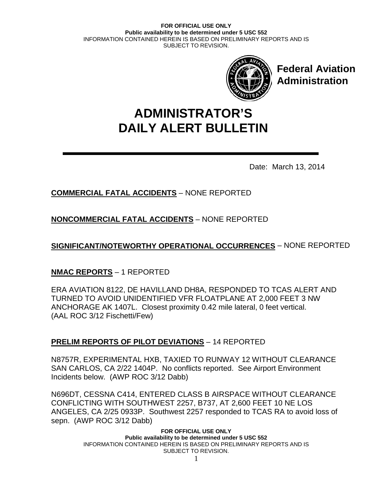

**Federal Aviation Administration**

# **DAILY ALERT BULLETIN ADMINISTRATOR'S**

Date: March 13, 2014

# **COMMERCIAL FATAL ACCIDENTS** – NONE REPORTED

**NONCOMMERCIAL FATAL ACCIDENTS** – NONE REPORTED

**SIGNIFICANT/NOTEWORTHY OPERATIONAL OCCURRENCES** – NONE REPORTED

## **NMAC REPORTS** – 1 REPORTED

ERA AVIATION 8122, DE HAVILLAND DH8A, RESPONDED TO TCAS ALERT AND TURNED TO AVOID UNIDENTIFIED VFR FLOATPLANE AT 2,000 FEET 3 NW ANCHORAGE AK 1407L. Closest proximity 0.42 mile lateral, 0 feet vertical. (AAL ROC 3/12 Fischetti/Few)

## **PRELIM REPORTS OF PILOT DEVIATIONS** – 14 REPORTED

N8757R, EXPERIMENTAL HXB, TAXIED TO RUNWAY 12 WITHOUT CLEARANCE SAN CARLOS, CA 2/22 1404P. No conflicts reported. See Airport Environment Incidents below. (AWP ROC 3/12 Dabb)

N696DT, CESSNA C414, ENTERED CLASS B AIRSPACE WITHOUT CLEARANCE CONFLICTING WITH SOUTHWEST 2257, B737, AT 2,600 FEET 10 NE LOS ANGELES, CA 2/25 0933P. Southwest 2257 responded to TCAS RA to avoid loss of sepn. (AWP ROC 3/12 Dabb)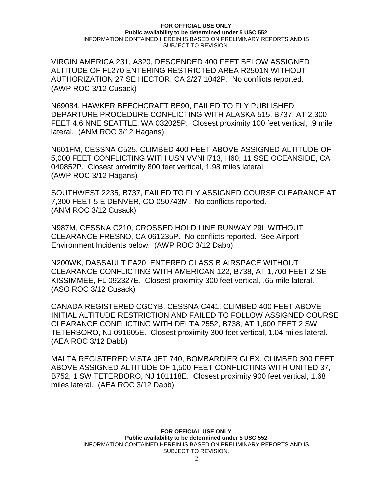VIRGIN AMERICA 231, A320, DESCENDED 400 FEET BELOW ASSIGNED ALTITUDE OF FL270 ENTERING RESTRICTED AREA R2501N WITHOUT AUTHORIZATION 27 SE HECTOR, CA 2/27 1042P. No conflicts reported. (AWP ROC 3/12 Cusack)

N69084, HAWKER BEECHCRAFT BE90, FAILED TO FLY PUBLISHED DEPARTURE PROCEDURE CONFLICTING WITH ALASKA 515, B737, AT 2,300 FEET 4.6 NNE SEATTLE, WA 032025P. Closest proximity 100 feet vertical, .9 mile lateral. (ANM ROC 3/12 Hagans)

N601FM, CESSNA C525, CLIMBED 400 FEET ABOVE ASSIGNED ALTITUDE OF 5,000 FEET CONFLICTING WITH USN VVNH713, H60, 11 SSE OCEANSIDE, CA 040852P. Closest proximity 800 feet vertical, 1.98 miles lateral. (AWP ROC 3/12 Hagans)

SOUTHWEST 2235, B737, FAILED TO FLY ASSIGNED COURSE CLEARANCE AT 7,300 FEET 5 E DENVER, CO 050743M. No conflicts reported. (ANM ROC 3/12 Cusack)

N987M, CESSNA C210, CROSSED HOLD LINE RUNWAY 29L WITHOUT CLEARANCE FRESNO, CA 061235P. No conflicts reported. See Airport Environment Incidents below. (AWP ROC 3/12 Dabb)

N200WK, DASSAULT FA20, ENTERED CLASS B AIRSPACE WITHOUT CLEARANCE CONFLICTING WITH AMERICAN 122, B738, AT 1,700 FEET 2 SE KISSIMMEE, FL 092327E. Closest proximity 300 feet vertical, .65 mile lateral. (ASO ROC 3/12 Cusack)

CANADA REGISTERED CGCYB, CESSNA C441, CLIMBED 400 FEET ABOVE INITIAL ALTITUDE RESTRICTION AND FAILED TO FOLLOW ASSIGNED COURSE CLEARANCE CONFLICTING WITH DELTA 2552, B738, AT 1,600 FEET 2 SW TETERBORO, NJ 091605E. Closest proximity 300 feet vertical, 1.04 miles lateral. (AEA ROC 3/12 Dabb)

MALTA REGISTERED VISTA JET 740, BOMBARDIER GLEX, CLIMBED 300 FEET ABOVE ASSIGNED ALTITUDE OF 1,500 FEET CONFLICTING WITH UNITED 37, B752, 1 SW TETERBORO, NJ 101118E. Closest proximity 900 feet vertical, 1.68 miles lateral. (AEA ROC 3/12 Dabb)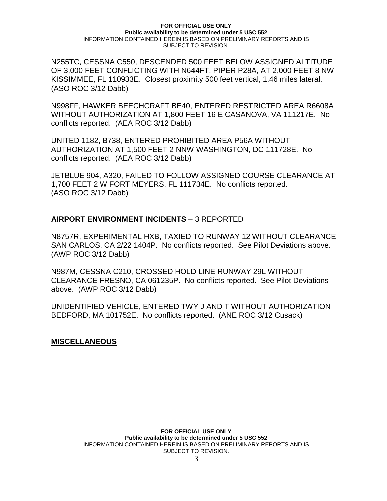N255TC, CESSNA C550, DESCENDED 500 FEET BELOW ASSIGNED ALTITUDE OF 3,000 FEET CONFLICTING WITH N644FT, PIPER P28A, AT 2,000 FEET 8 NW KISSIMMEE, FL 110933E. Closest proximity 500 feet vertical, 1.46 miles lateral. (ASO ROC 3/12 Dabb)

N998FF, HAWKER BEECHCRAFT BE40, ENTERED RESTRICTED AREA R6608A WITHOUT AUTHORIZATION AT 1,800 FEET 16 E CASANOVA, VA 111217E. No conflicts reported. (AEA ROC 3/12 Dabb)

UNITED 1182, B738, ENTERED PROHIBITED AREA P56A WITHOUT AUTHORIZATION AT 1,500 FEET 2 NNW WASHINGTON, DC 111728E. No conflicts reported. (AEA ROC 3/12 Dabb)

JETBLUE 904, A320, FAILED TO FOLLOW ASSIGNED COURSE CLEARANCE AT 1,700 FEET 2 W FORT MEYERS, FL 111734E. No conflicts reported. (ASO ROC 3/12 Dabb)

## **AIRPORT ENVIRONMENT INCIDENTS** – 3 REPORTED

N8757R, EXPERIMENTAL HXB, TAXIED TO RUNWAY 12 WITHOUT CLEARANCE SAN CARLOS, CA 2/22 1404P. No conflicts reported. See Pilot Deviations above. (AWP ROC 3/12 Dabb)

N987M, CESSNA C210, CROSSED HOLD LINE RUNWAY 29L WITHOUT CLEARANCE FRESNO, CA 061235P. No conflicts reported. See Pilot Deviations above. (AWP ROC 3/12 Dabb)

UNIDENTIFIED VEHICLE, ENTERED TWY J AND T WITHOUT AUTHORIZATION BEDFORD, MA 101752E. No conflicts reported. (ANE ROC 3/12 Cusack)

### **MISCELLANEOUS**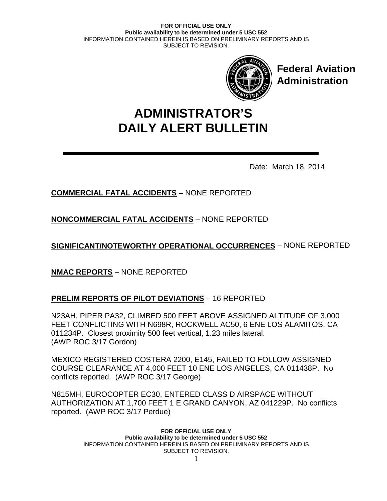

**Federal Aviation Administration**

# **DAILY ALERT BULLETIN ADMINISTRATOR'S**

Date: March 18, 2014

# **COMMERCIAL FATAL ACCIDENTS** – NONE REPORTED

**NONCOMMERCIAL FATAL ACCIDENTS** – NONE REPORTED

**SIGNIFICANT/NOTEWORTHY OPERATIONAL OCCURRENCES** – NONE REPORTED

**NMAC REPORTS** – NONE REPORTED

## **PRELIM REPORTS OF PILOT DEVIATIONS** – 16 REPORTED

N23AH, PIPER PA32, CLIMBED 500 FEET ABOVE ASSIGNED ALTITUDE OF 3,000 FEET CONFLICTING WITH N698R, ROCKWELL AC50, 6 ENE LOS ALAMITOS, CA 011234P. Closest proximity 500 feet vertical, 1.23 miles lateral. (AWP ROC 3/17 Gordon)

MEXICO REGISTERED COSTERA 2200, E145, FAILED TO FOLLOW ASSIGNED COURSE CLEARANCE AT 4,000 FEET 10 ENE LOS ANGELES, CA 011438P. No conflicts reported. (AWP ROC 3/17 George)

N815MH, EUROCOPTER EC30, ENTERED CLASS D AIRSPACE WITHOUT AUTHORIZATION AT 1,700 FEET 1 E GRAND CANYON, AZ 041229P. No conflicts reported. (AWP ROC 3/17 Perdue)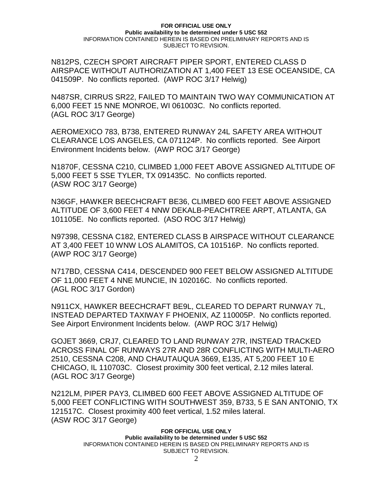N812PS, CZECH SPORT AIRCRAFT PIPER SPORT, ENTERED CLASS D AIRSPACE WITHOUT AUTHORIZATION AT 1,400 FEET 13 ESE OCEANSIDE, CA 041509P. No conflicts reported. (AWP ROC 3/17 Helwig)

N487SR, CIRRUS SR22, FAILED TO MAINTAIN TWO WAY COMMUNICATION AT 6,000 FEET 15 NNE MONROE, WI 061003C. No conflicts reported. (AGL ROC 3/17 George)

AEROMEXICO 783, B738, ENTERED RUNWAY 24L SAFETY AREA WITHOUT CLEARANCE LOS ANGELES, CA 071124P. No conflicts reported. See Airport Environment Incidents below. (AWP ROC 3/17 George)

N1870F, CESSNA C210, CLIMBED 1,000 FEET ABOVE ASSIGNED ALTITUDE OF 5,000 FEET 5 SSE TYLER, TX 091435C. No conflicts reported. (ASW ROC 3/17 George)

N36GF, HAWKER BEECHCRAFT BE36, CLIMBED 600 FEET ABOVE ASSIGNED ALTITUDE OF 3,600 FEET 4 NNW DEKALB-PEACHTREE ARPT, ATLANTA, GA 101105E. No conflicts reported. (ASO ROC 3/17 Helwig)

N97398, CESSNA C182, ENTERED CLASS B AIRSPACE WITHOUT CLEARANCE AT 3,400 FEET 10 WNW LOS ALAMITOS, CA 101516P. No conflicts reported. (AWP ROC 3/17 George)

N717BD, CESSNA C414, DESCENDED 900 FEET BELOW ASSIGNED ALTITUDE OF 11,000 FEET 4 NNE MUNCIE, IN 102016C. No conflicts reported. (AGL ROC 3/17 Gordon)

N911CX, HAWKER BEECHCRAFT BE9L, CLEARED TO DEPART RUNWAY 7L, INSTEAD DEPARTED TAXIWAY F PHOENIX, AZ 110005P. No conflicts reported. See Airport Environment Incidents below. (AWP ROC 3/17 Helwig)

GOJET 3669, CRJ7, CLEARED TO LAND RUNWAY 27R, INSTEAD TRACKED ACROSS FINAL OF RUNWAYS 27R AND 28R CONFLICTING WITH MULTI-AERO 2510, CESSNA C208, AND CHAUTAUQUA 3669, E135, AT 5,200 FEET 10 E CHICAGO, IL 110703C. Closest proximity 300 feet vertical, 2.12 miles lateral. (AGL ROC 3/17 George)

N212LM, PIPER PAY3, CLIMBED 600 FEET ABOVE ASSIGNED ALTITUDE OF 5,000 FEET CONFLICTING WITH SOUTHWEST 359, B733, 5 E SAN ANTONIO, TX 121517C. Closest proximity 400 feet vertical, 1.52 miles lateral. (ASW ROC 3/17 George)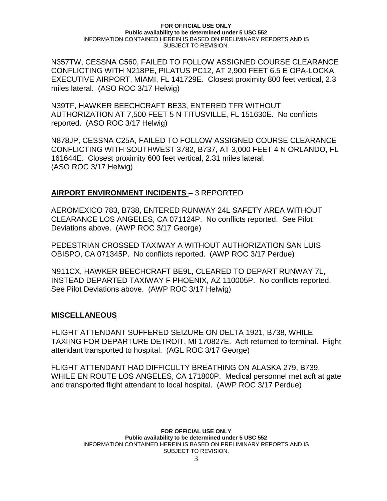N357TW, CESSNA C560, FAILED TO FOLLOW ASSIGNED COURSE CLEARANCE CONFLICTING WITH N218PE, PILATUS PC12, AT 2,900 FEET 6.5 E OPA-LOCKA EXECUTIVE AIRPORT, MIAMI, FL 141729E. Closest proximity 800 feet vertical, 2.3 miles lateral. (ASO ROC 3/17 Helwig)

N39TF, HAWKER BEECHCRAFT BE33, ENTERED TFR WITHOUT AUTHORIZATION AT 7,500 FEET 5 N TITUSVILLE, FL 151630E. No conflicts reported. (ASO ROC 3/17 Helwig)

N878JP, CESSNA C25A, FAILED TO FOLLOW ASSIGNED COURSE CLEARANCE CONFLICTING WITH SOUTHWEST 3782, B737, AT 3,000 FEET 4 N ORLANDO, FL 161644E. Closest proximity 600 feet vertical, 2.31 miles lateral. (ASO ROC 3/17 Helwig)

## **AIRPORT ENVIRONMENT INCIDENTS** – 3 REPORTED

AEROMEXICO 783, B738, ENTERED RUNWAY 24L SAFETY AREA WITHOUT CLEARANCE LOS ANGELES, CA 071124P. No conflicts reported. See Pilot Deviations above. (AWP ROC 3/17 George)

PEDESTRIAN CROSSED TAXIWAY A WITHOUT AUTHORIZATION SAN LUIS OBISPO, CA 071345P. No conflicts reported. (AWP ROC 3/17 Perdue)

N911CX, HAWKER BEECHCRAFT BE9L, CLEARED TO DEPART RUNWAY 7L, INSTEAD DEPARTED TAXIWAY F PHOENIX, AZ 110005P. No conflicts reported. See Pilot Deviations above. (AWP ROC 3/17 Helwig)

## **MISCELLANEOUS**

FLIGHT ATTENDANT SUFFERED SEIZURE ON DELTA 1921, B738, WHILE TAXIING FOR DEPARTURE DETROIT, MI 170827E. Acft returned to terminal. Flight attendant transported to hospital. (AGL ROC 3/17 George)

FLIGHT ATTENDANT HAD DIFFICULTY BREATHING ON ALASKA 279, B739, WHILE EN ROUTE LOS ANGELES, CA 171800P. Medical personnel met acft at gate and transported flight attendant to local hospital. (AWP ROC 3/17 Perdue)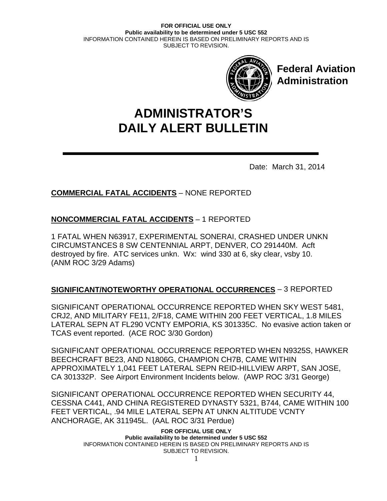

**Federal Aviation Administration**

# **DAILY ALERT BULLETIN ADMINISTRATOR'S**

Date: March 31, 2014

# **COMMERCIAL FATAL ACCIDENTS** – NONE REPORTED

# **NONCOMMERCIAL FATAL ACCIDENTS** – 1 REPORTED

1 FATAL WHEN N63917, EXPERIMENTAL SONERAI, CRASHED UNDER UNKN CIRCUMSTANCES 8 SW CENTENNIAL ARPT, DENVER, CO 291440M. Acft destroyed by fire. ATC services unkn. Wx: wind 330 at 6, sky clear, vsby 10. (ANM ROC 3/29 Adams)

# **SIGNIFICANT/NOTEWORTHY OPERATIONAL OCCURRENCES** – 3 REPORTED

SIGNIFICANT OPERATIONAL OCCURRENCE REPORTED WHEN SKY WEST 5481, CRJ2, AND MILITARY FE11, 2/F18, CAME WITHIN 200 FEET VERTICAL, 1.8 MILES LATERAL SEPN AT FL290 VCNTY EMPORIA, KS 301335C. No evasive action taken or TCAS event reported. (ACE ROC 3/30 Gordon)

SIGNIFICANT OPERATIONAL OCCURRENCE REPORTED WHEN N9325S, HAWKER BEECHCRAFT BE23, AND N1806G, CHAMPION CH7B, CAME WITHIN APPROXIMATELY 1,041 FEET LATERAL SEPN REID-HILLVIEW ARPT, SAN JOSE, CA 301332P. See Airport Environment Incidents below. (AWP ROC 3/31 George)

SIGNIFICANT OPERATIONAL OCCURRENCE REPORTED WHEN SECURITY 44, CESSNA C441, AND CHINA REGISTERED DYNASTY 5321, B744, CAME WITHIN 100 FEET VERTICAL, .94 MILE LATERAL SEPN AT UNKN ALTITUDE VCNTY ANCHORAGE, AK 311945L. (AAL ROC 3/31 Perdue)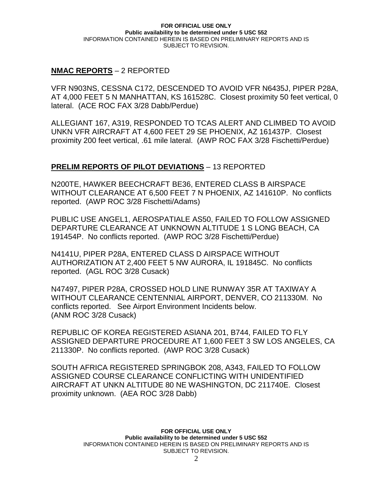## **NMAC REPORTS** – 2 REPORTED

VFR N903NS, CESSNA C172, DESCENDED TO AVOID VFR N6435J, PIPER P28A, AT 4,000 FEET 5 N MANHATTAN, KS 161528C. Closest proximity 50 feet vertical, 0 lateral. (ACE ROC FAX 3/28 Dabb/Perdue)

ALLEGIANT 167, A319, RESPONDED TO TCAS ALERT AND CLIMBED TO AVOID UNKN VFR AIRCRAFT AT 4,600 FEET 29 SE PHOENIX, AZ 161437P. Closest proximity 200 feet vertical, .61 mile lateral. (AWP ROC FAX 3/28 Fischetti/Perdue)

## **PRELIM REPORTS OF PILOT DEVIATIONS** – 13 REPORTED

N200TE, HAWKER BEECHCRAFT BE36, ENTERED CLASS B AIRSPACE WITHOUT CLEARANCE AT 6,500 FEET 7 N PHOENIX, AZ 141610P. No conflicts reported. (AWP ROC 3/28 Fischetti/Adams)

PUBLIC USE ANGEL1, AEROSPATIALE AS50, FAILED TO FOLLOW ASSIGNED DEPARTURE CLEARANCE AT UNKNOWN ALTITUDE 1 S LONG BEACH, CA 191454P. No conflicts reported. (AWP ROC 3/28 Fischetti/Perdue)

N4141U, PIPER P28A, ENTERED CLASS D AIRSPACE WITHOUT AUTHORIZATION AT 2,400 FEET 5 NW AURORA, IL 191845C. No conflicts reported. (AGL ROC 3/28 Cusack)

N47497, PIPER P28A, CROSSED HOLD LINE RUNWAY 35R AT TAXIWAY A WITHOUT CLEARANCE CENTENNIAL AIRPORT, DENVER, CO 211330M. No conflicts reported. See Airport Environment Incidents below. (ANM ROC 3/28 Cusack)

REPUBLIC OF KOREA REGISTERED ASIANA 201, B744, FAILED TO FLY ASSIGNED DEPARTURE PROCEDURE AT 1,600 FEET 3 SW LOS ANGELES, CA 211330P. No conflicts reported. (AWP ROC 3/28 Cusack)

SOUTH AFRICA REGISTERED SPRINGBOK 208, A343, FAILED TO FOLLOW ASSIGNED COURSE CLEARANCE CONFLICTING WITH UNIDENTIFIED AIRCRAFT AT UNKN ALTITUDE 80 NE WASHINGTON, DC 211740E. Closest proximity unknown. (AEA ROC 3/28 Dabb)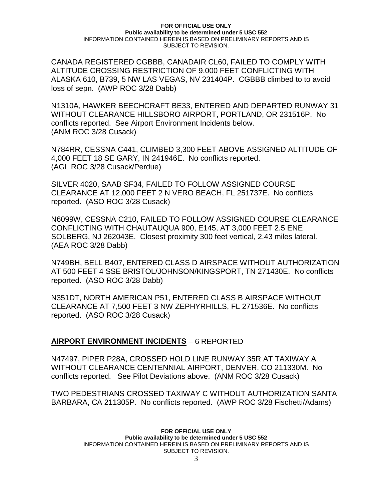CANADA REGISTERED CGBBB, CANADAIR CL60, FAILED TO COMPLY WITH ALTITUDE CROSSING RESTRICTION OF 9,000 FEET CONFLICTING WITH ALASKA 610, B739, 5 NW LAS VEGAS, NV 231404P. CGBBB climbed to to avoid loss of sepn. (AWP ROC 3/28 Dabb)

N1310A, HAWKER BEECHCRAFT BE33, ENTERED AND DEPARTED RUNWAY 31 WITHOUT CLEARANCE HILLSBORO AIRPORT, PORTLAND, OR 231516P. No conflicts reported. See Airport Environment Incidents below. (ANM ROC 3/28 Cusack)

N784RR, CESSNA C441, CLIMBED 3,300 FEET ABOVE ASSIGNED ALTITUDE OF 4,000 FEET 18 SE GARY, IN 241946E. No conflicts reported. (AGL ROC 3/28 Cusack/Perdue)

SILVER 4020, SAAB SF34, FAILED TO FOLLOW ASSIGNED COURSE CLEARANCE AT 12,000 FEET 2 N VERO BEACH, FL 251737E. No conflicts reported. (ASO ROC 3/28 Cusack)

N6099W, CESSNA C210, FAILED TO FOLLOW ASSIGNED COURSE CLEARANCE CONFLICTING WITH CHAUTAUQUA 900, E145, AT 3,000 FEET 2.5 ENE SOLBERG, NJ 262043E. Closest proximity 300 feet vertical, 2.43 miles lateral. (AEA ROC 3/28 Dabb)

N749BH, BELL B407, ENTERED CLASS D AIRSPACE WITHOUT AUTHORIZATION AT 500 FEET 4 SSE BRISTOL/JOHNSON/KINGSPORT, TN 271430E. No conflicts reported. (ASO ROC 3/28 Dabb)

N351DT, NORTH AMERICAN P51, ENTERED CLASS B AIRSPACE WITHOUT CLEARANCE AT 7,500 FEET 3 NW ZEPHYRHILLS, FL 271536E. No conflicts reported. (ASO ROC 3/28 Cusack)

## **AIRPORT ENVIRONMENT INCIDENTS** – 6 REPORTED

N47497, PIPER P28A, CROSSED HOLD LINE RUNWAY 35R AT TAXIWAY A WITHOUT CLEARANCE CENTENNIAL AIRPORT, DENVER, CO 211330M. No conflicts reported. See Pilot Deviations above. (ANM ROC 3/28 Cusack)

TWO PEDESTRIANS CROSSED TAXIWAY C WITHOUT AUTHORIZATION SANTA BARBARA, CA 211305P. No conflicts reported. (AWP ROC 3/28 Fischetti/Adams)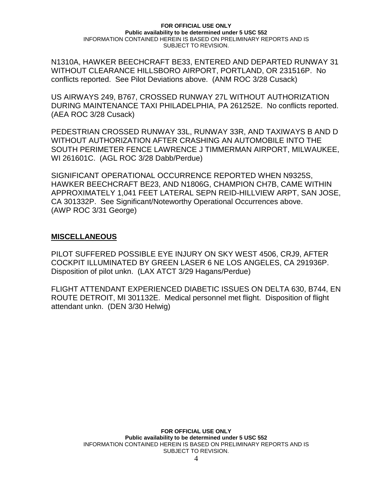N1310A, HAWKER BEECHCRAFT BE33, ENTERED AND DEPARTED RUNWAY 31 WITHOUT CLEARANCE HILLSBORO AIRPORT, PORTLAND, OR 231516P. No conflicts reported. See Pilot Deviations above. (ANM ROC 3/28 Cusack)

US AIRWAYS 249, B767, CROSSED RUNWAY 27L WITHOUT AUTHORIZATION DURING MAINTENANCE TAXI PHILADELPHIA, PA 261252E. No conflicts reported. (AEA ROC 3/28 Cusack)

PEDESTRIAN CROSSED RUNWAY 33L, RUNWAY 33R, AND TAXIWAYS B AND D WITHOUT AUTHORIZATION AFTER CRASHING AN AUTOMOBILE INTO THE SOUTH PERIMETER FENCE LAWRENCE J TIMMERMAN AIRPORT, MILWAUKEE, WI 261601C. (AGL ROC 3/28 Dabb/Perdue)

SIGNIFICANT OPERATIONAL OCCURRENCE REPORTED WHEN N9325S, HAWKER BEECHCRAFT BE23, AND N1806G, CHAMPION CH7B, CAME WITHIN APPROXIMATELY 1,041 FEET LATERAL SEPN REID-HILLVIEW ARPT, SAN JOSE, CA 301332P. See Significant/Noteworthy Operational Occurrences above. (AWP ROC 3/31 George)

## **MISCELLANEOUS**

PILOT SUFFERED POSSIBLE EYE INJURY ON SKY WEST 4506, CRJ9, AFTER COCKPIT ILLUMINATED BY GREEN LASER 6 NE LOS ANGELES, CA 291936P. Disposition of pilot unkn. (LAX ATCT 3/29 Hagans/Perdue)

FLIGHT ATTENDANT EXPERIENCED DIABETIC ISSUES ON DELTA 630, B744, EN ROUTE DETROIT, MI 301132E. Medical personnel met flight. Disposition of flight attendant unkn. (DEN 3/30 Helwig)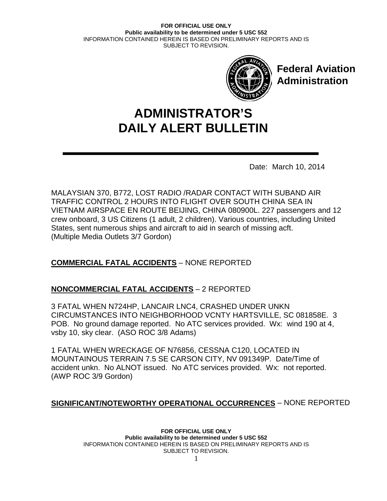

**Federal Aviation Administration**

# **DAILY ALERT BULLETIN ADMINISTRATOR'S**

Date: March 10, 2014

MALAYSIAN 370, B772, LOST RADIO /RADAR CONTACT WITH SUBAND AIR TRAFFIC CONTROL 2 HOURS INTO FLIGHT OVER SOUTH CHINA SEA IN VIETNAM AIRSPACE EN ROUTE BEIJING, CHINA 080900L. 227 passengers and 12 crew onboard, 3 US Citizens (1 adult, 2 children). Various countries, including United States, sent numerous ships and aircraft to aid in search of missing acft. (Multiple Media Outlets 3/7 Gordon)

# **COMMERCIAL FATAL ACCIDENTS** – NONE REPORTED

## **NONCOMMERCIAL FATAL ACCIDENTS** – 2 REPORTED

3 FATAL WHEN N724HP, LANCAIR LNC4, CRASHED UNDER UNKN CIRCUMSTANCES INTO NEIGHBORHOOD VCNTY HARTSVILLE, SC 081858E. 3 POB. No ground damage reported. No ATC services provided. Wx: wind 190 at 4, vsby 10, sky clear. (ASO ROC 3/8 Adams)

1 FATAL WHEN WRECKAGE OF N76856, CESSNA C120, LOCATED IN MOUNTAINOUS TERRAIN 7.5 SE CARSON CITY, NV 091349P. Date/Time of accident unkn. No ALNOT issued. No ATC services provided. Wx: not reported. (AWP ROC 3/9 Gordon)

## **SIGNIFICANT/NOTEWORTHY OPERATIONAL OCCURRENCES** – NONE REPORTED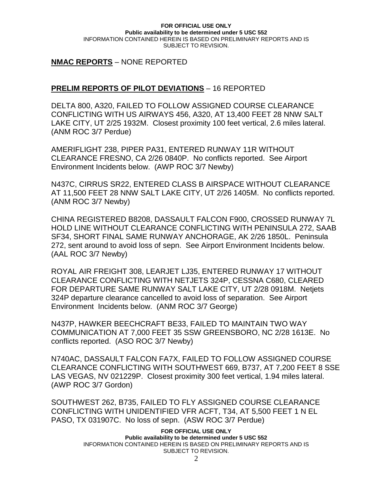## **NMAC REPORTS** – NONE REPORTED

## **PRELIM REPORTS OF PILOT DEVIATIONS** – 16 REPORTED

DELTA 800, A320, FAILED TO FOLLOW ASSIGNED COURSE CLEARANCE CONFLICTING WITH US AIRWAYS 456, A320, AT 13,400 FEET 28 NNW SALT LAKE CITY, UT 2/25 1932M. Closest proximity 100 feet vertical, 2.6 miles lateral. (ANM ROC 3/7 Perdue)

AMERIFLIGHT 238, PIPER PA31, ENTERED RUNWAY 11R WITHOUT CLEARANCE FRESNO, CA 2/26 0840P. No conflicts reported. See Airport Environment Incidents below. (AWP ROC 3/7 Newby)

N437C, CIRRUS SR22, ENTERED CLASS B AIRSPACE WITHOUT CLEARANCE AT 11,500 FEET 28 NNW SALT LAKE CITY, UT 2/26 1405M. No conflicts reported. (ANM ROC 3/7 Newby)

CHINA REGISTERED B8208, DASSAULT FALCON F900, CROSSED RUNWAY 7L HOLD LINE WITHOUT CLEARANCE CONFLICTING WITH PENINSULA 272, SAAB SF34, SHORT FINAL SAME RUNWAY ANCHORAGE, AK 2/26 1850L. Peninsula 272, sent around to avoid loss of sepn. See Airport Environment Incidents below. (AAL ROC 3/7 Newby)

ROYAL AIR FREIGHT 308, LEARJET LJ35, ENTERED RUNWAY 17 WITHOUT CLEARANCE CONFLICTING WITH NETJETS 324P, CESSNA C680, CLEARED FOR DEPARTURE SAME RUNWAY SALT LAKE CITY, UT 2/28 0918M. Netjets 324P departure clearance cancelled to avoid loss of separation. See Airport Environment Incidents below. (ANM ROC 3/7 George)

N437P, HAWKER BEECHCRAFT BE33, FAILED TO MAINTAIN TWO WAY COMMUNICATION AT 7,000 FEET 35 SSW GREENSBORO, NC 2/28 1613E. No conflicts reported. (ASO ROC 3/7 Newby)

N740AC, DASSAULT FALCON FA7X, FAILED TO FOLLOW ASSIGNED COURSE CLEARANCE CONFLICTING WITH SOUTHWEST 669, B737, AT 7,200 FEET 8 SSE LAS VEGAS, NV 021229P. Closest proximity 300 feet vertical, 1.94 miles lateral. (AWP ROC 3/7 Gordon)

SOUTHWEST 262, B735, FAILED TO FLY ASSIGNED COURSE CLEARANCE CONFLICTING WITH UNIDENTIFIED VFR ACFT, T34, AT 5,500 FEET 1 N EL PASO, TX 031907C. No loss of sepn. (ASW ROC 3/7 Perdue)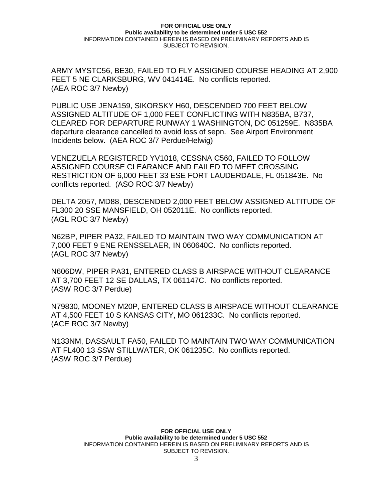ARMY MYSTC56, BE30, FAILED TO FLY ASSIGNED COURSE HEADING AT 2,900 FEET 5 NE CLARKSBURG, WV 041414E. No conflicts reported. (AEA ROC 3/7 Newby)

PUBLIC USE JENA159, SIKORSKY H60, DESCENDED 700 FEET BELOW ASSIGNED ALTITUDE OF 1,000 FEET CONFLICTING WITH N835BA, B737, CLEARED FOR DEPARTURE RUNWAY 1 WASHINGTON, DC 051259E. N835BA departure clearance cancelled to avoid loss of sepn. See Airport Environment Incidents below. (AEA ROC 3/7 Perdue/Helwig)

VENEZUELA REGISTERED YV1018, CESSNA C560, FAILED TO FOLLOW ASSIGNED COURSE CLEARANCE AND FAILED TO MEET CROSSING RESTRICTION OF 6,000 FEET 33 ESE FORT LAUDERDALE, FL 051843E. No conflicts reported. (ASO ROC 3/7 Newby)

DELTA 2057, MD88, DESCENDED 2,000 FEET BELOW ASSIGNED ALTITUDE OF FL300 20 SSE MANSFIELD, OH 052011E. No conflicts reported. (AGL ROC 3/7 Newby)

N62BP, PIPER PA32, FAILED TO MAINTAIN TWO WAY COMMUNICATION AT 7,000 FEET 9 ENE RENSSELAER, IN 060640C. No conflicts reported. (AGL ROC 3/7 Newby)

N606DW, PIPER PA31, ENTERED CLASS B AIRSPACE WITHOUT CLEARANCE AT 3,700 FEET 12 SE DALLAS, TX 061147C. No conflicts reported. (ASW ROC 3/7 Perdue)

N79830, MOONEY M20P, ENTERED CLASS B AIRSPACE WITHOUT CLEARANCE AT 4,500 FEET 10 S KANSAS CITY, MO 061233C. No conflicts reported. (ACE ROC 3/7 Newby)

N133NM, DASSAULT FA50, FAILED TO MAINTAIN TWO WAY COMMUNICATION AT FL400 13 SSW STILLWATER, OK 061235C. No conflicts reported. (ASW ROC 3/7 Perdue)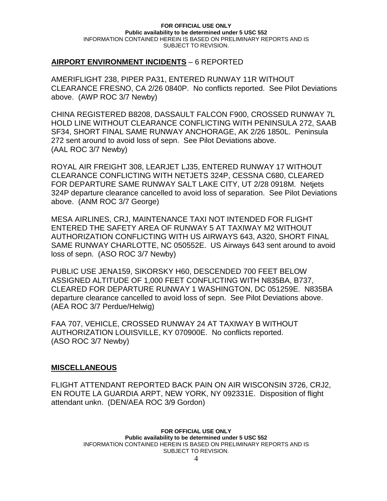## **AIRPORT ENVIRONMENT INCIDENTS** – 6 REPORTED

AMERIFLIGHT 238, PIPER PA31, ENTERED RUNWAY 11R WITHOUT CLEARANCE FRESNO, CA 2/26 0840P. No conflicts reported. See Pilot Deviations above. (AWP ROC 3/7 Newby)

CHINA REGISTERED B8208, DASSAULT FALCON F900, CROSSED RUNWAY 7L HOLD LINE WITHOUT CLEARANCE CONFLICTING WITH PENINSULA 272, SAAB SF34, SHORT FINAL SAME RUNWAY ANCHORAGE, AK 2/26 1850L. Peninsula 272 sent around to avoid loss of sepn. See Pilot Deviations above. (AAL ROC 3/7 Newby)

ROYAL AIR FREIGHT 308, LEARJET LJ35, ENTERED RUNWAY 17 WITHOUT CLEARANCE CONFLICTING WITH NETJETS 324P, CESSNA C680, CLEARED FOR DEPARTURE SAME RUNWAY SALT LAKE CITY, UT 2/28 0918M. Netjets 324P departure clearance cancelled to avoid loss of separation. See Pilot Deviations above. (ANM ROC 3/7 George)

MESA AIRLINES, CRJ, MAINTENANCE TAXI NOT INTENDED FOR FLIGHT ENTERED THE SAFETY AREA OF RUNWAY 5 AT TAXIWAY M2 WITHOUT AUTHORIZATION CONFLICTING WITH US AIRWAYS 643, A320, SHORT FINAL SAME RUNWAY CHARLOTTE, NC 050552E. US Airways 643 sent around to avoid loss of sepn. (ASO ROC 3/7 Newby)

PUBLIC USE JENA159, SIKORSKY H60, DESCENDED 700 FEET BELOW ASSIGNED ALTITUDE OF 1,000 FEET CONFLICTING WITH N835BA, B737, CLEARED FOR DEPARTURE RUNWAY 1 WASHINGTON, DC 051259E. N835BA departure clearance cancelled to avoid loss of sepn. See Pilot Deviations above. (AEA ROC 3/7 Perdue/Helwig)

FAA 707, VEHICLE, CROSSED RUNWAY 24 AT TAXIWAY B WITHOUT AUTHORIZATION LOUISVILLE, KY 070900E. No conflicts reported. (ASO ROC 3/7 Newby)

## **MISCELLANEOUS**

FLIGHT ATTENDANT REPORTED BACK PAIN ON AIR WISCONSIN 3726, CRJ2, EN ROUTE LA GUARDIA ARPT, NEW YORK, NY 092331E. Disposition of flight attendant unkn. (DEN/AEA ROC 3/9 Gordon)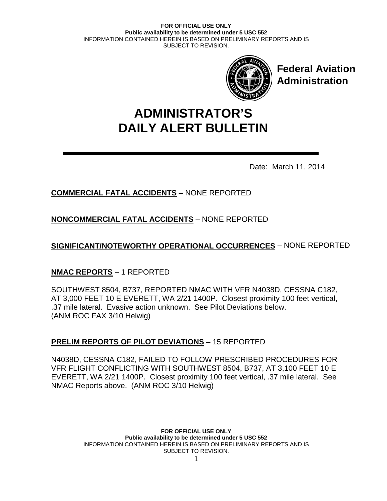

**Federal Aviation Administration**

# **DAILY ALERT BULLETIN ADMINISTRATOR'S**

Date: March 11, 2014

# **COMMERCIAL FATAL ACCIDENTS** – NONE REPORTED

**NONCOMMERCIAL FATAL ACCIDENTS** – NONE REPORTED

**SIGNIFICANT/NOTEWORTHY OPERATIONAL OCCURRENCES** – NONE REPORTED

# **NMAC REPORTS** – 1 REPORTED

SOUTHWEST 8504, B737, REPORTED NMAC WITH VFR N4038D, CESSNA C182, AT 3,000 FEET 10 E EVERETT, WA 2/21 1400P. Closest proximity 100 feet vertical, .37 mile lateral. Evasive action unknown. See Pilot Deviations below. (ANM ROC FAX 3/10 Helwig)

# **PRELIM REPORTS OF PILOT DEVIATIONS** – 15 REPORTED

N4038D, CESSNA C182, FAILED TO FOLLOW PRESCRIBED PROCEDURES FOR VFR FLIGHT CONFLICTING WITH SOUTHWEST 8504, B737, AT 3,100 FEET 10 E EVERETT, WA 2/21 1400P. Closest proximity 100 feet vertical, .37 mile lateral. See NMAC Reports above. (ANM ROC 3/10 Helwig)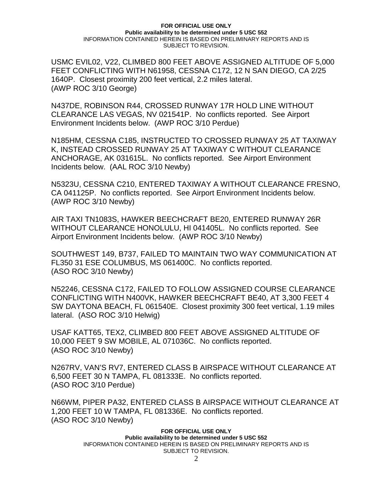USMC EVIL02, V22, CLIMBED 800 FEET ABOVE ASSIGNED ALTITUDE OF 5,000 FEET CONFLICTING WITH N61958, CESSNA C172, 12 N SAN DIEGO, CA 2/25 1640P. Closest proximity 200 feet vertical, 2.2 miles lateral. (AWP ROC 3/10 George)

N437DE, ROBINSON R44, CROSSED RUNWAY 17R HOLD LINE WITHOUT CLEARANCE LAS VEGAS, NV 021541P. No conflicts reported. See Airport Environment Incidents below. (AWP ROC 3/10 Perdue)

N185HM, CESSNA C185, INSTRUCTED TO CROSSED RUNWAY 25 AT TAXIWAY K, INSTEAD CROSSED RUNWAY 25 AT TAXIWAY C WITHOUT CLEARANCE ANCHORAGE, AK 031615L. No conflicts reported. See Airport Environment Incidents below. (AAL ROC 3/10 Newby)

N5323U, CESSNA C210, ENTERED TAXIWAY A WITHOUT CLEARANCE FRESNO, CA 041125P. No conflicts reported. See Airport Environment Incidents below. (AWP ROC 3/10 Newby)

AIR TAXI TN1083S, HAWKER BEECHCRAFT BE20, ENTERED RUNWAY 26R WITHOUT CLEARANCE HONOLULU, HI 041405L. No conflicts reported. See Airport Environment Incidents below. (AWP ROC 3/10 Newby)

SOUTHWEST 149, B737, FAILED TO MAINTAIN TWO WAY COMMUNICATION AT FL350 31 ESE COLUMBUS, MS 061400C. No conflicts reported. (ASO ROC 3/10 Newby)

N52246, CESSNA C172, FAILED TO FOLLOW ASSIGNED COURSE CLEARANCE CONFLICTING WITH N400VK, HAWKER BEECHCRAFT BE40, AT 3,300 FEET 4 SW DAYTONA BEACH, FL 061540E. Closest proximity 300 feet vertical, 1.19 miles lateral. (ASO ROC 3/10 Helwig)

USAF KATT65, TEX2, CLIMBED 800 FEET ABOVE ASSIGNED ALTITUDE OF 10,000 FEET 9 SW MOBILE, AL 071036C. No conflicts reported. (ASO ROC 3/10 Newby)

N267RV, VAN'S RV7, ENTERED CLASS B AIRSPACE WITHOUT CLEARANCE AT 6,500 FEET 30 N TAMPA, FL 081333E. No conflicts reported. (ASO ROC 3/10 Perdue)

N66WM, PIPER PA32, ENTERED CLASS B AIRSPACE WITHOUT CLEARANCE AT 1,200 FEET 10 W TAMPA, FL 081336E. No conflicts reported. (ASO ROC 3/10 Newby)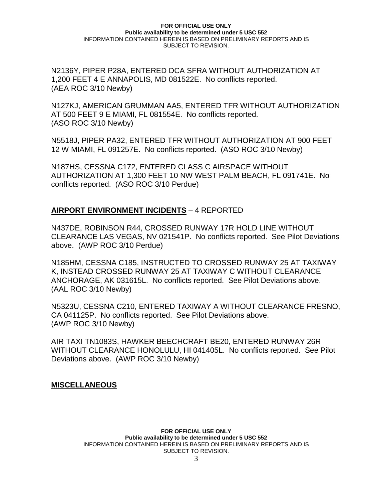N2136Y, PIPER P28A, ENTERED DCA SFRA WITHOUT AUTHORIZATION AT 1,200 FEET 4 E ANNAPOLIS, MD 081522E. No conflicts reported. (AEA ROC 3/10 Newby)

N127KJ, AMERICAN GRUMMAN AA5, ENTERED TFR WITHOUT AUTHORIZATION AT 500 FEET 9 E MIAMI, FL 081554E. No conflicts reported. (ASO ROC 3/10 Newby)

N5518J, PIPER PA32, ENTERED TFR WITHOUT AUTHORIZATION AT 900 FEET 12 W MIAMI, FL 091257E. No conflicts reported. (ASO ROC 3/10 Newby)

N187HS, CESSNA C172, ENTERED CLASS C AIRSPACE WITHOUT AUTHORIZATION AT 1,300 FEET 10 NW WEST PALM BEACH, FL 091741E. No conflicts reported. (ASO ROC 3/10 Perdue)

## **AIRPORT ENVIRONMENT INCIDENTS** – 4 REPORTED

N437DE, ROBINSON R44, CROSSED RUNWAY 17R HOLD LINE WITHOUT CLEARANCE LAS VEGAS, NV 021541P. No conflicts reported. See Pilot Deviations above. (AWP ROC 3/10 Perdue)

N185HM, CESSNA C185, INSTRUCTED TO CROSSED RUNWAY 25 AT TAXIWAY K, INSTEAD CROSSED RUNWAY 25 AT TAXIWAY C WITHOUT CLEARANCE ANCHORAGE, AK 031615L. No conflicts reported. See Pilot Deviations above. (AAL ROC 3/10 Newby)

N5323U, CESSNA C210, ENTERED TAXIWAY A WITHOUT CLEARANCE FRESNO, CA 041125P. No conflicts reported. See Pilot Deviations above. (AWP ROC 3/10 Newby)

AIR TAXI TN1083S, HAWKER BEECHCRAFT BE20, ENTERED RUNWAY 26R WITHOUT CLEARANCE HONOLULU, HI 041405L. No conflicts reported. See Pilot Deviations above. (AWP ROC 3/10 Newby)

## **MISCELLANEOUS**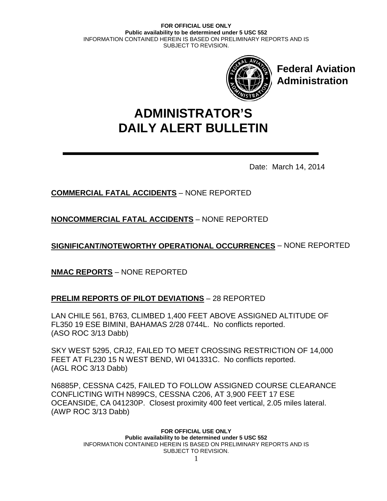

**Federal Aviation Administration**

# **DAILY ALERT BULLETIN ADMINISTRATOR'S**

Date: March 14, 2014

# **COMMERCIAL FATAL ACCIDENTS** – NONE REPORTED

**NONCOMMERCIAL FATAL ACCIDENTS** – NONE REPORTED

**SIGNIFICANT/NOTEWORTHY OPERATIONAL OCCURRENCES** – NONE REPORTED

**NMAC REPORTS** – NONE REPORTED

## **PRELIM REPORTS OF PILOT DEVIATIONS** – 28 REPORTED

LAN CHILE 561, B763, CLIMBED 1,400 FEET ABOVE ASSIGNED ALTITUDE OF FL350 19 ESE BIMINI, BAHAMAS 2/28 0744L. No conflicts reported. (ASO ROC 3/13 Dabb)

SKY WEST 5295, CRJ2, FAILED TO MEET CROSSING RESTRICTION OF 14,000 FEET AT FL230 15 N WEST BEND, WI 041331C. No conflicts reported. (AGL ROC 3/13 Dabb)

N6885P, CESSNA C425, FAILED TO FOLLOW ASSIGNED COURSE CLEARANCE CONFLICTING WITH N899CS, CESSNA C206, AT 3,900 FEET 17 ESE OCEANSIDE, CA 041230P. Closest proximity 400 feet vertical, 2.05 miles lateral. (AWP ROC 3/13 Dabb)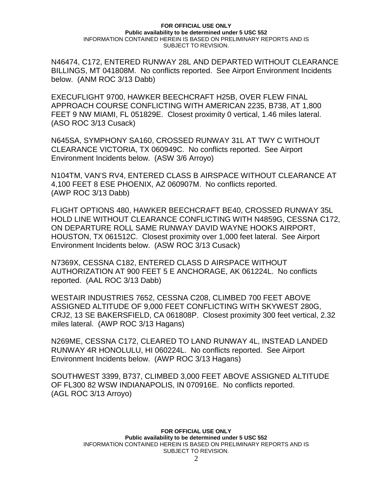N46474, C172, ENTERED RUNWAY 28L AND DEPARTED WITHOUT CLEARANCE BILLINGS, MT 041808M. No conflicts reported. See Airport Environment Incidents below. (ANM ROC 3/13 Dabb)

EXECUFLIGHT 9700, HAWKER BEECHCRAFT H25B, OVER FLEW FINAL APPROACH COURSE CONFLICTING WITH AMERICAN 2235, B738, AT 1,800 FEET 9 NW MIAMI, FL 051829E. Closest proximity 0 vertical, 1.46 miles lateral. (ASO ROC 3/13 Cusack)

N645SA, SYMPHONY SA160, CROSSED RUNWAY 31L AT TWY C WITHOUT CLEARANCE VICTORIA, TX 060949C. No conflicts reported. See Airport Environment Incidents below. (ASW 3/6 Arroyo)

N104TM, VAN'S RV4, ENTERED CLASS B AIRSPACE WITHOUT CLEARANCE AT 4,100 FEET 8 ESE PHOENIX, AZ 060907M. No conflicts reported. (AWP ROC 3/13 Dabb)

FLIGHT OPTIONS 480, HAWKER BEECHCRAFT BE40, CROSSED RUNWAY 35L HOLD LINE WITHOUT CLEARANCE CONFLICTING WITH N4859G, CESSNA C172, ON DEPARTURE ROLL SAME RUNWAY DAVID WAYNE HOOKS AIRPORT, HOUSTON, TX 061512C. Closest proximity over 1,000 feet lateral. See Airport Environment Incidents below. (ASW ROC 3/13 Cusack)

N7369X, CESSNA C182, ENTERED CLASS D AIRSPACE WITHOUT AUTHORIZATION AT 900 FEET 5 E ANCHORAGE, AK 061224L. No conflicts reported. (AAL ROC 3/13 Dabb)

WESTAIR INDUSTRIES 7652, CESSNA C208, CLIMBED 700 FEET ABOVE ASSIGNED ALTITUDE OF 9,000 FEET CONFLICTING WITH SKYWEST 280G, CRJ2, 13 SE BAKERSFIELD, CA 061808P. Closest proximity 300 feet vertical, 2.32 miles lateral. (AWP ROC 3/13 Hagans)

N269ME, CESSNA C172, CLEARED TO LAND RUNWAY 4L, INSTEAD LANDED RUNWAY 4R HONOLULU, HI 060224L. No conflicts reported. See Airport Environment Incidents below. (AWP ROC 3/13 Hagans)

SOUTHWEST 3399, B737, CLIMBED 3,000 FEET ABOVE ASSIGNED ALTITUDE OF FL300 82 WSW INDIANAPOLIS, IN 070916E. No conflicts reported. (AGL ROC 3/13 Arroyo)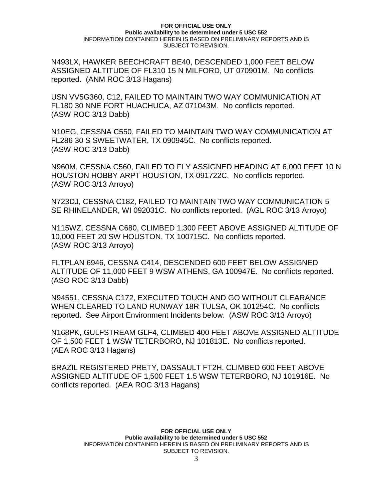N493LX, HAWKER BEECHCRAFT BE40, DESCENDED 1,000 FEET BELOW ASSIGNED ALTITUDE OF FL310 15 N MILFORD, UT 070901M. No conflicts reported. (ANM ROC 3/13 Hagans)

USN VV5G360, C12, FAILED TO MAINTAIN TWO WAY COMMUNICATION AT FL180 30 NNE FORT HUACHUCA, AZ 071043M. No conflicts reported. (ASW ROC 3/13 Dabb)

N10EG, CESSNA C550, FAILED TO MAINTAIN TWO WAY COMMUNICATION AT FL286 30 S SWEETWATER, TX 090945C. No conflicts reported. (ASW ROC 3/13 Dabb)

N960M, CESSNA C560, FAILED TO FLY ASSIGNED HEADING AT 6,000 FEET 10 N HOUSTON HOBBY ARPT HOUSTON, TX 091722C. No conflicts reported. (ASW ROC 3/13 Arroyo)

N723DJ, CESSNA C182, FAILED TO MAINTAIN TWO WAY COMMUNICATION 5 SE RHINELANDER, WI 092031C. No conflicts reported. (AGL ROC 3/13 Arroyo)

N115WZ, CESSNA C680, CLIMBED 1,300 FEET ABOVE ASSIGNED ALTITUDE OF 10,000 FEET 20 SW HOUSTON, TX 100715C. No conflicts reported. (ASW ROC 3/13 Arroyo)

FLTPLAN 6946, CESSNA C414, DESCENDED 600 FEET BELOW ASSIGNED ALTITUDE OF 11,000 FEET 9 WSW ATHENS, GA 100947E. No conflicts reported. (ASO ROC 3/13 Dabb)

N94551, CESSNA C172, EXECUTED TOUCH AND GO WITHOUT CLEARANCE WHEN CLEARED TO LAND RUNWAY 18R TULSA, OK 101254C. No conflicts reported. See Airport Environment Incidents below. (ASW ROC 3/13 Arroyo)

N168PK, GULFSTREAM GLF4, CLIMBED 400 FEET ABOVE ASSIGNED ALTITUDE OF 1,500 FEET 1 WSW TETERBORO, NJ 101813E. No conflicts reported. (AEA ROC 3/13 Hagans)

BRAZIL REGISTERED PRETY, DASSAULT FT2H, CLIMBED 600 FEET ABOVE ASSIGNED ALTITUDE OF 1,500 FEET 1.5 WSW TETERBORO, NJ 101916E. No conflicts reported. (AEA ROC 3/13 Hagans)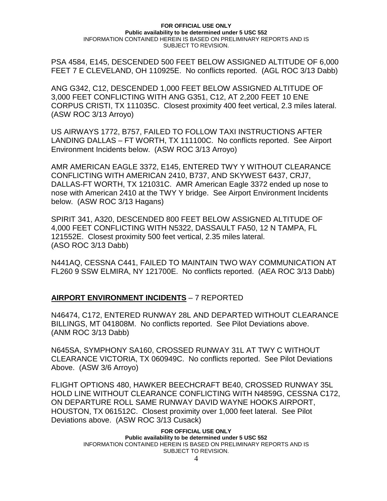PSA 4584, E145, DESCENDED 500 FEET BELOW ASSIGNED ALTITUDE OF 6,000 FEET 7 E CLEVELAND, OH 110925E. No conflicts reported. (AGL ROC 3/13 Dabb)

ANG G342, C12, DESCENDED 1,000 FEET BELOW ASSIGNED ALTITUDE OF 3,000 FEET CONFLICTING WITH ANG G351, C12, AT 2,200 FEET 10 ENE CORPUS CRISTI, TX 111035C. Closest proximity 400 feet vertical, 2.3 miles lateral. (ASW ROC 3/13 Arroyo)

US AIRWAYS 1772, B757, FAILED TO FOLLOW TAXI INSTRUCTIONS AFTER LANDING DALLAS – FT WORTH, TX 111100C. No conflicts reported. See Airport Environment Incidents below. (ASW ROC 3/13 Arroyo)

AMR AMERICAN EAGLE 3372, E145, ENTERED TWY Y WITHOUT CLEARANCE CONFLICTING WITH AMERICAN 2410, B737, AND SKYWEST 6437, CRJ7, DALLAS-FT WORTH, TX 121031C. AMR American Eagle 3372 ended up nose to nose with American 2410 at the TWY Y bridge. See Airport Environment Incidents below. (ASW ROC 3/13 Hagans)

SPIRIT 341, A320, DESCENDED 800 FEET BELOW ASSIGNED ALTITUDE OF 4,000 FEET CONFLICTING WITH N5322, DASSAULT FA50, 12 N TAMPA, FL 121552E. Closest proximity 500 feet vertical, 2.35 miles lateral. (ASO ROC 3/13 Dabb)

N441AQ, CESSNA C441, FAILED TO MAINTAIN TWO WAY COMMUNICATION AT FL260 9 SSW ELMIRA, NY 121700E. No conflicts reported. (AEA ROC 3/13 Dabb)

## **AIRPORT ENVIRONMENT INCIDENTS** – 7 REPORTED

N46474, C172, ENTERED RUNWAY 28L AND DEPARTED WITHOUT CLEARANCE BILLINGS, MT 041808M. No conflicts reported. See Pilot Deviations above. (ANM ROC 3/13 Dabb)

N645SA, SYMPHONY SA160, CROSSED RUNWAY 31L AT TWY C WITHOUT CLEARANCE VICTORIA, TX 060949C. No conflicts reported. See Pilot Deviations Above. (ASW 3/6 Arroyo)

FLIGHT OPTIONS 480, HAWKER BEECHCRAFT BE40, CROSSED RUNWAY 35L HOLD LINE WITHOUT CLEARANCE CONFLICTING WITH N4859G, CESSNA C172, ON DEPARTURE ROLL SAME RUNWAY DAVID WAYNE HOOKS AIRPORT, HOUSTON, TX 061512C. Closest proximity over 1,000 feet lateral. See Pilot Deviations above. (ASW ROC 3/13 Cusack)

### **FOR OFFICIAL USE ONLY**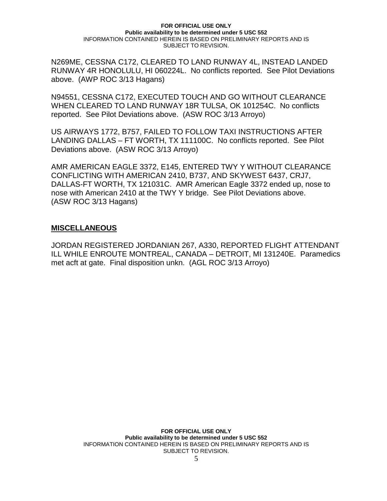N269ME, CESSNA C172, CLEARED TO LAND RUNWAY 4L, INSTEAD LANDED RUNWAY 4R HONOLULU, HI 060224L. No conflicts reported. See Pilot Deviations above. (AWP ROC 3/13 Hagans)

N94551, CESSNA C172, EXECUTED TOUCH AND GO WITHOUT CLEARANCE WHEN CLEARED TO LAND RUNWAY 18R TULSA, OK 101254C. No conflicts reported. See Pilot Deviations above. (ASW ROC 3/13 Arroyo)

US AIRWAYS 1772, B757, FAILED TO FOLLOW TAXI INSTRUCTIONS AFTER LANDING DALLAS – FT WORTH, TX 111100C. No conflicts reported. See Pilot Deviations above. (ASW ROC 3/13 Arroyo)

AMR AMERICAN EAGLE 3372, E145, ENTERED TWY Y WITHOUT CLEARANCE CONFLICTING WITH AMERICAN 2410, B737, AND SKYWEST 6437, CRJ7, DALLAS-FT WORTH, TX 121031C. AMR American Eagle 3372 ended up, nose to nose with American 2410 at the TWY Y bridge. See Pilot Deviations above. (ASW ROC 3/13 Hagans)

## **MISCELLANEOUS**

JORDAN REGISTERED JORDANIAN 267, A330, REPORTED FLIGHT ATTENDANT ILL WHILE ENROUTE MONTREAL, CANADA – DETROIT, MI 131240E. Paramedics met acft at gate. Final disposition unkn. (AGL ROC 3/13 Arroyo)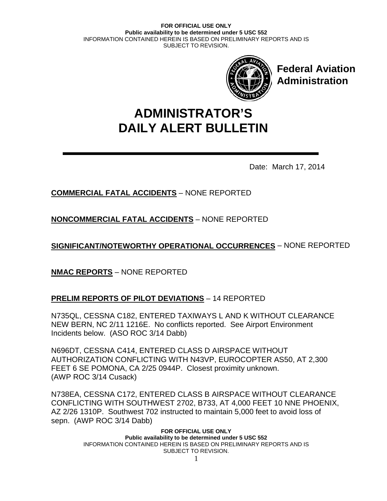

**Federal Aviation Administration**

# **DAILY ALERT BULLETIN ADMINISTRATOR'S**

Date: March 17, 2014

# **COMMERCIAL FATAL ACCIDENTS** – NONE REPORTED

**NONCOMMERCIAL FATAL ACCIDENTS** – NONE REPORTED

**SIGNIFICANT/NOTEWORTHY OPERATIONAL OCCURRENCES** – NONE REPORTED

**NMAC REPORTS** – NONE REPORTED

# **PRELIM REPORTS OF PILOT DEVIATIONS** – 14 REPORTED

N735QL, CESSNA C182, ENTERED TAXIWAYS L AND K WITHOUT CLEARANCE NEW BERN, NC 2/11 1216E. No conflicts reported. See Airport Environment Incidents below. (ASO ROC 3/14 Dabb)

N696DT, CESSNA C414, ENTERED CLASS D AIRSPACE WITHOUT AUTHORIZATION CONFLICTING WITH N43VP, EUROCOPTER AS50, AT 2,300 FEET 6 SE POMONA, CA 2/25 0944P. Closest proximity unknown. (AWP ROC 3/14 Cusack)

N738EA, CESSNA C172, ENTERED CLASS B AIRSPACE WITHOUT CLEARANCE CONFLICTING WITH SOUTHWEST 2702, B733, AT 4,000 FEET 10 NNE PHOENIX, AZ 2/26 1310P. Southwest 702 instructed to maintain 5,000 feet to avoid loss of sepn. (AWP ROC 3/14 Dabb)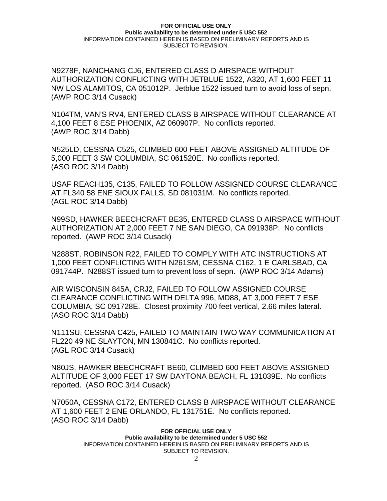N9278F, NANCHANG CJ6, ENTERED CLASS D AIRSPACE WITHOUT AUTHORIZATION CONFLICTING WITH JETBLUE 1522, A320, AT 1,600 FEET 11 NW LOS ALAMITOS, CA 051012P. Jetblue 1522 issued turn to avoid loss of sepn. (AWP ROC 3/14 Cusack)

N104TM, VAN'S RV4, ENTERED CLASS B AIRSPACE WITHOUT CLEARANCE AT 4,100 FEET 8 ESE PHOENIX, AZ 060907P. No conflicts reported. (AWP ROC 3/14 Dabb)

N525LD, CESSNA C525, CLIMBED 600 FEET ABOVE ASSIGNED ALTITUDE OF 5,000 FEET 3 SW COLUMBIA, SC 061520E. No conflicts reported. (ASO ROC 3/14 Dabb)

USAF REACH135, C135, FAILED TO FOLLOW ASSIGNED COURSE CLEARANCE AT FL340 58 ENE SIOUX FALLS, SD 081031M. No conflicts reported. (AGL ROC 3/14 Dabb)

N99SD, HAWKER BEECHCRAFT BE35, ENTERED CLASS D AIRSPACE WITHOUT AUTHORIZATION AT 2,000 FEET 7 NE SAN DIEGO, CA 091938P. No conflicts reported. (AWP ROC 3/14 Cusack)

N288ST, ROBINSON R22, FAILED TO COMPLY WITH ATC INSTRUCTIONS AT 1,000 FEET CONFLICTING WITH N261SM, CESSNA C162, 1 E CARLSBAD, CA 091744P. N288ST issued turn to prevent loss of sepn. (AWP ROC 3/14 Adams)

AIR WISCONSIN 845A, CRJ2, FAILED TO FOLLOW ASSIGNED COURSE CLEARANCE CONFLICTING WITH DELTA 996, MD88, AT 3,000 FEET 7 ESE COLUMBIA, SC 091728E. Closest proximity 700 feet vertical, 2.66 miles lateral. (ASO ROC 3/14 Dabb)

N111SU, CESSNA C425, FAILED TO MAINTAIN TWO WAY COMMUNICATION AT FL220 49 NE SLAYTON, MN 130841C. No conflicts reported. (AGL ROC 3/14 Cusack)

N80JS, HAWKER BEECHCRAFT BE60, CLIMBED 600 FEET ABOVE ASSIGNED ALTITUDE OF 3,000 FEET 17 SW DAYTONA BEACH, FL 131039E. No conflicts reported. (ASO ROC 3/14 Cusack)

N7050A, CESSNA C172, ENTERED CLASS B AIRSPACE WITHOUT CLEARANCE AT 1,600 FEET 2 ENE ORLANDO, FL 131751E. No conflicts reported. (ASO ROC 3/14 Dabb)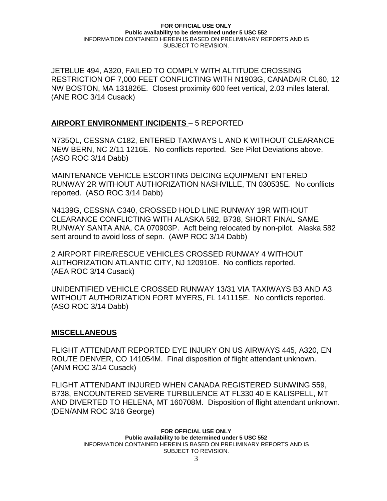JETBLUE 494, A320, FAILED TO COMPLY WITH ALTITUDE CROSSING RESTRICTION OF 7,000 FEET CONFLICTING WITH N1903G, CANADAIR CL60, 12 NW BOSTON, MA 131826E. Closest proximity 600 feet vertical, 2.03 miles lateral. (ANE ROC 3/14 Cusack)

## **AIRPORT ENVIRONMENT INCIDENTS** – 5 REPORTED

N735QL, CESSNA C182, ENTERED TAXIWAYS L AND K WITHOUT CLEARANCE NEW BERN, NC 2/11 1216E. No conflicts reported. See Pilot Deviations above. (ASO ROC 3/14 Dabb)

MAINTENANCE VEHICLE ESCORTING DEICING EQUIPMENT ENTERED RUNWAY 2R WITHOUT AUTHORIZATION NASHVILLE, TN 030535E. No conflicts reported. (ASO ROC 3/14 Dabb)

N4139G, CESSNA C340, CROSSED HOLD LINE RUNWAY 19R WITHOUT CLEARANCE CONFLICTING WITH ALASKA 582, B738, SHORT FINAL SAME RUNWAY SANTA ANA, CA 070903P. Acft being relocated by non-pilot. Alaska 582 sent around to avoid loss of sepn. (AWP ROC 3/14 Dabb)

2 AIRPORT FIRE/RESCUE VEHICLES CROSSED RUNWAY 4 WITHOUT AUTHORIZATION ATLANTIC CITY, NJ 120910E. No conflicts reported. (AEA ROC 3/14 Cusack)

UNIDENTIFIED VEHICLE CROSSED RUNWAY 13/31 VIA TAXIWAYS B3 AND A3 WITHOUT AUTHORIZATION FORT MYERS, FL 141115E. No conflicts reported. (ASO ROC 3/14 Dabb)

### **MISCELLANEOUS**

FLIGHT ATTENDANT REPORTED EYE INJURY ON US AIRWAYS 445, A320, EN ROUTE DENVER, CO 141054M. Final disposition of flight attendant unknown. (ANM ROC 3/14 Cusack)

FLIGHT ATTENDANT INJURED WHEN CANADA REGISTERED SUNWING 559, B738, ENCOUNTERED SEVERE TURBULENCE AT FL330 40 E KALISPELL, MT AND DIVERTED TO HELENA, MT 160708M. Disposition of flight attendant unknown. (DEN/ANM ROC 3/16 George)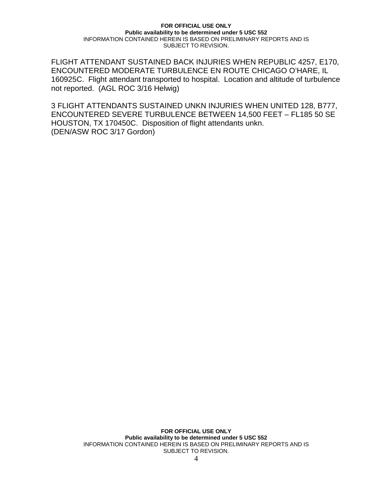FLIGHT ATTENDANT SUSTAINED BACK INJURIES WHEN REPUBLIC 4257, E170, ENCOUNTERED MODERATE TURBULENCE EN ROUTE CHICAGO O'HARE, IL 160925C. Flight attendant transported to hospital. Location and altitude of turbulence not reported. (AGL ROC 3/16 Helwig)

3 FLIGHT ATTENDANTS SUSTAINED UNKN INJURIES WHEN UNITED 128, B777, ENCOUNTERED SEVERE TURBULENCE BETWEEN 14,500 FEET – FL185 50 SE HOUSTON, TX 170450C. Disposition of flight attendants unkn. (DEN/ASW ROC 3/17 Gordon)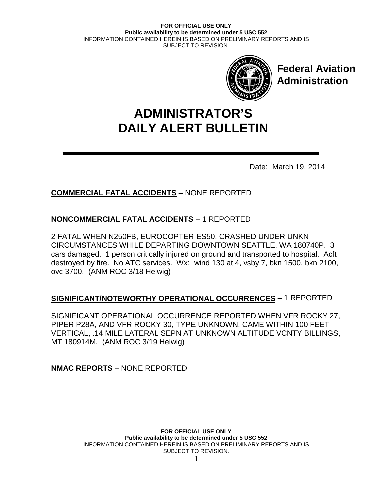

**Federal Aviation Administration**

# **DAILY ALERT BULLETIN ADMINISTRATOR'S**

Date: March 19, 2014

# **COMMERCIAL FATAL ACCIDENTS** – NONE REPORTED

# **NONCOMMERCIAL FATAL ACCIDENTS** – 1 REPORTED

2 FATAL WHEN N250FB, EUROCOPTER ES50, CRASHED UNDER UNKN CIRCUMSTANCES WHILE DEPARTING DOWNTOWN SEATTLE, WA 180740P. 3 cars damaged. 1 person critically injured on ground and transported to hospital. Acft destroyed by fire. No ATC services. Wx: wind 130 at 4, vsby 7, bkn 1500, bkn 2100, ovc 3700. (ANM ROC 3/18 Helwig)

# **SIGNIFICANT/NOTEWORTHY OPERATIONAL OCCURRENCES** – 1 REPORTED

SIGNIFICANT OPERATIONAL OCCURRENCE REPORTED WHEN VFR ROCKY 27, PIPER P28A, AND VFR ROCKY 30, TYPE UNKNOWN, CAME WITHIN 100 FEET VERTICAL, .14 MILE LATERAL SEPN AT UNKNOWN ALTITUDE VCNTY BILLINGS, MT 180914M. (ANM ROC 3/19 Helwig)

**NMAC REPORTS** – NONE REPORTED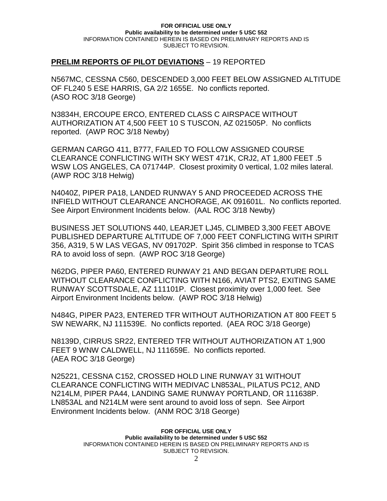## **PRELIM REPORTS OF PILOT DEVIATIONS** – 19 REPORTED

N567MC, CESSNA C560, DESCENDED 3,000 FEET BELOW ASSIGNED ALTITUDE OF FL240 5 ESE HARRIS, GA 2/2 1655E. No conflicts reported. (ASO ROC 3/18 George)

N3834H, ERCOUPE ERCO, ENTERED CLASS C AIRSPACE WITHOUT AUTHORIZATION AT 4,500 FEET 10 S TUSCON, AZ 021505P. No conflicts reported. (AWP ROC 3/18 Newby)

GERMAN CARGO 411, B777, FAILED TO FOLLOW ASSIGNED COURSE CLEARANCE CONFLICTING WITH SKY WEST 471K, CRJ2, AT 1,800 FEET .5 WSW LOS ANGELES, CA 071744P. Closest proximity 0 vertical, 1.02 miles lateral. (AWP ROC 3/18 Helwig)

N4040Z, PIPER PA18, LANDED RUNWAY 5 AND PROCEEDED ACROSS THE INFIELD WITHOUT CLEARANCE ANCHORAGE, AK 091601L. No conflicts reported. See Airport Environment Incidents below. (AAL ROC 3/18 Newby)

BUSINESS JET SOLUTIONS 440, LEARJET LJ45, CLIMBED 3,300 FEET ABOVE PUBLISHED DEPARTURE ALTITUDE OF 7,000 FEET CONFLICTING WITH SPIRIT 356, A319, 5 W LAS VEGAS, NV 091702P. Spirit 356 climbed in response to TCAS RA to avoid loss of sepn. (AWP ROC 3/18 George)

N62DG, PIPER PA60, ENTERED RUNWAY 21 AND BEGAN DEPARTURE ROLL WITHOUT CLEARANCE CONFLICTING WITH N166, AVIAT PTS2, EXITING SAME RUNWAY SCOTTSDALE, AZ 111101P. Closest proximity over 1,000 feet. See Airport Environment Incidents below. (AWP ROC 3/18 Helwig)

N484G, PIPER PA23, ENTERED TFR WITHOUT AUTHORIZATION AT 800 FEET 5 SW NEWARK, NJ 111539E. No conflicts reported. (AEA ROC 3/18 George)

N8139D, CIRRUS SR22, ENTERED TFR WITHOUT AUTHORIZATION AT 1,900 FEET 9 WNW CALDWELL, NJ 111659E. No conflicts reported. (AEA ROC 3/18 George)

N25221, CESSNA C152, CROSSED HOLD LINE RUNWAY 31 WITHOUT CLEARANCE CONFLICTING WITH MEDIVAC LN853AL, PILATUS PC12, AND N214LM, PIPER PA44, LANDING SAME RUNWAY PORTLAND, OR 111638P. LN853AL and N214LM were sent around to avoid loss of sepn. See Airport Environment Incidents below. (ANM ROC 3/18 George)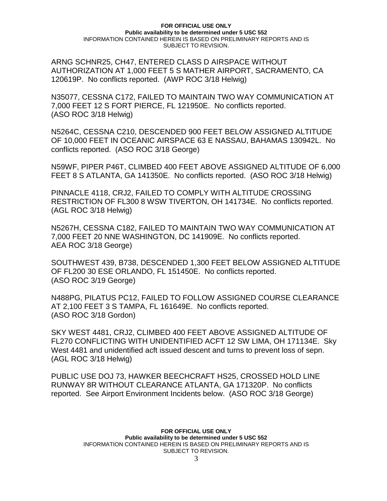ARNG SCHNR25, CH47, ENTERED CLASS D AIRSPACE WITHOUT AUTHORIZATION AT 1,000 FEET 5 S MATHER AIRPORT, SACRAMENTO, CA 120619P. No conflicts reported. (AWP ROC 3/18 Helwig)

N35077, CESSNA C172, FAILED TO MAINTAIN TWO WAY COMMUNICATION AT 7,000 FEET 12 S FORT PIERCE, FL 121950E. No conflicts reported. (ASO ROC 3/18 Helwig)

N5264C, CESSNA C210, DESCENDED 900 FEET BELOW ASSIGNED ALTITUDE OF 10,000 FEET IN OCEANIC AIRSPACE 63 E NASSAU, BAHAMAS 130942L. No conflicts reported. (ASO ROC 3/18 George)

N59WF, PIPER P46T, CLIMBED 400 FEET ABOVE ASSIGNED ALTITUDE OF 6,000 FEET 8 S ATLANTA, GA 141350E. No conflicts reported. (ASO ROC 3/18 Helwig)

PINNACLE 4118, CRJ2, FAILED TO COMPLY WITH ALTITUDE CROSSING RESTRICTION OF FL300 8 WSW TIVERTON, OH 141734E. No conflicts reported. (AGL ROC 3/18 Helwig)

N5267H, CESSNA C182, FAILED TO MAINTAIN TWO WAY COMMUNICATION AT 7,000 FEET 20 NNE WASHINGTON, DC 141909E. No conflicts reported. AEA ROC 3/18 George)

SOUTHWEST 439, B738, DESCENDED 1,300 FEET BELOW ASSIGNED ALTITUDE OF FL200 30 ESE ORLANDO, FL 151450E. No conflicts reported. (ASO ROC 3/19 George)

N488PG, PILATUS PC12, FAILED TO FOLLOW ASSIGNED COURSE CLEARANCE AT 2,100 FEET 3 S TAMPA, FL 161649E. No conflicts reported. (ASO ROC 3/18 Gordon)

SKY WEST 4481, CRJ2, CLIMBED 400 FEET ABOVE ASSIGNED ALTITUDE OF FL270 CONFLICTING WITH UNIDENTIFIED ACFT 12 SW LIMA, OH 171134E. Sky West 4481 and unidentified acft issued descent and turns to prevent loss of sepn. (AGL ROC 3/18 Helwig)

PUBLIC USE DOJ 73, HAWKER BEECHCRAFT HS25, CROSSED HOLD LINE RUNWAY 8R WITHOUT CLEARANCE ATLANTA, GA 171320P. No conflicts reported. See Airport Environment Incidents below. (ASO ROC 3/18 George)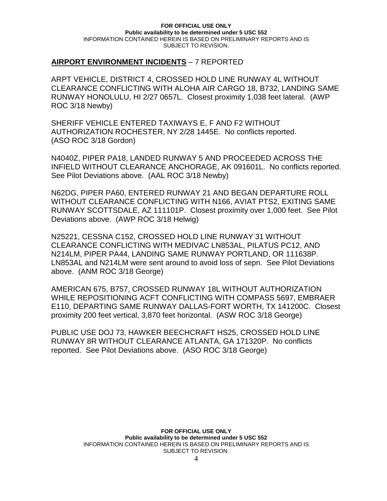## **AIRPORT ENVIRONMENT INCIDENTS** – 7 REPORTED

ARPT VEHICLE, DISTRICT 4, CROSSED HOLD LINE RUNWAY 4L WITHOUT CLEARANCE CONFLICTING WITH ALOHA AIR CARGO 18, B732, LANDING SAME RUNWAY HONOLULU, HI 2/27 0657L. Closest proximity 1,038 feet lateral. (AWP ROC 3/18 Newby)

SHERIFF VEHICLE ENTERED TAXIWAYS E, F AND F2 WITHOUT AUTHORIZATION ROCHESTER, NY 2/28 1445E. No conflicts reported. (ASO ROC 3/18 Gordon)

N4040Z, PIPER PA18, LANDED RUNWAY 5 AND PROCEEDED ACROSS THE INFIELD WITHOUT CLEARANCE ANCHORAGE, AK 091601L. No conflicts reported. See Pilot Deviations above. (AAL ROC 3/18 Newby)

N62DG, PIPER PA60, ENTERED RUNWAY 21 AND BEGAN DEPARTURE ROLL WITHOUT CLEARANCE CONFLICTING WITH N166, AVIAT PTS2, EXITING SAME RUNWAY SCOTTSDALE, AZ 111101P. Closest proximity over 1,000 feet. See Pilot Deviations above. (AWP ROC 3/18 Helwig)

N25221, CESSNA C152, CROSSED HOLD LINE RUNWAY 31 WITHOUT CLEARANCE CONFLICTING WITH MEDIVAC LN853AL, PILATUS PC12, AND N214LM, PIPER PA44, LANDING SAME RUNWAY PORTLAND, OR 111638P. LN853AL and N214LM were sent around to avoid loss of sepn. See Pilot Deviations above. (ANM ROC 3/18 George)

AMERICAN 675, B757, CROSSED RUNWAY 18L WITHOUT AUTHORIZATION WHILE REPOSITIONING ACFT CONFLICTING WITH COMPASS 5697, EMBRAER E110, DEPARTING SAME RUNWAY DALLAS-FORT WORTH, TX 141200C. Closest proximity 200 feet vertical, 3,870 feet horizontal. (ASW ROC 3/18 George)

PUBLIC USE DOJ 73, HAWKER BEECHCRAFT HS25, CROSSED HOLD LINE RUNWAY 8R WITHOUT CLEARANCE ATLANTA, GA 171320P. No conflicts reported. See Pilot Deviations above. (ASO ROC 3/18 George)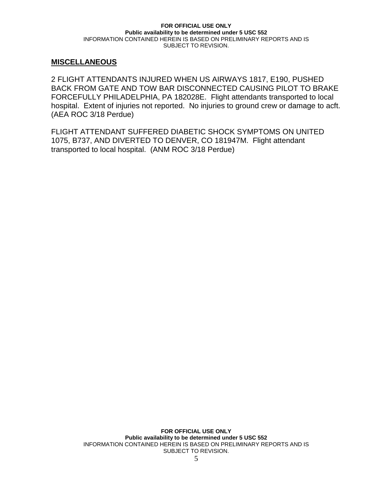## **MISCELLANEOUS**

2 FLIGHT ATTENDANTS INJURED WHEN US AIRWAYS 1817, E190, PUSHED BACK FROM GATE AND TOW BAR DISCONNECTED CAUSING PILOT TO BRAKE FORCEFULLY PHILADELPHIA, PA 182028E. Flight attendants transported to local hospital. Extent of injuries not reported. No injuries to ground crew or damage to acft. (AEA ROC 3/18 Perdue)

FLIGHT ATTENDANT SUFFERED DIABETIC SHOCK SYMPTOMS ON UNITED 1075, B737, AND DIVERTED TO DENVER, CO 181947M. Flight attendant transported to local hospital. (ANM ROC 3/18 Perdue)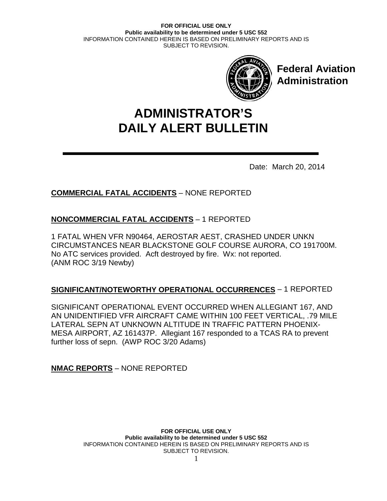

**Federal Aviation Administration**

# **DAILY ALERT BULLETIN ADMINISTRATOR'S**

Date: March 20, 2014

# **COMMERCIAL FATAL ACCIDENTS** – NONE REPORTED

# **NONCOMMERCIAL FATAL ACCIDENTS** – 1 REPORTED

1 FATAL WHEN VFR N90464, AEROSTAR AEST, CRASHED UNDER UNKN CIRCUMSTANCES NEAR BLACKSTONE GOLF COURSE AURORA, CO 191700M. No ATC services provided. Acft destroyed by fire. Wx: not reported. (ANM ROC 3/19 Newby)

# **SIGNIFICANT/NOTEWORTHY OPERATIONAL OCCURRENCES** – 1 REPORTED

SIGNIFICANT OPERATIONAL EVENT OCCURRED WHEN ALLEGIANT 167, AND AN UNIDENTIFIED VFR AIRCRAFT CAME WITHIN 100 FEET VERTICAL, .79 MILE LATERAL SEPN AT UNKNOWN ALTITUDE IN TRAFFIC PATTERN PHOENIX-MESA AIRPORT, AZ 161437P. Allegiant 167 responded to a TCAS RA to prevent further loss of sepn. (AWP ROC 3/20 Adams)

**NMAC REPORTS** – NONE REPORTED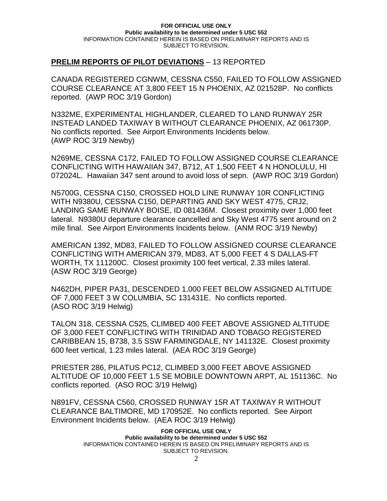## **PRELIM REPORTS OF PILOT DEVIATIONS** – 13 REPORTED

CANADA REGISTERED CGNWM, CESSNA C550, FAILED TO FOLLOW ASSIGNED COURSE CLEARANCE AT 3,800 FEET 15 N PHOENIX, AZ 021528P. No conflicts reported. (AWP ROC 3/19 Gordon)

N332ME, EXPERIMENTAL HIGHLANDER, CLEARED TO LAND RUNWAY 25R INSTEAD LANDED TAXIWAY B WITHOUT CLEARANCE PHOENIX, AZ 061730P. No conflicts reported. See Airport Environments Incidents below. (AWP ROC 3/19 Newby)

N269ME, CESSNA C172, FAILED TO FOLLOW ASSIGNED COURSE CLEARANCE CONFLICTING WITH HAWAIIAN 347, B712, AT 1,500 FEET 4 N HONOLULU, HI 072024L. Hawaiian 347 sent around to avoid loss of sepn. (AWP ROC 3/19 Gordon)

N5700G, CESSNA C150, CROSSED HOLD LINE RUNWAY 10R CONFLICTING WITH N9380U, CESSNA C150, DEPARTING AND SKY WEST 4775, CRJ2, LANDING SAME RUNWAY BOISE, ID 081436M. Closest proximity over 1,000 feet lateral. N9380U departure clearance cancelled and Sky West 4775 sent around on 2 mile final. See Airport Environments Incidents below. (ANM ROC 3/19 Newby)

AMERICAN 1392, MD83, FAILED TO FOLLOW ASSIGNED COURSE CLEARANCE CONFLICTING WITH AMERICAN 379, MD83, AT 5,000 FEET 4 S DALLAS-FT WORTH, TX 111200C. Closest proximity 100 feet vertical, 2.33 miles lateral. (ASW ROC 3/19 George)

N462DH, PIPER PA31, DESCENDED 1,000 FEET BELOW ASSIGNED ALTITUDE OF 7,000 FEET 3 W COLUMBIA, SC 131431E. No conflicts reported. (ASO ROC 3/19 Helwig)

TALON 318, CESSNA C525, CLIMBED 400 FEET ABOVE ASSIGNED ALTITUDE OF 3,000 FEET CONFLICTING WITH TRINIDAD AND TOBAGO REGISTERED CARIBBEAN 15, B738, 3.5 SSW FARMINGDALE, NY 141132E. Closest proximity 600 feet vertical, 1.23 miles lateral. (AEA ROC 3/19 George)

PRIESTER 286, PILATUS PC12, CLIMBED 3,000 FEET ABOVE ASSIGNED ALTITUDE OF 10,000 FEET 1.5 SE MOBILE DOWNTOWN ARPT, AL 151136C. No conflicts reported. (ASO ROC 3/19 Helwig)

N891FV, CESSNA C560, CROSSED RUNWAY 15R AT TAXIWAY R WITHOUT CLEARANCE BALTIMORE, MD 170952E. No conflicts reported. See Airport Environment Incidents below. (AEA ROC 3/19 Helwig)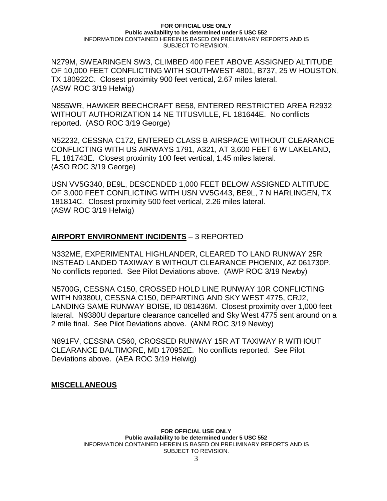N279M, SWEARINGEN SW3, CLIMBED 400 FEET ABOVE ASSIGNED ALTITUDE OF 10,000 FEET CONFLICTING WITH SOUTHWEST 4801, B737, 25 W HOUSTON, TX 180922C. Closest proximity 900 feet vertical, 2.67 miles lateral. (ASW ROC 3/19 Helwig)

N855WR, HAWKER BEECHCRAFT BE58, ENTERED RESTRICTED AREA R2932 WITHOUT AUTHORIZATION 14 NE TITUSVILLE, FL 181644E. No conflicts reported. (ASO ROC 3/19 George)

N52232, CESSNA C172, ENTERED CLASS B AIRSPACE WITHOUT CLEARANCE CONFLICTING WITH US AIRWAYS 1791, A321, AT 3,600 FEET 6 W LAKELAND, FL 181743E. Closest proximity 100 feet vertical, 1.45 miles lateral. (ASO ROC 3/19 George)

USN VV5G340, BE9L, DESCENDED 1,000 FEET BELOW ASSIGNED ALTITUDE OF 3,000 FEET CONFLICTING WITH USN VV5G443, BE9L, 7 N HARLINGEN, TX 181814C. Closest proximity 500 feet vertical, 2.26 miles lateral. (ASW ROC 3/19 Helwig)

## **AIRPORT ENVIRONMENT INCIDENTS** – 3 REPORTED

N332ME, EXPERIMENTAL HIGHLANDER, CLEARED TO LAND RUNWAY 25R INSTEAD LANDED TAXIWAY B WITHOUT CLEARANCE PHOENIX, AZ 061730P. No conflicts reported. See Pilot Deviations above. (AWP ROC 3/19 Newby)

N5700G, CESSNA C150, CROSSED HOLD LINE RUNWAY 10R CONFLICTING WITH N9380U, CESSNA C150, DEPARTING AND SKY WEST 4775, CRJ2, LANDING SAME RUNWAY BOISE, ID 081436M. Closest proximity over 1,000 feet lateral. N9380U departure clearance cancelled and Sky West 4775 sent around on a 2 mile final. See Pilot Deviations above. (ANM ROC 3/19 Newby)

N891FV, CESSNA C560, CROSSED RUNWAY 15R AT TAXIWAY R WITHOUT CLEARANCE BALTIMORE, MD 170952E. No conflicts reported. See Pilot Deviations above. (AEA ROC 3/19 Helwig)

**MISCELLANEOUS**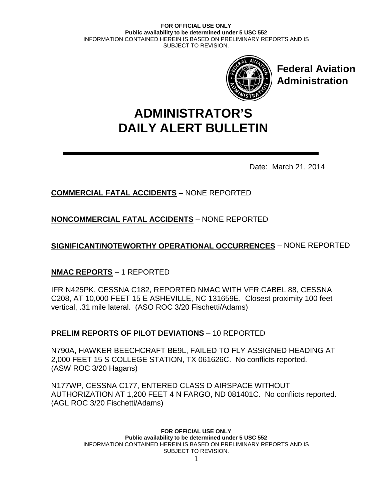

**Federal Aviation Administration**

# **DAILY ALERT BULLETIN ADMINISTRATOR'S**

Date: March 21, 2014

# **COMMERCIAL FATAL ACCIDENTS** – NONE REPORTED

**NONCOMMERCIAL FATAL ACCIDENTS** – NONE REPORTED

**SIGNIFICANT/NOTEWORTHY OPERATIONAL OCCURRENCES** – NONE REPORTED

# **NMAC REPORTS** – 1 REPORTED

IFR N425PK, CESSNA C182, REPORTED NMAC WITH VFR CABEL 88, CESSNA C208, AT 10,000 FEET 15 E ASHEVILLE, NC 131659E. Closest proximity 100 feet vertical, .31 mile lateral. (ASO ROC 3/20 Fischetti/Adams)

# **PRELIM REPORTS OF PILOT DEVIATIONS** – 10 REPORTED

N790A, HAWKER BEECHCRAFT BE9L, FAILED TO FLY ASSIGNED HEADING AT 2,000 FEET 15 S COLLEGE STATION, TX 061626C. No conflicts reported. (ASW ROC 3/20 Hagans)

N177WP, CESSNA C177, ENTERED CLASS D AIRSPACE WITHOUT AUTHORIZATION AT 1,200 FEET 4 N FARGO, ND 081401C. No conflicts reported. (AGL ROC 3/20 Fischetti/Adams)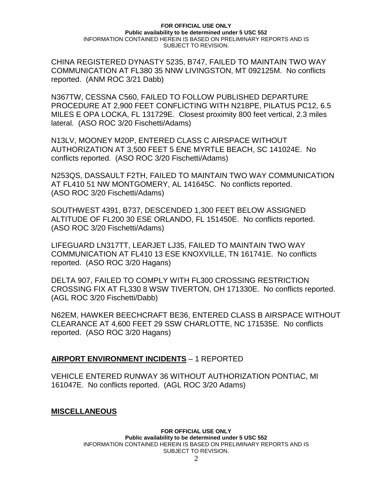CHINA REGISTERED DYNASTY 5235, B747, FAILED TO MAINTAIN TWO WAY COMMUNICATION AT FL380 35 NNW LIVINGSTON, MT 092125M. No conflicts reported. (ANM ROC 3/21 Dabb)

N367TW, CESSNA C560, FAILED TO FOLLOW PUBLISHED DEPARTURE PROCEDURE AT 2,900 FEET CONFLICTING WITH N218PE, PILATUS PC12, 6.5 MILES E OPA LOCKA, FL 131729E. Closest proximity 800 feet vertical, 2.3 miles lateral. (ASO ROC 3/20 Fischetti/Adams)

N13LV, MOONEY M20P, ENTERED CLASS C AIRSPACE WITHOUT AUTHORIZATION AT 3,500 FEET 5 ENE MYRTLE BEACH, SC 141024E. No conflicts reported. (ASO ROC 3/20 Fischetti/Adams)

N253QS, DASSAULT F2TH, FAILED TO MAINTAIN TWO WAY COMMUNICATION AT FL410 51 NW MONTGOMERY, AL 141645C. No conflicts reported. (ASO ROC 3/20 Fischetti/Adams)

SOUTHWEST 4391, B737, DESCENDED 1,300 FEET BELOW ASSIGNED ALTITUDE OF FL200 30 ESE ORLANDO, FL 151450E. No conflicts reported. (ASO ROC 3/20 Fischetti/Adams)

LIFEGUARD LN317TT, LEARJET LJ35, FAILED TO MAINTAIN TWO WAY COMMUNICATION AT FL410 13 ESE KNOXVILLE, TN 161741E. No conflicts reported. (ASO ROC 3/20 Hagans)

DELTA 907, FAILED TO COMPLY WITH FL300 CROSSING RESTRICTION CROSSING FIX AT FL330 8 WSW TIVERTON, OH 171330E. No conflicts reported. (AGL ROC 3/20 Fischetti/Dabb)

N62EM, HAWKER BEECHCRAFT BE36, ENTERED CLASS B AIRSPACE WITHOUT CLEARANCE AT 4,600 FEET 29 SSW CHARLOTTE, NC 171535E. No conflicts reported. (ASO ROC 3/20 Hagans)

### **AIRPORT ENVIRONMENT INCIDENTS** – 1 REPORTED

VEHICLE ENTERED RUNWAY 36 WITHOUT AUTHORIZATION PONTIAC, MI 161047E. No conflicts reported. (AGL ROC 3/20 Adams)

### **MISCELLANEOUS**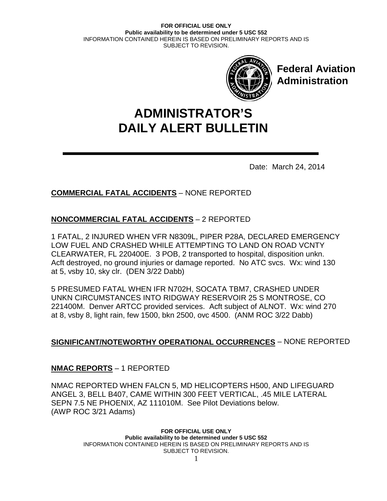

**Federal Aviation Administration**

# **DAILY ALERT BULLETIN ADMINISTRATOR'S**

Date: March 24, 2014

# **COMMERCIAL FATAL ACCIDENTS** – NONE REPORTED

# **NONCOMMERCIAL FATAL ACCIDENTS** – 2 REPORTED

1 FATAL, 2 INJURED WHEN VFR N8309L, PIPER P28A, DECLARED EMERGENCY LOW FUEL AND CRASHED WHILE ATTEMPTING TO LAND ON ROAD VCNTY CLEARWATER, FL 220400E. 3 POB, 2 transported to hospital, disposition unkn. Acft destroyed, no ground injuries or damage reported. No ATC svcs. Wx: wind 130 at 5, vsby 10, sky clr. (DEN 3/22 Dabb)

5 PRESUMED FATAL WHEN IFR N702H, SOCATA TBM7, CRASHED UNDER UNKN CIRCUMSTANCES INTO RIDGWAY RESERVOIR 25 S MONTROSE, CO 221400M. Denver ARTCC provided services. Acft subject of ALNOT. Wx: wind 270 at 8, vsby 8, light rain, few 1500, bkn 2500, ovc 4500. (ANM ROC 3/22 Dabb)

# **SIGNIFICANT/NOTEWORTHY OPERATIONAL OCCURRENCES** – NONE REPORTED

# **NMAC REPORTS** – 1 REPORTED

NMAC REPORTED WHEN FALCN 5, MD HELICOPTERS H500, AND LIFEGUARD ANGEL 3, BELL B407, CAME WITHIN 300 FEET VERTICAL, .45 MILE LATERAL SEPN 7.5 NE PHOENIX, AZ 111010M. See Pilot Deviations below. (AWP ROC 3/21 Adams)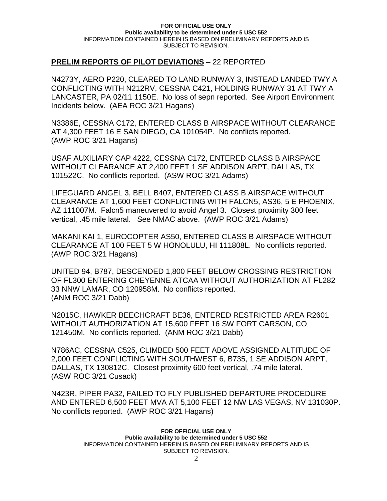## **PRELIM REPORTS OF PILOT DEVIATIONS** – 22 REPORTED

N4273Y, AERO P220, CLEARED TO LAND RUNWAY 3, INSTEAD LANDED TWY A CONFLICTING WITH N212RV, CESSNA C421, HOLDING RUNWAY 31 AT TWY A LANCASTER, PA 02/11 1150E. No loss of sepn reported. See Airport Environment Incidents below. (AEA ROC 3/21 Hagans)

N3386E, CESSNA C172, ENTERED CLASS B AIRSPACE WITHOUT CLEARANCE AT 4,300 FEET 16 E SAN DIEGO, CA 101054P. No conflicts reported. (AWP ROC 3/21 Hagans)

USAF AUXILIARY CAP 4222, CESSNA C172, ENTERED CLASS B AIRSPACE WITHOUT CLEARANCE AT 2,400 FEET 1 SE ADDISON ARPT, DALLAS, TX 101522C. No conflicts reported. (ASW ROC 3/21 Adams)

LIFEGUARD ANGEL 3, BELL B407, ENTERED CLASS B AIRSPACE WITHOUT CLEARANCE AT 1,600 FEET CONFLICTING WITH FALCN5, AS36, 5 E PHOENIX, AZ 111007M. Falcn5 maneuvered to avoid Angel 3. Closest proximity 300 feet vertical, .45 mile lateral. See NMAC above. (AWP ROC 3/21 Adams)

MAKANI KAI 1, EUROCOPTER AS50, ENTERED CLASS B AIRSPACE WITHOUT CLEARANCE AT 100 FEET 5 W HONOLULU, HI 111808L. No conflicts reported. (AWP ROC 3/21 Hagans)

UNITED 94, B787, DESCENDED 1,800 FEET BELOW CROSSING RESTRICTION OF FL300 ENTERING CHEYENNE ATCAA WITHOUT AUTHORIZATION AT FL282 33 NNW LAMAR, CO 120958M. No conflicts reported. (ANM ROC 3/21 Dabb)

N2015C, HAWKER BEECHCRAFT BE36, ENTERED RESTRICTED AREA R2601 WITHOUT AUTHORIZATION AT 15,600 FEET 16 SW FORT CARSON, CO 121450M. No conflicts reported. (ANM ROC 3/21 Dabb)

N786AC, CESSNA C525, CLIMBED 500 FEET ABOVE ASSIGNED ALTITUDE OF 2,000 FEET CONFLICTING WITH SOUTHWEST 6, B735, 1 SE ADDISON ARPT, DALLAS, TX 130812C. Closest proximity 600 feet vertical, .74 mile lateral. (ASW ROC 3/21 Cusack)

N423R, PIPER PA32, FAILED TO FLY PUBLISHED DEPARTURE PROCEDURE AND ENTERED 6,500 FEET MVA AT 5,100 FEET 12 NW LAS VEGAS, NV 131030P. No conflicts reported. (AWP ROC 3/21 Hagans)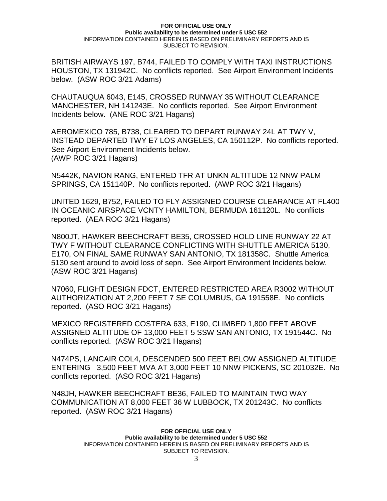BRITISH AIRWAYS 197, B744, FAILED TO COMPLY WITH TAXI INSTRUCTIONS HOUSTON, TX 131942C. No conflicts reported. See Airport Environment Incidents below. (ASW ROC 3/21 Adams)

CHAUTAUQUA 6043, E145, CROSSED RUNWAY 35 WITHOUT CLEARANCE MANCHESTER, NH 141243E. No conflicts reported. See Airport Environment Incidents below. (ANE ROC 3/21 Hagans)

AEROMEXICO 785, B738, CLEARED TO DEPART RUNWAY 24L AT TWY V, INSTEAD DEPARTED TWY E7 LOS ANGELES, CA 150112P. No conflicts reported. See Airport Environment Incidents below. (AWP ROC 3/21 Hagans)

N5442K, NAVION RANG, ENTERED TFR AT UNKN ALTITUDE 12 NNW PALM SPRINGS, CA 151140P. No conflicts reported. (AWP ROC 3/21 Hagans)

UNITED 1629, B752, FAILED TO FLY ASSIGNED COURSE CLEARANCE AT FL400 IN OCEANIC AIRSPACE VCNTY HAMILTON, BERMUDA 161120L. No conflicts reported. (AEA ROC 3/21 Hagans)

N800JT, HAWKER BEECHCRAFT BE35, CROSSED HOLD LINE RUNWAY 22 AT TWY F WITHOUT CLEARANCE CONFLICTING WITH SHUTTLE AMERICA 5130, E170, ON FINAL SAME RUNWAY SAN ANTONIO, TX 181358C. Shuttle America 5130 sent around to avoid loss of sepn. See Airport Environment Incidents below. (ASW ROC 3/21 Hagans)

N7060, FLIGHT DESIGN FDCT, ENTERED RESTRICTED AREA R3002 WITHOUT AUTHORIZATION AT 2,200 FEET 7 SE COLUMBUS, GA 191558E. No conflicts reported. (ASO ROC 3/21 Hagans)

MEXICO REGISTERED COSTERA 633, E190, CLIMBED 1,800 FEET ABOVE ASSIGNED ALTITUDE OF 13,000 FEET 5 SSW SAN ANTONIO, TX 191544C. No conflicts reported. (ASW ROC 3/21 Hagans)

N474PS, LANCAIR COL4, DESCENDED 500 FEET BELOW ASSIGNED ALTITUDE ENTERING 3,500 FEET MVA AT 3,000 FEET 10 NNW PICKENS, SC 201032E. No conflicts reported. (ASO ROC 3/21 Hagans)

N48JH, HAWKER BEECHCRAFT BE36, FAILED TO MAINTAIN TWO WAY COMMUNICATION AT 8,000 FEET 36 W LUBBOCK, TX 201243C. No conflicts reported. (ASW ROC 3/21 Hagans)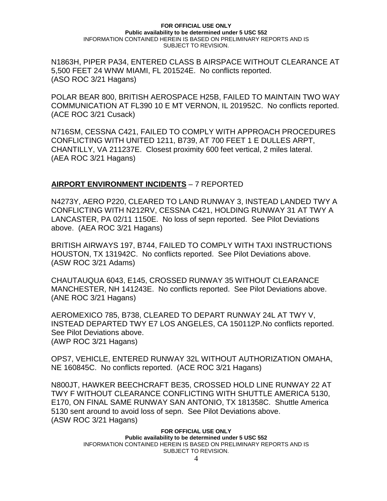N1863H, PIPER PA34, ENTERED CLASS B AIRSPACE WITHOUT CLEARANCE AT 5,500 FEET 24 WNW MIAMI, FL 201524E. No conflicts reported. (ASO ROC 3/21 Hagans)

POLAR BEAR 800, BRITISH AEROSPACE H25B, FAILED TO MAINTAIN TWO WAY COMMUNICATION AT FL390 10 E MT VERNON, IL 201952C. No conflicts reported. (ACE ROC 3/21 Cusack)

N716SM, CESSNA C421, FAILED TO COMPLY WITH APPROACH PROCEDURES CONFLICTING WITH UNITED 1211, B739, AT 700 FEET 1 E DULLES ARPT, CHANTILLY, VA 211237E. Closest proximity 600 feet vertical, 2 miles lateral. (AEA ROC 3/21 Hagans)

## **AIRPORT ENVIRONMENT INCIDENTS** – 7 REPORTED

N4273Y, AERO P220, CLEARED TO LAND RUNWAY 3, INSTEAD LANDED TWY A CONFLICTING WITH N212RV, CESSNA C421, HOLDING RUNWAY 31 AT TWY A LANCASTER, PA 02/11 1150E. No loss of sepn reported. See Pilot Deviations above. (AEA ROC 3/21 Hagans)

BRITISH AIRWAYS 197, B744, FAILED TO COMPLY WITH TAXI INSTRUCTIONS HOUSTON, TX 131942C. No conflicts reported. See Pilot Deviations above. (ASW ROC 3/21 Adams)

CHAUTAUQUA 6043, E145, CROSSED RUNWAY 35 WITHOUT CLEARANCE MANCHESTER, NH 141243E. No conflicts reported. See Pilot Deviations above. (ANE ROC 3/21 Hagans)

AEROMEXICO 785, B738, CLEARED TO DEPART RUNWAY 24L AT TWY V, INSTEAD DEPARTED TWY E7 LOS ANGELES, CA 150112P.No conflicts reported. See Pilot Deviations above. (AWP ROC 3/21 Hagans)

OPS7, VEHICLE, ENTERED RUNWAY 32L WITHOUT AUTHORIZATION OMAHA, NE 160845C. No conflicts reported. (ACE ROC 3/21 Hagans)

N800JT, HAWKER BEECHCRAFT BE35, CROSSED HOLD LINE RUNWAY 22 AT TWY F WITHOUT CLEARANCE CONFLICTING WITH SHUTTLE AMERICA 5130, E170, ON FINAL SAME RUNWAY SAN ANTONIO, TX 181358C. Shuttle America 5130 sent around to avoid loss of sepn. See Pilot Deviations above. (ASW ROC 3/21 Hagans)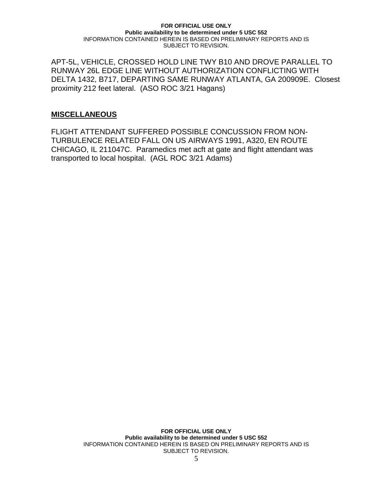APT-5L, VEHICLE, CROSSED HOLD LINE TWY B10 AND DROVE PARALLEL TO RUNWAY 26L EDGE LINE WITHOUT AUTHORIZATION CONFLICTING WITH DELTA 1432, B717, DEPARTING SAME RUNWAY ATLANTA, GA 200909E. Closest proximity 212 feet lateral. (ASO ROC 3/21 Hagans)

### **MISCELLANEOUS**

FLIGHT ATTENDANT SUFFERED POSSIBLE CONCUSSION FROM NON-TURBULENCE RELATED FALL ON US AIRWAYS 1991, A320, EN ROUTE CHICAGO, IL 211047C. Paramedics met acft at gate and flight attendant was transported to local hospital. (AGL ROC 3/21 Adams)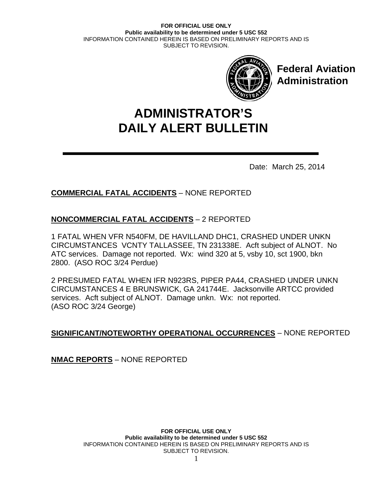

**Federal Aviation Administration**

# **DAILY ALERT BULLETIN ADMINISTRATOR'S**

Date: March 25, 2014

# **COMMERCIAL FATAL ACCIDENTS** – NONE REPORTED

# **NONCOMMERCIAL FATAL ACCIDENTS** – 2 REPORTED

1 FATAL WHEN VFR N540FM, DE HAVILLAND DHC1, CRASHED UNDER UNKN CIRCUMSTANCES VCNTY TALLASSEE, TN 231338E. Acft subject of ALNOT. No ATC services. Damage not reported. Wx: wind 320 at 5, vsby 10, sct 1900, bkn 2800. (ASO ROC 3/24 Perdue)

2 PRESUMED FATAL WHEN IFR N923RS, PIPER PA44, CRASHED UNDER UNKN CIRCUMSTANCES 4 E BRUNSWICK, GA 241744E. Jacksonville ARTCC provided services. Acft subject of ALNOT. Damage unkn. Wx: not reported. (ASO ROC 3/24 George)

# **SIGNIFICANT/NOTEWORTHY OPERATIONAL OCCURRENCES** – NONE REPORTED

**NMAC REPORTS** – NONE REPORTED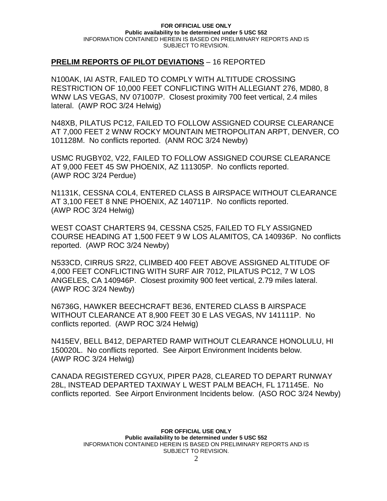## **PRELIM REPORTS OF PILOT DEVIATIONS** – 16 REPORTED

N100AK, IAI ASTR, FAILED TO COMPLY WITH ALTITUDE CROSSING RESTRICTION OF 10,000 FEET CONFLICTING WITH ALLEGIANT 276, MD80, 8 WNW LAS VEGAS, NV 071007P. Closest proximity 700 feet vertical, 2.4 miles lateral. (AWP ROC 3/24 Helwig)

N48XB, PILATUS PC12, FAILED TO FOLLOW ASSIGNED COURSE CLEARANCE AT 7,000 FEET 2 WNW ROCKY MOUNTAIN METROPOLITAN ARPT, DENVER, CO 101128M. No conflicts reported. (ANM ROC 3/24 Newby)

USMC RUGBY02, V22, FAILED TO FOLLOW ASSIGNED COURSE CLEARANCE AT 9,000 FEET 45 SW PHOENIX, AZ 111305P. No conflicts reported. (AWP ROC 3/24 Perdue)

N1131K, CESSNA COL4, ENTERED CLASS B AIRSPACE WITHOUT CLEARANCE AT 3,100 FEET 8 NNE PHOENIX, AZ 140711P. No conflicts reported. (AWP ROC 3/24 Helwig)

WEST COAST CHARTERS 94, CESSNA C525, FAILED TO FLY ASSIGNED COURSE HEADING AT 1,500 FEET 9 W LOS ALAMITOS, CA 140936P. No conflicts reported. (AWP ROC 3/24 Newby)

N533CD, CIRRUS SR22, CLIMBED 400 FEET ABOVE ASSIGNED ALTITUDE OF 4,000 FEET CONFLICTING WITH SURF AIR 7012, PILATUS PC12, 7 W LOS ANGELES, CA 140946P. Closest proximity 900 feet vertical, 2.79 miles lateral. (AWP ROC 3/24 Newby)

N6736G, HAWKER BEECHCRAFT BE36, ENTERED CLASS B AIRSPACE WITHOUT CLEARANCE AT 8,900 FEET 30 E LAS VEGAS, NV 141111P. No conflicts reported. (AWP ROC 3/24 Helwig)

N415EV, BELL B412, DEPARTED RAMP WITHOUT CLEARANCE HONOLULU, HI 150020L. No conflicts reported. See Airport Environment Incidents below. (AWP ROC 3/24 Helwig)

CANADA REGISTERED CGYUX, PIPER PA28, CLEARED TO DEPART RUNWAY 28L, INSTEAD DEPARTED TAXIWAY L WEST PALM BEACH, FL 171145E. No conflicts reported. See Airport Environment Incidents below. (ASO ROC 3/24 Newby)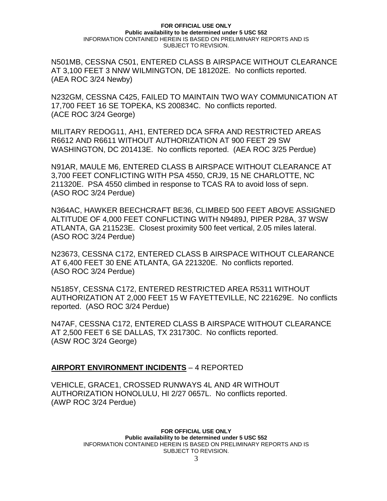N501MB, CESSNA C501, ENTERED CLASS B AIRSPACE WITHOUT CLEARANCE AT 3,100 FEET 3 NNW WILMINGTON, DE 181202E. No conflicts reported. (AEA ROC 3/24 Newby)

N232GM, CESSNA C425, FAILED TO MAINTAIN TWO WAY COMMUNICATION AT 17,700 FEET 16 SE TOPEKA, KS 200834C. No conflicts reported. (ACE ROC 3/24 George)

MILITARY REDOG11, AH1, ENTERED DCA SFRA AND RESTRICTED AREAS R6612 AND R6611 WITHOUT AUTHORIZATION AT 900 FEET 29 SW WASHINGTON, DC 201413E. No conflicts reported. (AEA ROC 3/25 Perdue)

N91AR, MAULE M6, ENTERED CLASS B AIRSPACE WITHOUT CLEARANCE AT 3,700 FEET CONFLICTING WITH PSA 4550, CRJ9, 15 NE CHARLOTTE, NC 211320E. PSA 4550 climbed in response to TCAS RA to avoid loss of sepn. (ASO ROC 3/24 Perdue)

N364AC, HAWKER BEECHCRAFT BE36, CLIMBED 500 FEET ABOVE ASSIGNED ALTITUDE OF 4,000 FEET CONFLICTING WITH N9489J, PIPER P28A, 37 WSW ATLANTA, GA 211523E. Closest proximity 500 feet vertical, 2.05 miles lateral. (ASO ROC 3/24 Perdue)

N23673, CESSNA C172, ENTERED CLASS B AIRSPACE WITHOUT CLEARANCE AT 6,400 FEET 30 ENE ATLANTA, GA 221320E. No conflicts reported. (ASO ROC 3/24 Perdue)

N5185Y, CESSNA C172, ENTERED RESTRICTED AREA R5311 WITHOUT AUTHORIZATION AT 2,000 FEET 15 W FAYETTEVILLE, NC 221629E. No conflicts reported. (ASO ROC 3/24 Perdue)

N47AF, CESSNA C172, ENTERED CLASS B AIRSPACE WITHOUT CLEARANCE AT 2,500 FEET 6 SE DALLAS, TX 231730C. No conflicts reported. (ASW ROC 3/24 George)

### **AIRPORT ENVIRONMENT INCIDENTS** – 4 REPORTED

VEHICLE, GRACE1, CROSSED RUNWAYS 4L AND 4R WITHOUT AUTHORIZATION HONOLULU, HI 2/27 0657L. No conflicts reported. (AWP ROC 3/24 Perdue)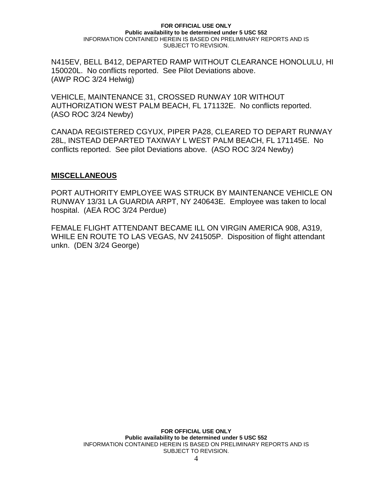N415EV, BELL B412, DEPARTED RAMP WITHOUT CLEARANCE HONOLULU, HI 150020L. No conflicts reported. See Pilot Deviations above. (AWP ROC 3/24 Helwig)

VEHICLE, MAINTENANCE 31, CROSSED RUNWAY 10R WITHOUT AUTHORIZATION WEST PALM BEACH, FL 171132E. No conflicts reported. (ASO ROC 3/24 Newby)

CANADA REGISTERED CGYUX, PIPER PA28, CLEARED TO DEPART RUNWAY 28L, INSTEAD DEPARTED TAXIWAY L WEST PALM BEACH, FL 171145E. No conflicts reported. See pilot Deviations above. (ASO ROC 3/24 Newby)

### **MISCELLANEOUS**

PORT AUTHORITY EMPLOYEE WAS STRUCK BY MAINTENANCE VEHICLE ON RUNWAY 13/31 LA GUARDIA ARPT, NY 240643E. Employee was taken to local hospital. (AEA ROC 3/24 Perdue)

FEMALE FLIGHT ATTENDANT BECAME ILL ON VIRGIN AMERICA 908, A319, WHILE EN ROUTE TO LAS VEGAS, NV 241505P. Disposition of flight attendant unkn. (DEN 3/24 George)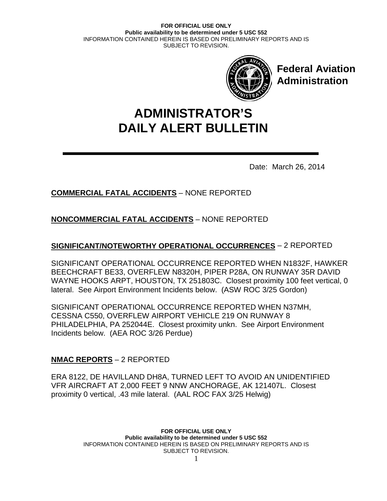

**Federal Aviation Administration**

# **DAILY ALERT BULLETIN ADMINISTRATOR'S**

Date: March 26, 2014

# **COMMERCIAL FATAL ACCIDENTS** – NONE REPORTED

# **NONCOMMERCIAL FATAL ACCIDENTS** – NONE REPORTED

# **SIGNIFICANT/NOTEWORTHY OPERATIONAL OCCURRENCES** – 2 REPORTED

SIGNIFICANT OPERATIONAL OCCURRENCE REPORTED WHEN N1832F, HAWKER BEECHCRAFT BE33, OVERFLEW N8320H, PIPER P28A, ON RUNWAY 35R DAVID WAYNE HOOKS ARPT, HOUSTON, TX 251803C. Closest proximity 100 feet vertical, 0 lateral. See Airport Environment Incidents below. (ASW ROC 3/25 Gordon)

SIGNIFICANT OPERATIONAL OCCURRENCE REPORTED WHEN N37MH, CESSNA C550, OVERFLEW AIRPORT VEHICLE 219 ON RUNWAY 8 PHILADELPHIA, PA 252044E. Closest proximity unkn. See Airport Environment Incidents below. (AEA ROC 3/26 Perdue)

# **NMAC REPORTS** – 2 REPORTED

ERA 8122, DE HAVILLAND DH8A, TURNED LEFT TO AVOID AN UNIDENTIFIED VFR AIRCRAFT AT 2,000 FEET 9 NNW ANCHORAGE, AK 121407L. Closest proximity 0 vertical, .43 mile lateral. (AAL ROC FAX 3/25 Helwig)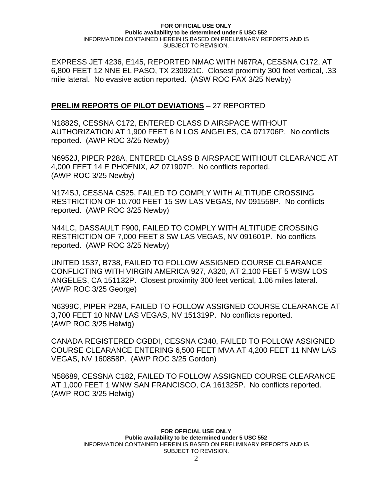EXPRESS JET 4236, E145, REPORTED NMAC WITH N67RA, CESSNA C172, AT 6,800 FEET 12 NNE EL PASO, TX 230921C. Closest proximity 300 feet vertical, .33 mile lateral. No evasive action reported. (ASW ROC FAX 3/25 Newby)

## **PRELIM REPORTS OF PILOT DEVIATIONS** – 27 REPORTED

N1882S, CESSNA C172, ENTERED CLASS D AIRSPACE WITHOUT AUTHORIZATION AT 1,900 FEET 6 N LOS ANGELES, CA 071706P. No conflicts reported. (AWP ROC 3/25 Newby)

N6952J, PIPER P28A, ENTERED CLASS B AIRSPACE WITHOUT CLEARANCE AT 4,000 FEET 14 E PHOENIX, AZ 071907P. No conflicts reported. (AWP ROC 3/25 Newby)

N174SJ, CESSNA C525, FAILED TO COMPLY WITH ALTITUDE CROSSING RESTRICTION OF 10,700 FEET 15 SW LAS VEGAS, NV 091558P. No conflicts reported. (AWP ROC 3/25 Newby)

N44LC, DASSAULT F900, FAILED TO COMPLY WITH ALTITUDE CROSSING RESTRICTION OF 7,000 FEET 8 SW LAS VEGAS, NV 091601P. No conflicts reported. (AWP ROC 3/25 Newby)

UNITED 1537, B738, FAILED TO FOLLOW ASSIGNED COURSE CLEARANCE CONFLICTING WITH VIRGIN AMERICA 927, A320, AT 2,100 FEET 5 WSW LOS ANGELES, CA 151132P. Closest proximity 300 feet vertical, 1.06 miles lateral. (AWP ROC 3/25 George)

N6399C, PIPER P28A, FAILED TO FOLLOW ASSIGNED COURSE CLEARANCE AT 3,700 FEET 10 NNW LAS VEGAS, NV 151319P. No conflicts reported. (AWP ROC 3/25 Helwig)

CANADA REGISTERED CGBDI, CESSNA C340, FAILED TO FOLLOW ASSIGNED COURSE CLEARANCE ENTERING 6,500 FEET MVA AT 4,200 FEET 11 NNW LAS VEGAS, NV 160858P. (AWP ROC 3/25 Gordon)

N58689, CESSNA C182, FAILED TO FOLLOW ASSIGNED COURSE CLEARANCE AT 1,000 FEET 1 WNW SAN FRANCISCO, CA 161325P. No conflicts reported. (AWP ROC 3/25 Helwig)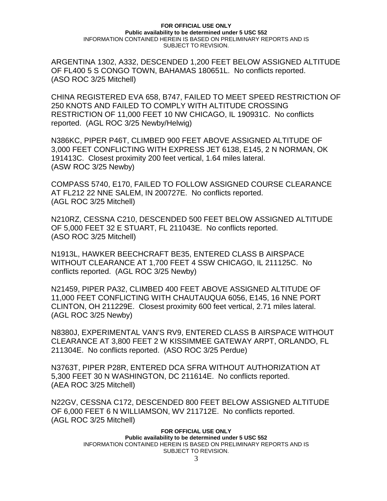ARGENTINA 1302, A332, DESCENDED 1,200 FEET BELOW ASSIGNED ALTITUDE OF FL400 5 S CONGO TOWN, BAHAMAS 180651L. No conflicts reported. (ASO ROC 3/25 Mitchell)

CHINA REGISTERED EVA 658, B747, FAILED TO MEET SPEED RESTRICTION OF 250 KNOTS AND FAILED TO COMPLY WITH ALTITUDE CROSSING RESTRICTION OF 11,000 FEET 10 NW CHICAGO, IL 190931C. No conflicts reported. (AGL ROC 3/25 Newby/Helwig)

N386KC, PIPER P46T, CLIMBED 900 FEET ABOVE ASSIGNED ALTITUDE OF 3,000 FEET CONFLICTING WITH EXPRESS JET 6138, E145, 2 N NORMAN, OK 191413C. Closest proximity 200 feet vertical, 1.64 miles lateral. (ASW ROC 3/25 Newby)

COMPASS 5740, E170, FAILED TO FOLLOW ASSIGNED COURSE CLEARANCE AT FL212 22 NNE SALEM, IN 200727E. No conflicts reported. (AGL ROC 3/25 Mitchell)

N210RZ, CESSNA C210, DESCENDED 500 FEET BELOW ASSIGNED ALTITUDE OF 5,000 FEET 32 E STUART, FL 211043E. No conflicts reported. (ASO ROC 3/25 Mitchell)

N1913L, HAWKER BEECHCRAFT BE35, ENTERED CLASS B AIRSPACE WITHOUT CLEARANCE AT 1,700 FEET 4 SSW CHICAGO, IL 211125C. No conflicts reported. (AGL ROC 3/25 Newby)

N21459, PIPER PA32, CLIMBED 400 FEET ABOVE ASSIGNED ALTITUDE OF 11,000 FEET CONFLICTING WITH CHAUTAUQUA 6056, E145, 16 NNE PORT CLINTON, OH 211229E. Closest proximity 600 feet vertical, 2.71 miles lateral. (AGL ROC 3/25 Newby)

N8380J, EXPERIMENTAL VAN'S RV9, ENTERED CLASS B AIRSPACE WITHOUT CLEARANCE AT 3,800 FEET 2 W KISSIMMEE GATEWAY ARPT, ORLANDO, FL 211304E. No conflicts reported. (ASO ROC 3/25 Perdue)

N3763T, PIPER P28R, ENTERED DCA SFRA WITHOUT AUTHORIZATION AT 5,300 FEET 30 N WASHINGTON, DC 211614E. No conflicts reported. (AEA ROC 3/25 Mitchell)

N22GV, CESSNA C172, DESCENDED 800 FEET BELOW ASSIGNED ALTITUDE OF 6,000 FEET 6 N WILLIAMSON, WV 211712E. No conflicts reported. (AGL ROC 3/25 Mitchell)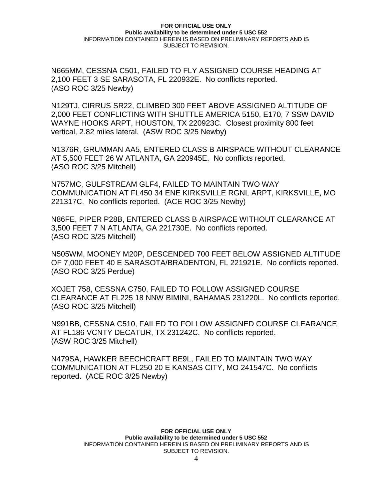N665MM, CESSNA C501, FAILED TO FLY ASSIGNED COURSE HEADING AT 2,100 FEET 3 SE SARASOTA, FL 220932E. No conflicts reported. (ASO ROC 3/25 Newby)

N129TJ, CIRRUS SR22, CLIMBED 300 FEET ABOVE ASSIGNED ALTITUDE OF 2,000 FEET CONFLICTING WITH SHUTTLE AMERICA 5150, E170, 7 SSW DAVID WAYNE HOOKS ARPT, HOUSTON, TX 220923C. Closest proximity 800 feet vertical, 2.82 miles lateral. (ASW ROC 3/25 Newby)

N1376R, GRUMMAN AA5, ENTERED CLASS B AIRSPACE WITHOUT CLEARANCE AT 5,500 FEET 26 W ATLANTA, GA 220945E. No conflicts reported. (ASO ROC 3/25 Mitchell)

N757MC, GULFSTREAM GLF4, FAILED TO MAINTAIN TWO WAY COMMUNICATION AT FL450 34 ENE KIRKSVILLE RGNL ARPT, KIRKSVILLE, MO 221317C. No conflicts reported. (ACE ROC 3/25 Newby)

N86FE, PIPER P28B, ENTERED CLASS B AIRSPACE WITHOUT CLEARANCE AT 3,500 FEET 7 N ATLANTA, GA 221730E. No conflicts reported. (ASO ROC 3/25 Mitchell)

N505WM, MOONEY M20P, DESCENDED 700 FEET BELOW ASSIGNED ALTITUDE OF 7,000 FEET 40 E SARASOTA/BRADENTON, FL 221921E. No conflicts reported. (ASO ROC 3/25 Perdue)

XOJET 758, CESSNA C750, FAILED TO FOLLOW ASSIGNED COURSE CLEARANCE AT FL225 18 NNW BIMINI, BAHAMAS 231220L. No conflicts reported. (ASO ROC 3/25 Mitchell)

N991BB, CESSNA C510, FAILED TO FOLLOW ASSIGNED COURSE CLEARANCE AT FL186 VCNTY DECATUR, TX 231242C. No conflicts reported. (ASW ROC 3/25 Mitchell)

N479SA, HAWKER BEECHCRAFT BE9L, FAILED TO MAINTAIN TWO WAY COMMUNICATION AT FL250 20 E KANSAS CITY, MO 241547C. No conflicts reported. (ACE ROC 3/25 Newby)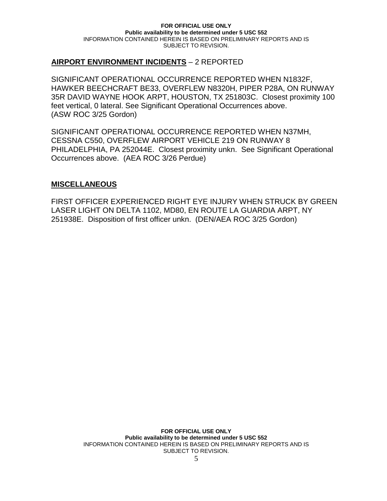## **AIRPORT ENVIRONMENT INCIDENTS** – 2 REPORTED

SIGNIFICANT OPERATIONAL OCCURRENCE REPORTED WHEN N1832F, HAWKER BEECHCRAFT BE33, OVERFLEW N8320H, PIPER P28A, ON RUNWAY 35R DAVID WAYNE HOOK ARPT, HOUSTON, TX 251803C. Closest proximity 100 feet vertical, 0 lateral. See Significant Operational Occurrences above. (ASW ROC 3/25 Gordon)

SIGNIFICANT OPERATIONAL OCCURRENCE REPORTED WHEN N37MH, CESSNA C550, OVERFLEW AIRPORT VEHICLE 219 ON RUNWAY 8 PHILADELPHIA, PA 252044E. Closest proximity unkn. See Significant Operational Occurrences above. (AEA ROC 3/26 Perdue)

### **MISCELLANEOUS**

FIRST OFFICER EXPERIENCED RIGHT EYE INJURY WHEN STRUCK BY GREEN LASER LIGHT ON DELTA 1102, MD80, EN ROUTE LA GUARDIA ARPT, NY 251938E. Disposition of first officer unkn. (DEN/AEA ROC 3/25 Gordon)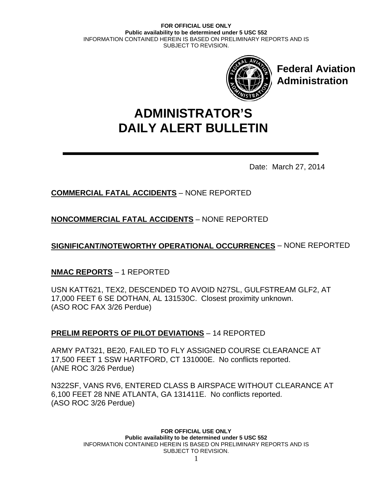

**Federal Aviation Administration**

# **DAILY ALERT BULLETIN ADMINISTRATOR'S**

Date: March 27, 2014

# **COMMERCIAL FATAL ACCIDENTS** – NONE REPORTED

**NONCOMMERCIAL FATAL ACCIDENTS** – NONE REPORTED

**SIGNIFICANT/NOTEWORTHY OPERATIONAL OCCURRENCES** – NONE REPORTED

# **NMAC REPORTS** – 1 REPORTED

USN KATT621, TEX2, DESCENDED TO AVOID N27SL, GULFSTREAM GLF2, AT 17,000 FEET 6 SE DOTHAN, AL 131530C. Closest proximity unknown. (ASO ROC FAX 3/26 Perdue)

# **PRELIM REPORTS OF PILOT DEVIATIONS** – 14 REPORTED

ARMY PAT321, BE20, FAILED TO FLY ASSIGNED COURSE CLEARANCE AT 17,500 FEET 1 SSW HARTFORD, CT 131000E. No conflicts reported. (ANE ROC 3/26 Perdue)

N322SF, VANS RV6, ENTERED CLASS B AIRSPACE WITHOUT CLEARANCE AT 6,100 FEET 28 NNE ATLANTA, GA 131411E. No conflicts reported. (ASO ROC 3/26 Perdue)

> **FOR OFFICIAL USE ONLY Public availability to be determined under 5 USC 552** INFORMATION CONTAINED HEREIN IS BASED ON PRELIMINARY REPORTS AND IS SUBJECT TO REVISION.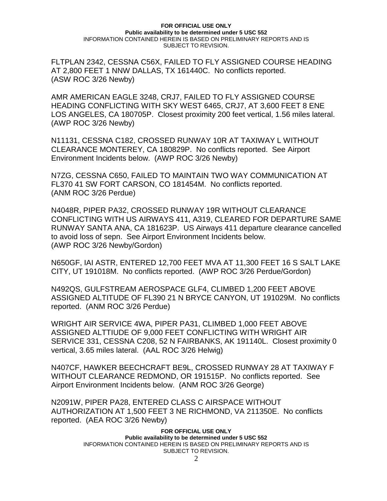FLTPLAN 2342, CESSNA C56X, FAILED TO FLY ASSIGNED COURSE HEADING AT 2,800 FEET 1 NNW DALLAS, TX 161440C. No conflicts reported. (ASW ROC 3/26 Newby)

AMR AMERICAN EAGLE 3248, CRJ7, FAILED TO FLY ASSIGNED COURSE HEADING CONFLICTING WITH SKY WEST 6465, CRJ7, AT 3,600 FEET 8 ENE LOS ANGELES, CA 180705P. Closest proximity 200 feet vertical, 1.56 miles lateral. (AWP ROC 3/26 Newby)

N11131, CESSNA C182, CROSSED RUNWAY 10R AT TAXIWAY L WITHOUT CLEARANCE MONTEREY, CA 180829P. No conflicts reported. See Airport Environment Incidents below. (AWP ROC 3/26 Newby)

N7ZG, CESSNA C650, FAILED TO MAINTAIN TWO WAY COMMUNICATION AT FL370 41 SW FORT CARSON, CO 181454M. No conflicts reported. (ANM ROC 3/26 Perdue)

N4048R, PIPER PA32, CROSSED RUNWAY 19R WITHOUT CLEARANCE CONFLICTING WITH US AIRWAYS 411, A319, CLEARED FOR DEPARTURE SAME RUNWAY SANTA ANA, CA 181623P. US Airways 411 departure clearance cancelled to avoid loss of sepn. See Airport Environment Incidents below. (AWP ROC 3/26 Newby/Gordon)

N650GF, IAI ASTR, ENTERED 12,700 FEET MVA AT 11,300 FEET 16 S SALT LAKE CITY, UT 191018M. No conflicts reported. (AWP ROC 3/26 Perdue/Gordon)

N492QS, GULFSTREAM AEROSPACE GLF4, CLIMBED 1,200 FEET ABOVE ASSIGNED ALTITUDE OF FL390 21 N BRYCE CANYON, UT 191029M. No conflicts reported. (ANM ROC 3/26 Perdue)

WRIGHT AIR SERVICE 4WA, PIPER PA31, CLIMBED 1,000 FEET ABOVE ASSIGNED ALTTIUDE OF 9,000 FEET CONFLICTING WITH WRIGHT AIR SERVICE 331, CESSNA C208, 52 N FAIRBANKS, AK 191140L. Closest proximity 0 vertical, 3.65 miles lateral. (AAL ROC 3/26 Helwig)

N407CF, HAWKER BEECHCRAFT BE9L, CROSSED RUNWAY 28 AT TAXIWAY F WITHOUT CLEARANCE REDMOND, OR 191515P. No conflicts reported. See Airport Environment Incidents below. (ANM ROC 3/26 George)

N2091W, PIPER PA28, ENTERED CLASS C AIRSPACE WITHOUT AUTHORIZATION AT 1,500 FEET 3 NE RICHMOND, VA 211350E. No conflicts reported. (AEA ROC 3/26 Newby)

> **FOR OFFICIAL USE ONLY Public availability to be determined under 5 USC 552** INFORMATION CONTAINED HEREIN IS BASED ON PRELIMINARY REPORTS AND IS SUBJECT TO REVISION.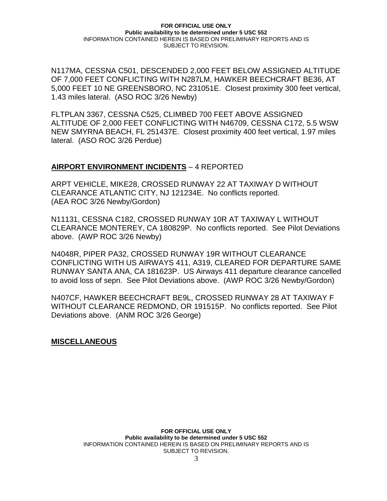N117MA, CESSNA C501, DESCENDED 2,000 FEET BELOW ASSIGNED ALTITUDE OF 7,000 FEET CONFLICTING WITH N287LM, HAWKER BEECHCRAFT BE36, AT 5,000 FEET 10 NE GREENSBORO, NC 231051E. Closest proximity 300 feet vertical, 1.43 miles lateral. (ASO ROC 3/26 Newby)

FLTPLAN 3367, CESSNA C525, CLIMBED 700 FEET ABOVE ASSIGNED ALTITUDE OF 2,000 FEET CONFLICTING WITH N46709, CESSNA C172, 5.5 WSW NEW SMYRNA BEACH, FL 251437E. Closest proximity 400 feet vertical, 1.97 miles lateral. (ASO ROC 3/26 Perdue)

## **AIRPORT ENVIRONMENT INCIDENTS** – 4 REPORTED

ARPT VEHICLE, MIKE28, CROSSED RUNWAY 22 AT TAXIWAY D WITHOUT CLEARANCE ATLANTIC CITY, NJ 121234E. No conflicts reported. (AEA ROC 3/26 Newby/Gordon)

N11131, CESSNA C182, CROSSED RUNWAY 10R AT TAXIWAY L WITHOUT CLEARANCE MONTEREY, CA 180829P. No conflicts reported. See Pilot Deviations above. (AWP ROC 3/26 Newby)

N4048R, PIPER PA32, CROSSED RUNWAY 19R WITHOUT CLEARANCE CONFLICTING WITH US AIRWAYS 411, A319, CLEARED FOR DEPARTURE SAME RUNWAY SANTA ANA, CA 181623P. US Airways 411 departure clearance cancelled to avoid loss of sepn. See Pilot Deviations above. (AWP ROC 3/26 Newby/Gordon)

N407CF, HAWKER BEECHCRAFT BE9L, CROSSED RUNWAY 28 AT TAXIWAY F WITHOUT CLEARANCE REDMOND, OR 191515P. No conflicts reported. See Pilot Deviations above. (ANM ROC 3/26 George)

**MISCELLANEOUS**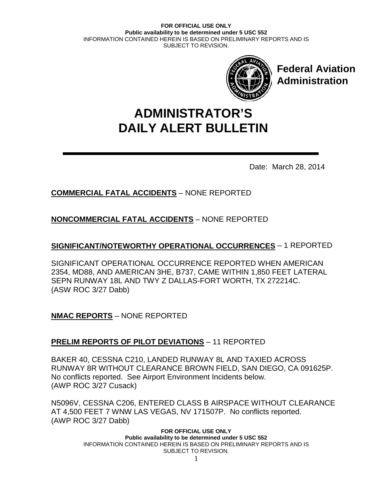

**Federal Aviation Administration**

# **DAILY ALERT BULLETIN ADMINISTRATOR'S**

Date: March 28, 2014

# **COMMERCIAL FATAL ACCIDENTS** – NONE REPORTED

# **NONCOMMERCIAL FATAL ACCIDENTS** – NONE REPORTED

# **SIGNIFICANT/NOTEWORTHY OPERATIONAL OCCURRENCES** – 1 REPORTED

SIGNIFICANT OPERATIONAL OCCURRENCE REPORTED WHEN AMERICAN 2354, MD88, AND AMERICAN 3HE, B737, CAME WITHIN 1,850 FEET LATERAL SEPN RUNWAY 18L AND TWY Z DALLAS-FORT WORTH, TX 272214C. (ASW ROC 3/27 Dabb)

**NMAC REPORTS** – NONE REPORTED

## **PRELIM REPORTS OF PILOT DEVIATIONS** – 11 REPORTED

BAKER 40, CESSNA C210, LANDED RUNWAY 8L AND TAXIED ACROSS RUNWAY 8R WITHOUT CLEARANCE BROWN FIELD, SAN DIEGO, CA 091625P. No conflicts reported. See Airport Environment Incidents below. (AWP ROC 3/27 Cusack)

N5096V, CESSNA C206, ENTERED CLASS B AIRSPACE WITHOUT CLEARANCE AT 4,500 FEET 7 WNW LAS VEGAS, NV 171507P. No conflicts reported. (AWP ROC 3/27 Dabb)

> **FOR OFFICIAL USE ONLY Public availability to be determined under 5 USC 552** INFORMATION CONTAINED HEREIN IS BASED ON PRELIMINARY REPORTS AND IS SUBJECT TO REVISION.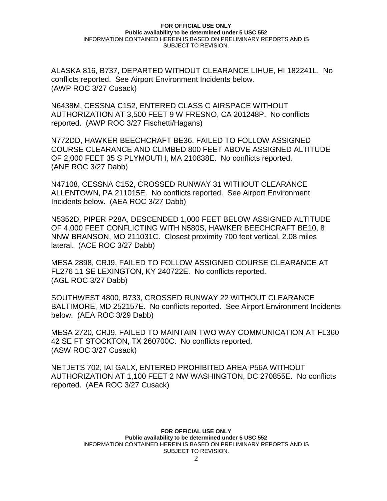ALASKA 816, B737, DEPARTED WITHOUT CLEARANCE LIHUE, HI 182241L. No conflicts reported. See Airport Environment Incidents below. (AWP ROC 3/27 Cusack)

N6438M, CESSNA C152, ENTERED CLASS C AIRSPACE WITHOUT AUTHORIZATION AT 3,500 FEET 9 W FRESNO, CA 201248P. No conflicts reported. (AWP ROC 3/27 Fischetti/Hagans)

N772DD, HAWKER BEECHCRAFT BE36, FAILED TO FOLLOW ASSIGNED COURSE CLEARANCE AND CLIMBED 800 FEET ABOVE ASSIGNED ALTITUDE OF 2,000 FEET 35 S PLYMOUTH, MA 210838E. No conflicts reported. (ANE ROC 3/27 Dabb)

N47108, CESSNA C152, CROSSED RUNWAY 31 WITHOUT CLEARANCE ALLENTOWN, PA 211015E. No conflicts reported. See Airport Environment Incidents below. (AEA ROC 3/27 Dabb)

N5352D, PIPER P28A, DESCENDED 1,000 FEET BELOW ASSIGNED ALTITUDE OF 4,000 FEET CONFLICTING WITH N580S, HAWKER BEECHCRAFT BE10, 8 NNW BRANSON, MO 211031C. Closest proximity 700 feet vertical, 2.08 miles lateral. (ACE ROC 3/27 Dabb)

MESA 2898, CRJ9, FAILED TO FOLLOW ASSIGNED COURSE CLEARANCE AT FL276 11 SE LEXINGTON, KY 240722E. No conflicts reported. (AGL ROC 3/27 Dabb)

SOUTHWEST 4800, B733, CROSSED RUNWAY 22 WITHOUT CLEARANCE BALTIMORE, MD 252157E. No conflicts reported. See Airport Environment Incidents below. (AEA ROC 3/29 Dabb)

MESA 2720, CRJ9, FAILED TO MAINTAIN TWO WAY COMMUNICATION AT FL360 42 SE FT STOCKTON, TX 260700C. No conflicts reported. (ASW ROC 3/27 Cusack)

NETJETS 702, IAI GALX, ENTERED PROHIBITED AREA P56A WITHOUT AUTHORIZATION AT 1,100 FEET 2 NW WASHINGTON, DC 270855E. No conflicts reported. (AEA ROC 3/27 Cusack)